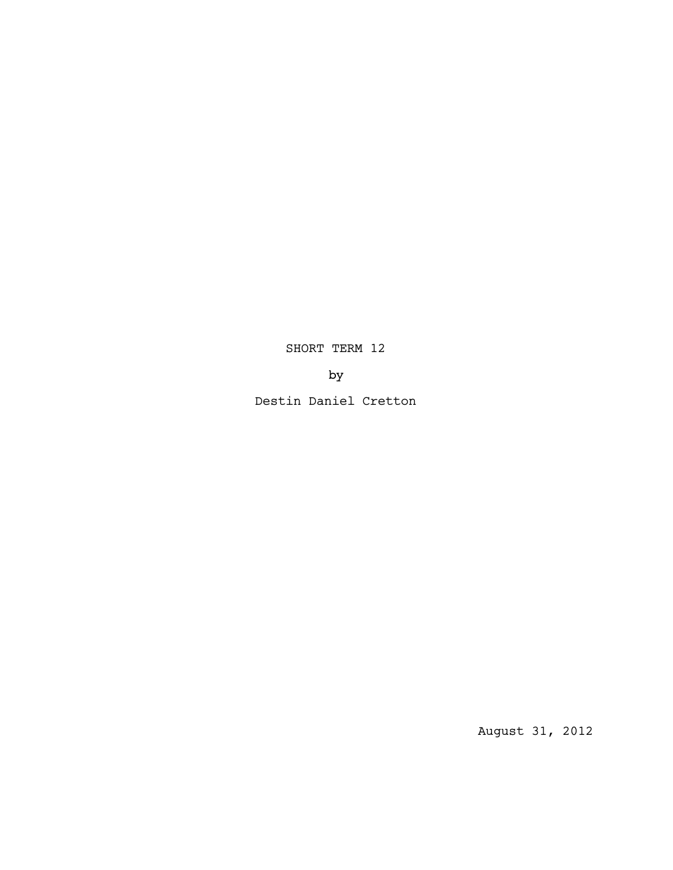SHORT TERM 12

by

Destin Daniel Cretton

August 31, 2012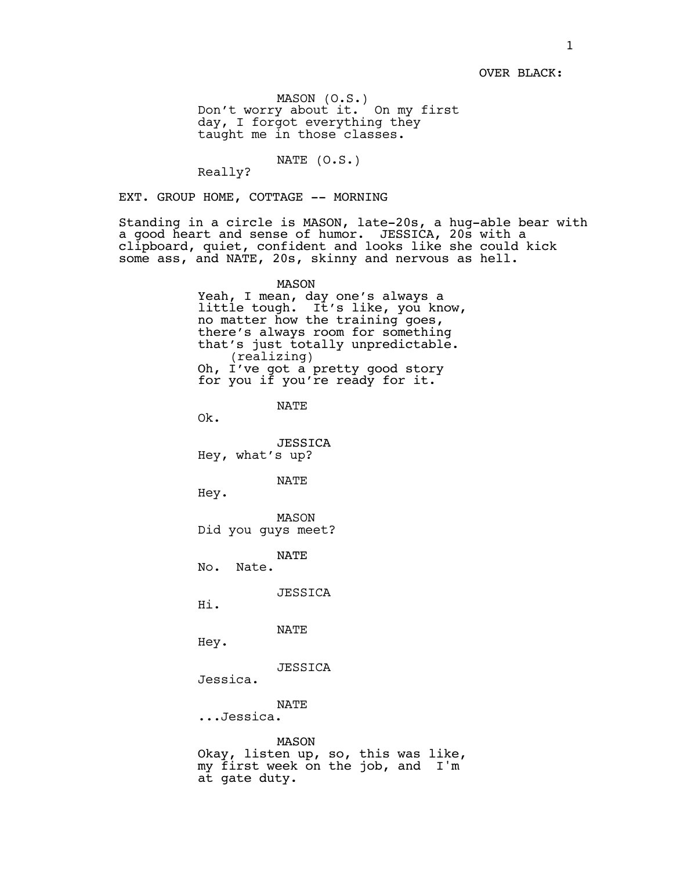## OVER BLACK:

MASON (O.S.) Don't worry about it. On my first day, I forgot everything they taught me in those classes.

NATE (O.S.)

EXT. GROUP HOME, COTTAGE -- MORNING

Really?

Standing in a circle is MASON, late-20s, a hug-able bear with a good heart and sense of humor. JESSICA, 20s with a clipboard, quiet, confident and looks like she could kick some ass, and NATE, 20s, skinny and nervous as hell.

> MASON Yeah, I mean, day one's always a little tough. It's like, you know, no matter how the training goes, there's always room for something that's just totally unpredictable. (realizing) Oh, I've got a pretty good story for you if you're ready for it.

> > NATE

Ok.

JESSICA Hey, what's up?

NATE

Hey.

MASON Did you guys meet?

NATE

No. Nate.

JESSICA

Hi.

NATE

Hey.

JESSICA

Jessica.

NATE

...Jessica.

MASON

Okay, listen up, so, this was like, my first week on the job, and I'm at gate duty.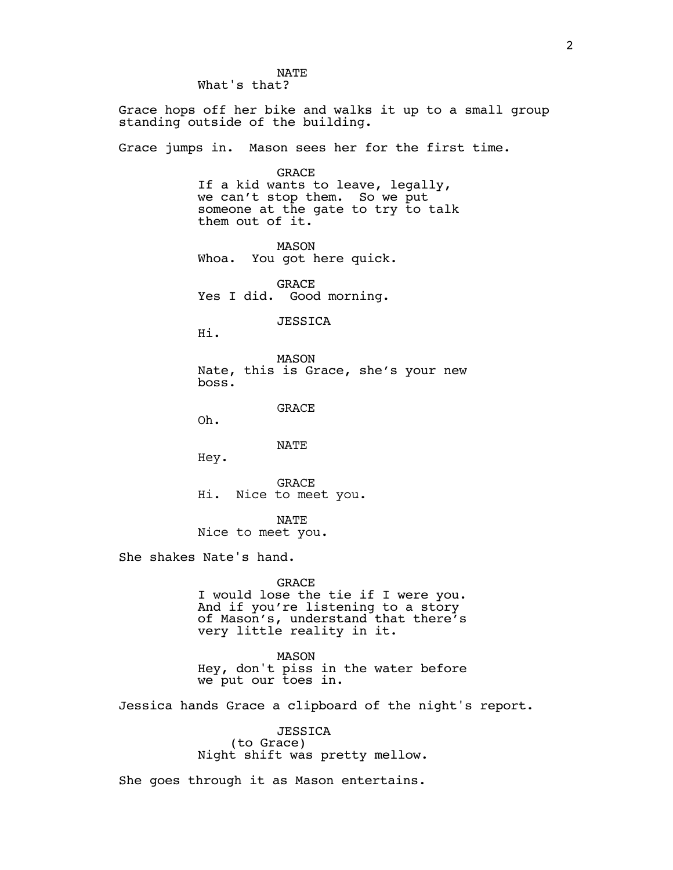### NATE What's that?

Grace hops off her bike and walks it up to a small group standing outside of the building.

Grace jumps in. Mason sees her for the first time.

GRACE

If a kid wants to leave, legally, we can't stop them. So we put someone at the gate to try to talk them out of it.

MASON

Whoa. You got here quick.

GRACE Yes I did. Good morning.

JESSICA

Hi.

MASON Nate, this is Grace, she's your new boss.

GRACE

Oh.

NATE

Hey.

GRACE Hi. Nice to meet you.

NATE Nice to meet you.

She shakes Nate's hand.

GRACE

I would lose the tie if I were you. And if you're listening to a story of Mason's, understand that there's very little reality in it.

MASON Hey, don't piss in the water before we put our toes in.

Jessica hands Grace a clipboard of the night's report.

JESSICA (to Grace) Night shift was pretty mellow.

She goes through it as Mason entertains.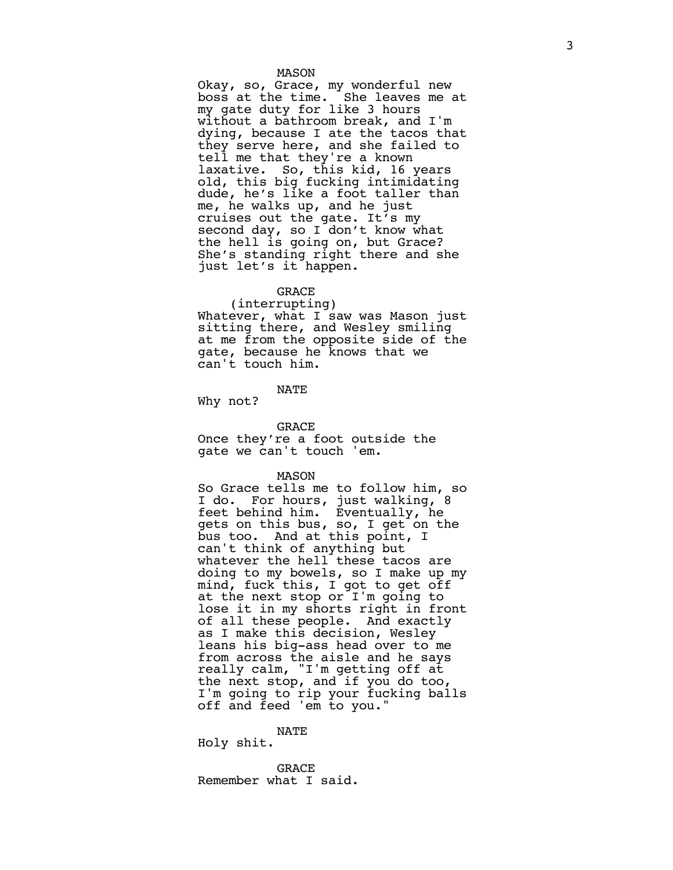Okay, so, Grace, my wonderful new boss at the time. She leaves me at my gate duty for like 3 hours without a bathroom break, and I'm dying, because I ate the tacos that they serve here, and she failed to tell me that they're a known laxative. So, this kid, 16 years old, this big fucking intimidating dude, he's like a foot taller than me, he walks up, and he just cruises out the gate. It's my second day, so I don't know what the hell is going on, but Grace? She's standing right there and she just let's it happen.

#### GRACE

(interrupting) Whatever, what I saw was Mason just sitting there, and Wesley smiling at me from the opposite side of the gate, because he knows that we can't touch him.

## NATE

Why not?

GRACE Once they're a foot outside the gate we can't touch 'em.

MASON

So Grace tells me to follow him, so I do. For hours, just walking, 8 feet behind him. Eventually, he gets on this bus, so, I get on the bus too. And at this point, I can't think of anything but whatever the hell these tacos are doing to my bowels, so I make up my mind, fuck this, I got to get off at the next stop or I'm going to lose it in my shorts right in front of all these people. And exactly as I make this decision, Wesley leans his big-ass head over to me from across the aisle and he says really calm, "I'm getting off at the next stop, and if you do too, I'm going to rip your fucking balls off and feed 'em to you."

## NATE

Holy shit.

GRACE Remember what I said.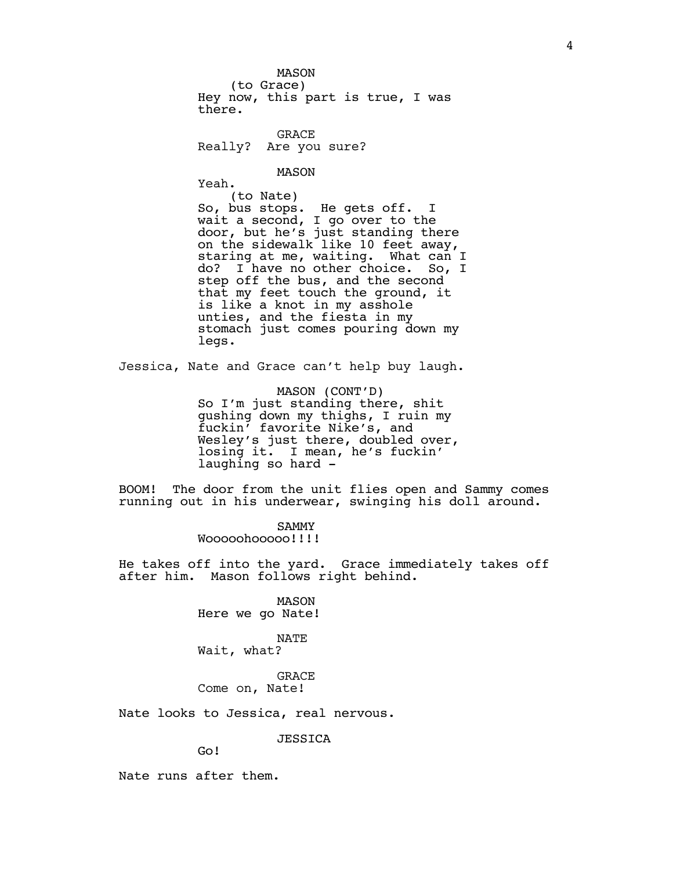MASON (to Grace) Hey now, this part is true, I was there.

GRACE Really? Are you sure?

MASON

Yeah.

(to Nate) So, bus stops. He gets off. I wait a second, I go over to the door, but he's just standing there on the sidewalk like 10 feet away, staring at me, waiting. What can I do? I have no other choice. So, I step off the bus, and the second that my feet touch the ground, it is like a knot in my asshole unties, and the fiesta in my stomach just comes pouring down my legs.

Jessica, Nate and Grace can't help buy laugh.

MASON (CONT'D) So I'm just standing there, shit gushing down my thighs, I ruin my fuckin' favorite Nike's, and Wesley's just there, doubled over, losing it. I mean, he's fuckin' laughing so hard -

BOOM! The door from the unit flies open and Sammy comes running out in his underwear, swinging his doll around.

> SAMMY Wooooohooooo!!!!

He takes off into the yard. Grace immediately takes off after him. Mason follows right behind.

> MASON Here we go Nate!

> > NATE

Wait, what?

GRACE Come on, Nate!

Nate looks to Jessica, real nervous.

JESSICA

Go!

Nate runs after them.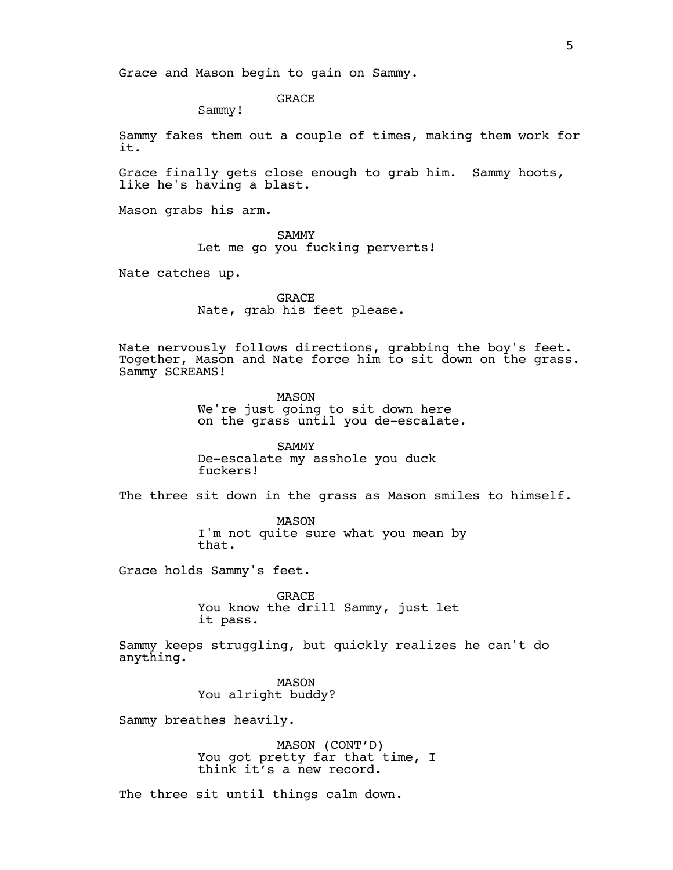Grace and Mason begin to gain on Sammy.

GRACE

Sammy!

Sammy fakes them out a couple of times, making them work for it.

Grace finally gets close enough to grab him. Sammy hoots, like he's having a blast.

Mason grabs his arm.

SAMMY Let me go you fucking perverts!

Nate catches up.

GRACE Nate, grab his feet please.

Nate nervously follows directions, grabbing the boy's feet. Together, Mason and Nate force him to sit down on the grass. Sammy SCREAMS!

> MASON We're just going to sit down here on the grass until you de-escalate.

SAMMY De-escalate my asshole you duck fuckers!

The three sit down in the grass as Mason smiles to himself.

MASON I'm not quite sure what you mean by that.

Grace holds Sammy's feet.

GRACE You know the drill Sammy, just let it pass.

Sammy keeps struggling, but quickly realizes he can't do anything.

> MASON You alright buddy?

Sammy breathes heavily.

MASON (CONT'D) You got pretty far that time, I think it's a new record.

The three sit until things calm down.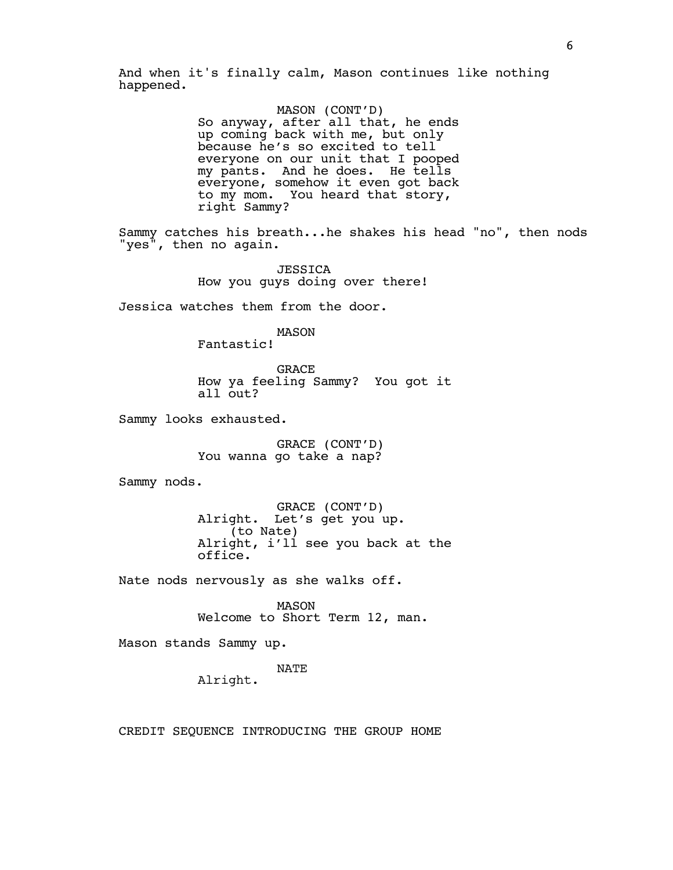And when it's finally calm, Mason continues like nothing happened.

# MASON (CONT'D)

So anyway, after all that, he ends up coming back with me, but only because he's so excited to tell everyone on our unit that I pooped my pants. And he does. He tells everyone, somehow it even got back to my mom. You heard that story, right Sammy?

Sammy catches his breath...he shakes his head "no", then nods "yes", then no again.

> JESSICA How you guys doing over there!

Jessica watches them from the door.

# MASON

Fantastic!

GRACE How ya feeling Sammy? You got it all out?

Sammy looks exhausted.

GRACE (CONT'D) You wanna go take a nap?

Sammy nods.

GRACE (CONT'D) Alright. Let's get you up. (to Nate) Alright, i'll see you back at the office.

Nate nods nervously as she walks off.

MASON Welcome to Short Term 12, man.

Mason stands Sammy up.

NATE

Alright.

CREDIT SEQUENCE INTRODUCING THE GROUP HOME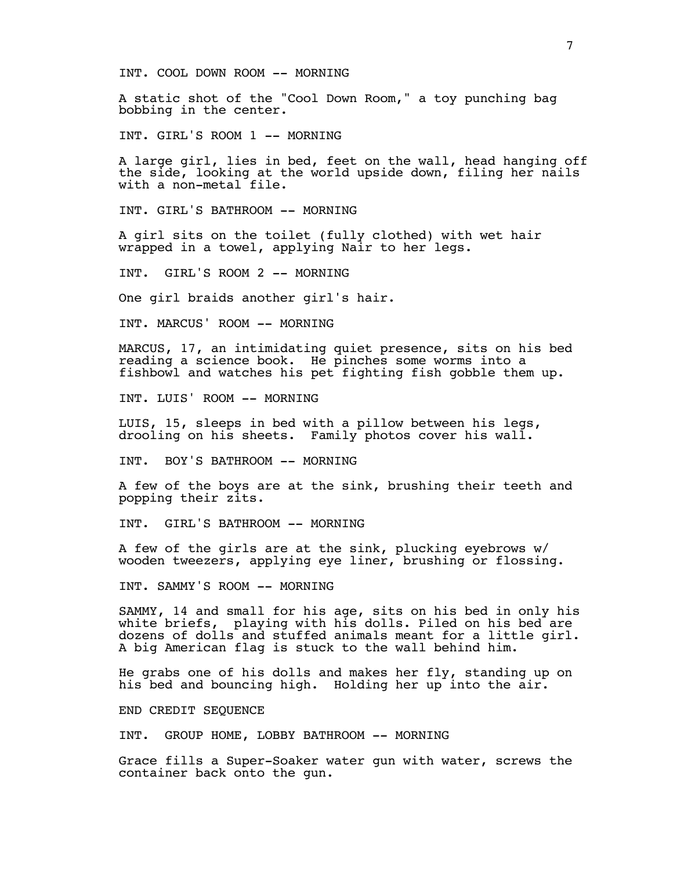INT. COOL DOWN ROOM -- MORNING

A static shot of the "Cool Down Room," a toy punching bag bobbing in the center.

INT. GIRL'S ROOM 1 -- MORNING

A large girl, lies in bed, feet on the wall, head hanging off the side, looking at the world upside down, filing her nails with a non-metal file.

INT. GIRL'S BATHROOM -- MORNING

A girl sits on the toilet (fully clothed) with wet hair wrapped in a towel, applying Nair to her legs.

INT. GIRL'S ROOM 2 -- MORNING

One girl braids another girl's hair.

INT. MARCUS' ROOM -- MORNING

MARCUS, 17, an intimidating quiet presence, sits on his bed reading a science book. He pinches some worms into a fishbowl and watches his pet fighting fish gobble them up.

INT. LUIS' ROOM -- MORNING

LUIS, 15, sleeps in bed with a pillow between his legs, drooling on his sheets. Family photos cover his wall.

INT. BOY'S BATHROOM -- MORNING

A few of the boys are at the sink, brushing their teeth and popping their zits.

INT. GIRL'S BATHROOM -- MORNING

A few of the girls are at the sink, plucking eyebrows w/ wooden tweezers, applying eye liner, brushing or flossing.

INT. SAMMY'S ROOM -- MORNING

SAMMY, 14 and small for his age, sits on his bed in only his white briefs, playing with his dolls. Piled on his bed are dozens of dolls and stuffed animals meant for a little girl. A big American flag is stuck to the wall behind him.

He grabs one of his dolls and makes her fly, standing up on his bed and bouncing high. Holding her up into the air.

END CREDIT SEQUENCE

INT. GROUP HOME, LOBBY BATHROOM -- MORNING

Grace fills a Super-Soaker water gun with water, screws the container back onto the gun.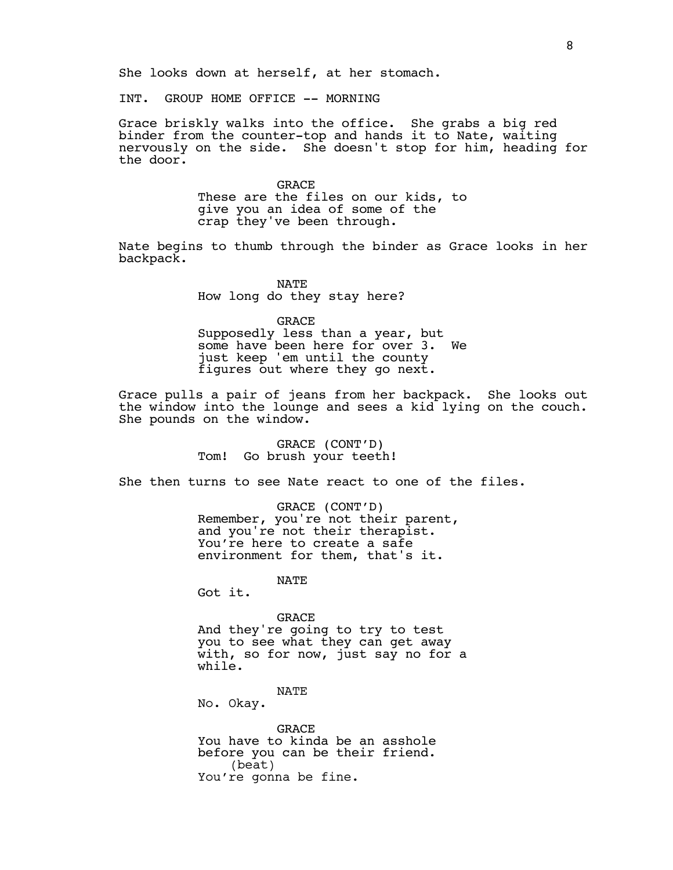She looks down at herself, at her stomach.

INT. GROUP HOME OFFICE -- MORNING

Grace briskly walks into the office. She grabs a big red binder from the counter-top and hands it to Nate, waiting nervously on the side. She doesn't stop for him, heading for the door.

> GRACE These are the files on our kids, to give you an idea of some of the crap they've been through.

Nate begins to thumb through the binder as Grace looks in her backpack.

> NATE How long do they stay here?

> > GRACE

Supposedly less than a year, but<br>some have been here for over 3. We some have been here for over 3. just keep 'em until the county figures out where they go next.

Grace pulls a pair of jeans from her backpack. She looks out the window into the lounge and sees a kid lying on the couch. She pounds on the window.

> GRACE (CONT'D) Tom! Go brush your teeth!

She then turns to see Nate react to one of the files.

GRACE (CONT'D) Remember, you're not their parent, and you're not their therapist. You're here to create a safe environment for them, that's it.

NATE

Got it.

### GRACE

And they're going to try to test you to see what they can get away with, so for now, just say no for a while.

NATE

No. Okay.

**GRACE** You have to kinda be an asshole before you can be their friend. (beat) You're gonna be fine.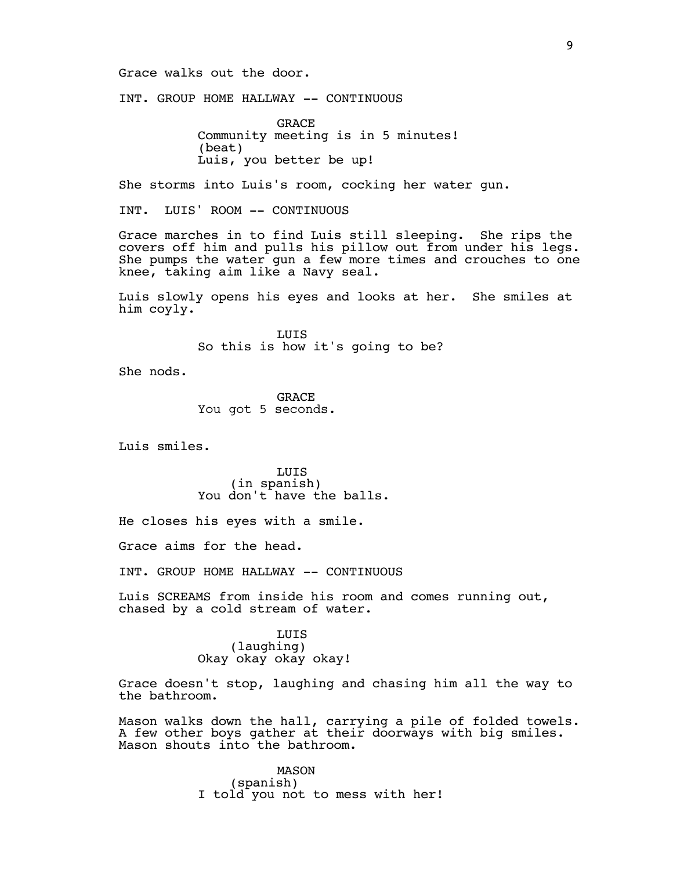## Grace walks out the door.

INT. GROUP HOME HALLWAY -- CONTINUOUS

GRACE Community meeting is in 5 minutes! (beat) Luis, you better be up!

She storms into Luis's room, cocking her water gun.

INT. LUIS' ROOM -- CONTINUOUS

Grace marches in to find Luis still sleeping. She rips the covers off him and pulls his pillow out from under his legs. She pumps the water gun a few more times and crouches to one knee, taking aim like a Navy seal.

Luis slowly opens his eyes and looks at her. She smiles at him coyly.

> LUIS So this is how it's going to be?

She nods.

GRACE You got 5 seconds.

Luis smiles.

LUIS (in spanish) You don't have the balls.

He closes his eyes with a smile.

Grace aims for the head.

INT. GROUP HOME HALLWAY -- CONTINUOUS

Luis SCREAMS from inside his room and comes running out, chased by a cold stream of water.

> LUIS (laughing) Okay okay okay okay!

Grace doesn't stop, laughing and chasing him all the way to the bathroom.

Mason walks down the hall, carrying a pile of folded towels. A few other boys gather at their doorways with big smiles. Mason shouts into the bathroom.

> MASON (spanish) I told you not to mess with her!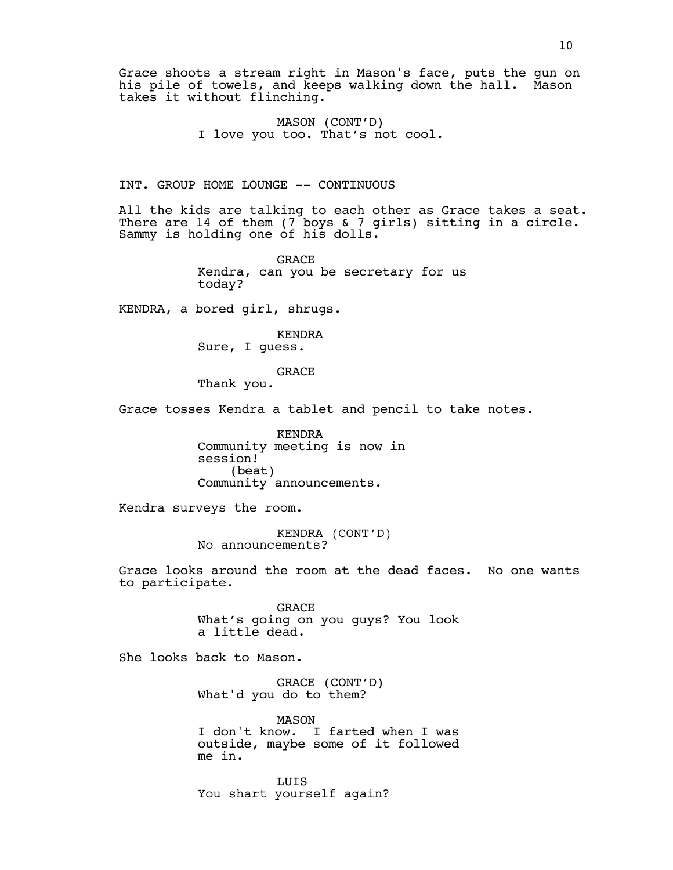Grace shoots a stream right in Mason's face, puts the gun on his pile of towels, and keeps walking down the hall. Mason takes it without flinching.

> MASON (CONT'D) I love you too. That's not cool.

INT. GROUP HOME LOUNGE -- CONTINUOUS

All the kids are talking to each other as Grace takes a seat. There are 14 of them (7 boys & 7 girls) sitting in a circle. Sammy is holding one of his dolls.

> GRACE Kendra, can you be secretary for us today?

KENDRA, a bored girl, shrugs.

KENDRA Sure, I guess.

GRACE

Thank you.

Grace tosses Kendra a tablet and pencil to take notes.

KENDRA Community meeting is now in session! (beat) Community announcements.

Kendra surveys the room.

KENDRA (CONT'D) No announcements?

Grace looks around the room at the dead faces. No one wants to participate.

> GRACE What's going on you guys? You look a little dead.

She looks back to Mason.

GRACE (CONT'D) What'd you do to them?

MASON I don't know. I farted when I was outside, maybe some of it followed me in.

LUIS You shart yourself again?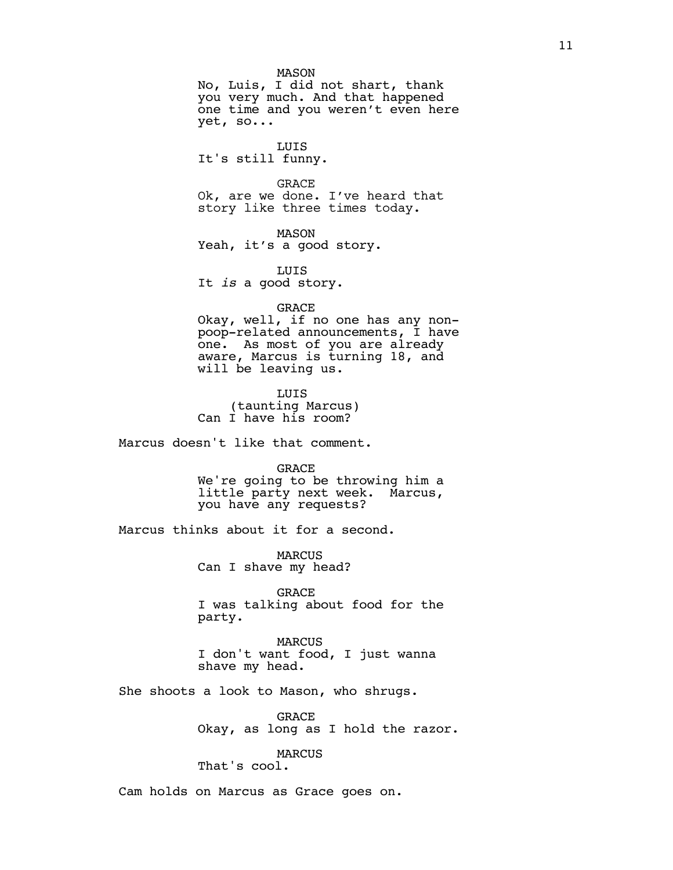MASON

No, Luis, I did not shart, thank you very much. And that happened one time and you weren't even here yet, so...

LUIS It's still funny.

GRACE Ok, are we done. I've heard that

story like three times today.

MASON Yeah, it's a good story.

LUIS It *is* a good story.

GRACE

Okay, well, if no one has any nonpoop-related announcements, I have one. As most of you are already aware, Marcus is turning 18, and will be leaving us.

LUIS (taunting Marcus) Can I have his room?

Marcus doesn't like that comment.

GRACE We're going to be throwing him a little party next week. Marcus, you have any requests?

Marcus thinks about it for a second.

MARCUS Can I shave my head?

GRACE I was talking about food for the party.

MARCUS I don't want food, I just wanna shave my head.

She shoots a look to Mason, who shrugs.

GRACE Okay, as long as I hold the razor.

MARCUS That's cool.

Cam holds on Marcus as Grace goes on.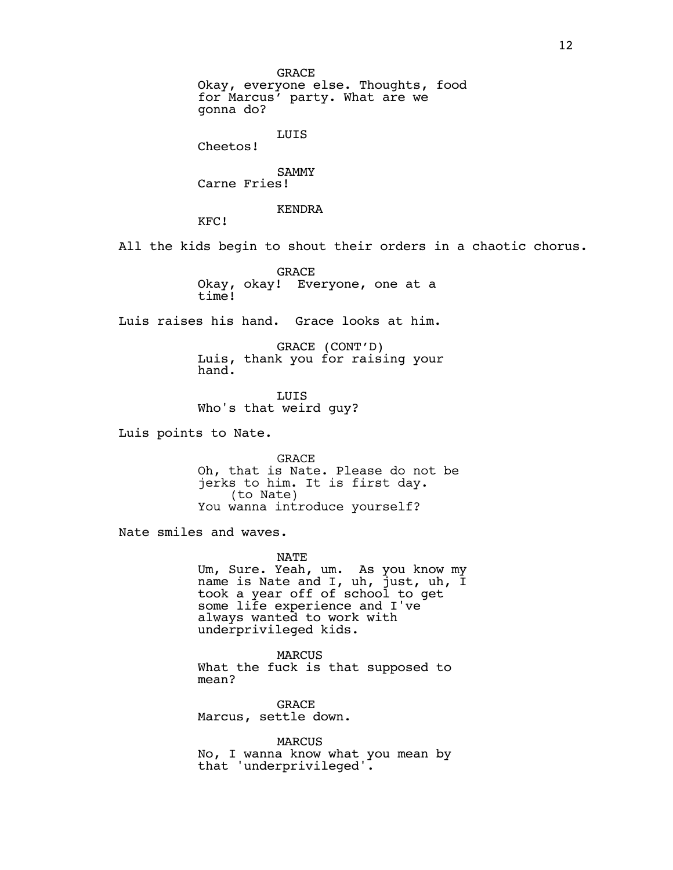GRACE

Okay, everyone else. Thoughts, food for Marcus' party. What are we gonna do?

LUIS

Cheetos!

SAMMY

Carne Fries!

KENDRA

KFC!

All the kids begin to shout their orders in a chaotic chorus.

GRACE Okay, okay! Everyone, one at a time!

Luis raises his hand. Grace looks at him.

GRACE (CONT'D) Luis, thank you for raising your hand.

**LUIS** Who's that weird guy?

Luis points to Nate.

GRACE Oh, that is Nate. Please do not be jerks to him. It is first day. (to Nate) You wanna introduce yourself?

Nate smiles and waves.

NATE

Um, Sure. Yeah, um. As you know my name is Nate and I, uh, just, uh, I took a year off of school to get some life experience and I've always wanted to work with underprivileged kids.

MARCUS What the fuck is that supposed to mean?

GRACE Marcus, settle down.

MARCUS No, I wanna know what you mean by that 'underprivileged'.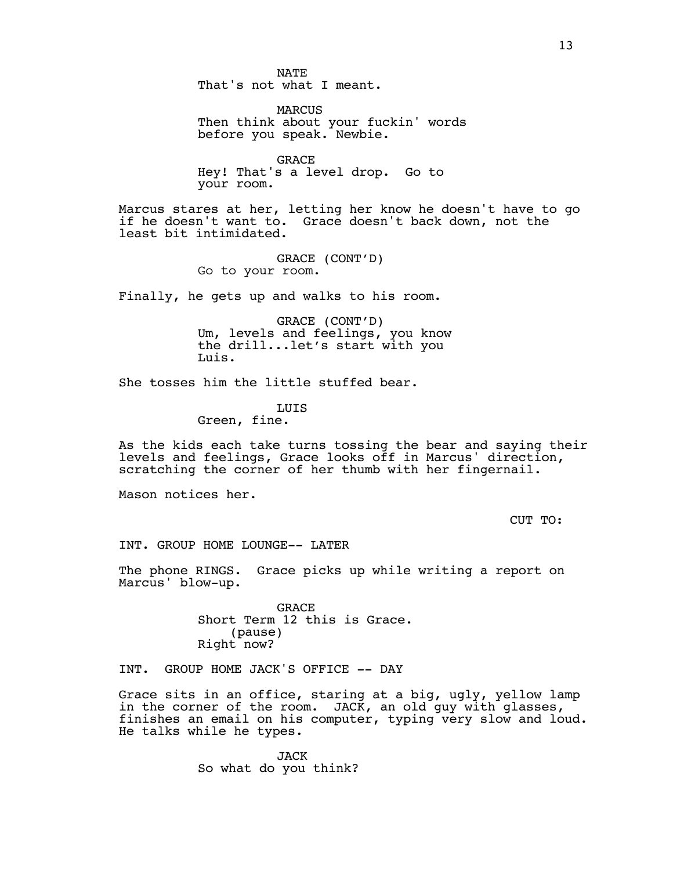NATE That's not what I meant.

MARCUS Then think about your fuckin' words before you speak. Newbie.

GRACE Hey! That's a level drop. Go to your room.

Marcus stares at her, letting her know he doesn't have to go if he doesn't want to. Grace doesn't back down, not the least bit intimidated.

> GRACE (CONT'D) Go to your room.

Finally, he gets up and walks to his room.

GRACE (CONT'D) Um, levels and feelings, you know the drill...let's start with you Luis.

She tosses him the little stuffed bear.

## LUIS

Green, fine.

As the kids each take turns tossing the bear and saying their levels and feelings, Grace looks off in Marcus' direction, scratching the corner of her thumb with her fingernail.

Mason notices her.

CUT TO:

INT. GROUP HOME LOUNGE-- LATER

The phone RINGS. Grace picks up while writing a report on Marcus' blow-up.

> GRACE Short Term 12 this is Grace. (pause) Right now?

INT. GROUP HOME JACK'S OFFICE -- DAY

Grace sits in an office, staring at a big, ugly, yellow lamp in the corner of the room. JACK, an old guy with glasses, finishes an email on his computer, typing very slow and loud. He talks while he types.

> JACK So what do you think?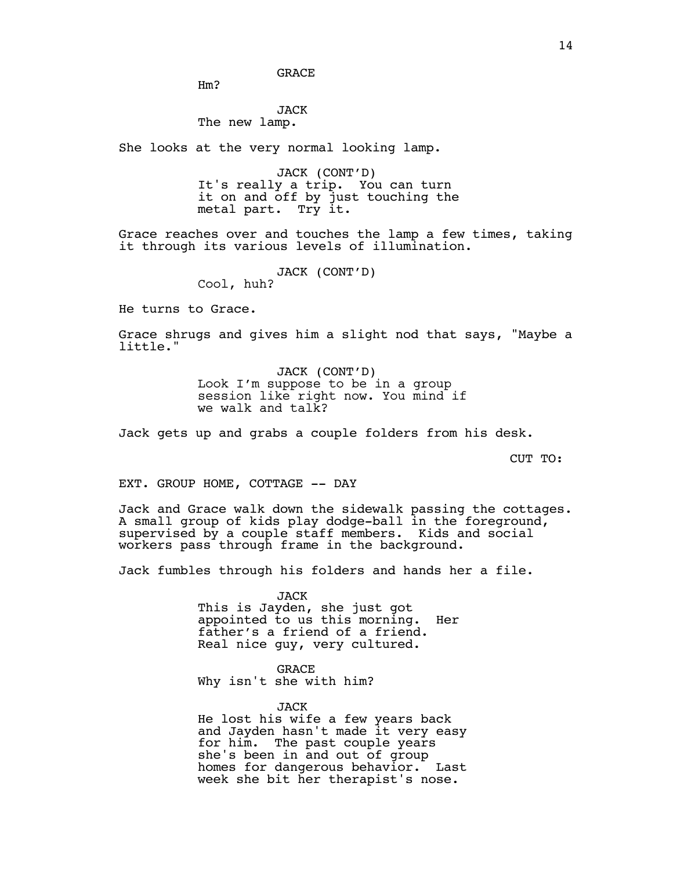GRACE

Hm?

## JACK The new lamp.

She looks at the very normal looking lamp.

JACK (CONT'D) It's really a trip. You can turn it on and off by just touching the metal part. Try it.

Grace reaches over and touches the lamp a few times, taking it through its various levels of illumination.

JACK (CONT'D)

Cool, huh?

He turns to Grace.

Grace shrugs and gives him a slight nod that says, "Maybe a little."

> JACK (CONT'D) Look I'm suppose to be in a group session like right now. You mind if we walk and talk?

Jack gets up and grabs a couple folders from his desk.

CUT TO:

EXT. GROUP HOME, COTTAGE -- DAY

Jack and Grace walk down the sidewalk passing the cottages. A small group of kids play dodge-ball in the foreground, supervised by a couple staff members. Kids and social workers pass through frame in the background.

Jack fumbles through his folders and hands her a file.

JACK This is Jayden, she just got appointed to us this morning. Her father's a friend of a friend. Real nice guy, very cultured.

GRACE Why isn't she with him?

#### JACK

He lost his wife a few years back and Jayden hasn't made it very easy for him. The past couple years she's been in and out of group homes for dangerous behavior. Last week she bit her therapist's nose.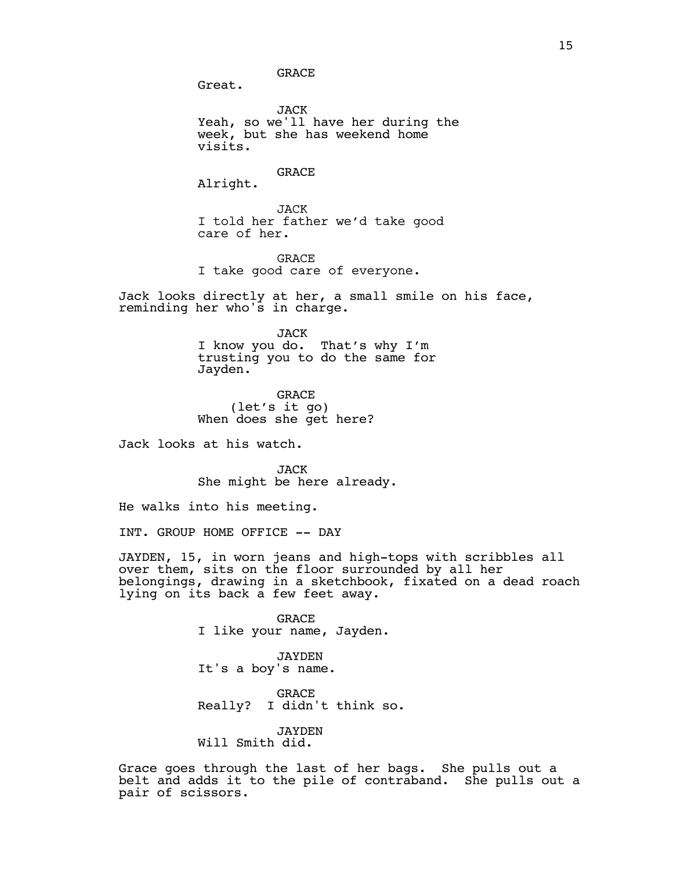GRACE

Great.

JACK Yeah, so we'll have her during the week, but she has weekend home visits.

## **GRACE**

Alright.

JACK I told her father we'd take good care of her.

GRACE I take good care of everyone.

Jack looks directly at her, a small smile on his face, reminding her who's in charge.

> JACK I know you do. That's why I'm trusting you to do the same for Jayden.

GRACE (let's it go) When does she get here?

Jack looks at his watch.

JACK She might be here already.

He walks into his meeting.

INT. GROUP HOME OFFICE -- DAY

JAYDEN, 15, in worn jeans and high-tops with scribbles all over them, sits on the floor surrounded by all her belongings, drawing in a sketchbook, fixated on a dead roach lying on its back a few feet away.

> GRACE I like your name, Jayden. JAYDEN It's a boy's name. GRACE

Really? I didn't think so.

JAYDEN Will Smith did.

Grace goes through the last of her bags. She pulls out a belt and adds it to the pile of contraband. She pulls out a pair of scissors.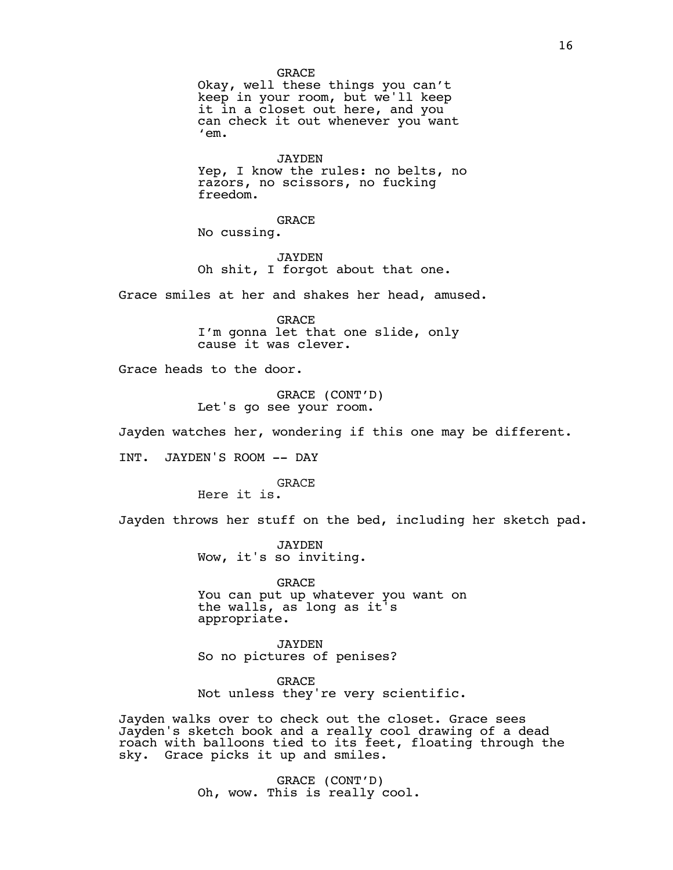GRACE Okay, well these things you can't keep in your room, but we'll keep it in a closet out here, and you can check it out whenever you want 'em.

JAYDEN Yep, I know the rules: no belts, no razors, no scissors, no fucking freedom.

**GRACE** No cussing.

JAYDEN Oh shit, I forgot about that one.

Grace smiles at her and shakes her head, amused.

GRACE I'm gonna let that one slide, only cause it was clever.

Grace heads to the door.

GRACE (CONT'D) Let's go see your room.

Jayden watches her, wondering if this one may be different.

INT. JAYDEN'S ROOM -- DAY

GRACE Here it is.

Jayden throws her stuff on the bed, including her sketch pad.

JAYDEN Wow, it's so inviting.

GRACE You can put up whatever you want on the walls, as long as it's appropriate.

JAYDEN So no pictures of penises?

GRACE Not unless they're very scientific.

Jayden walks over to check out the closet. Grace sees Jayden's sketch book and a really cool drawing of a dead roach with balloons tied to its feet, floating through the sky. Grace picks it up and smiles.

> GRACE (CONT'D) Oh, wow. This is really cool.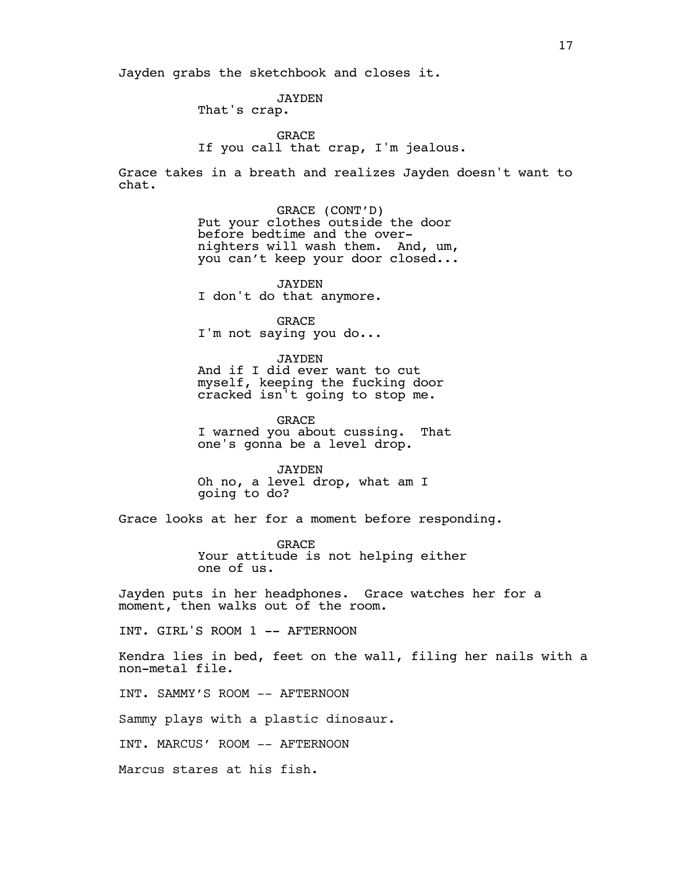Jayden grabs the sketchbook and closes it.

JAYDEN

That's crap.

GRACE If you call that crap, I'm jealous.

Grace takes in a breath and realizes Jayden doesn't want to chat.

> GRACE (CONT'D) Put your clothes outside the door before bedtime and the overnighters will wash them. And, um, you can't keep your door closed...

JAYDEN I don't do that anymore.

GRACE I'm not saying you do...

JAYDEN

And if I did ever want to cut myself, keeping the fucking door cracked isn't going to stop me.

GRACE I warned you about cussing. That one's gonna be a level drop.

JAYDEN Oh no, a level drop, what am I going to do?

Grace looks at her for a moment before responding.

GRACE Your attitude is not helping either one of us.

Jayden puts in her headphones. Grace watches her for a moment, then walks out of the room.

INT. GIRL'S ROOM 1 -- AFTERNOON

Kendra lies in bed, feet on the wall, filing her nails with a non-metal file.

INT. SAMMY'S ROOM -- AFTERNOON

Sammy plays with a plastic dinosaur.

INT. MARCUS' ROOM -- AFTERNOON

Marcus stares at his fish.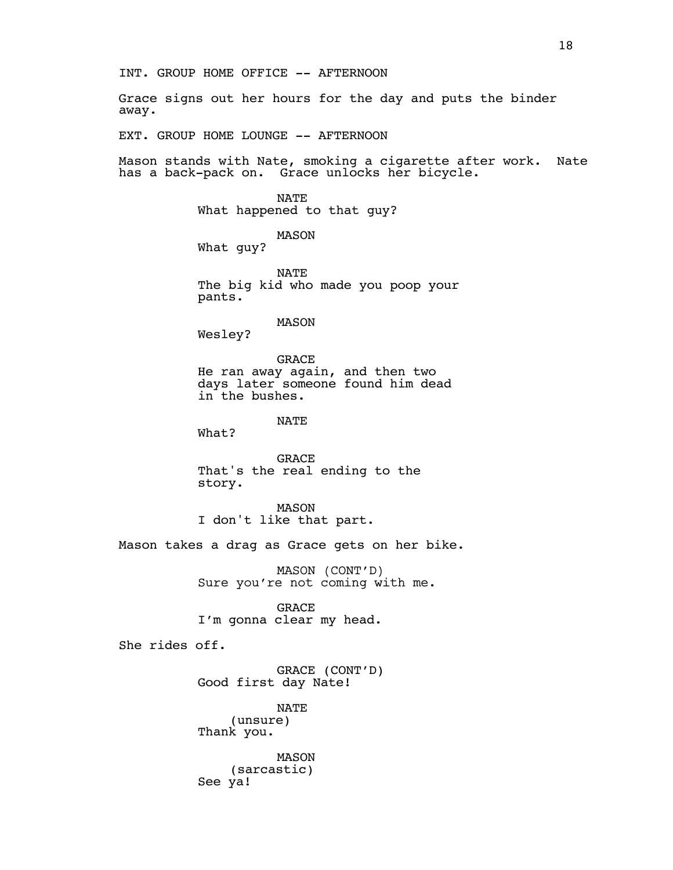Grace signs out her hours for the day and puts the binder away.

EXT. GROUP HOME LOUNGE -- AFTERNOON

Mason stands with Nate, smoking a cigarette after work. Nate has a back-pack on. Grace unlocks her bicycle.

> NATE What happened to that guy?

MASON What guy?

NATE The big kid who made you poop your pants.

MASON

Wesley?

GRACE He ran away again, and then two days later someone found him dead in the bushes.

NATE

What?

GRACE That's the real ending to the story.

MASON I don't like that part.

Mason takes a drag as Grace gets on her bike.

MASON (CONT'D) Sure you're not coming with me.

GRACE I'm gonna clear my head.

She rides off.

GRACE (CONT'D) Good first day Nate!

NATE (unsure) Thank you.

MASON (sarcastic) See ya!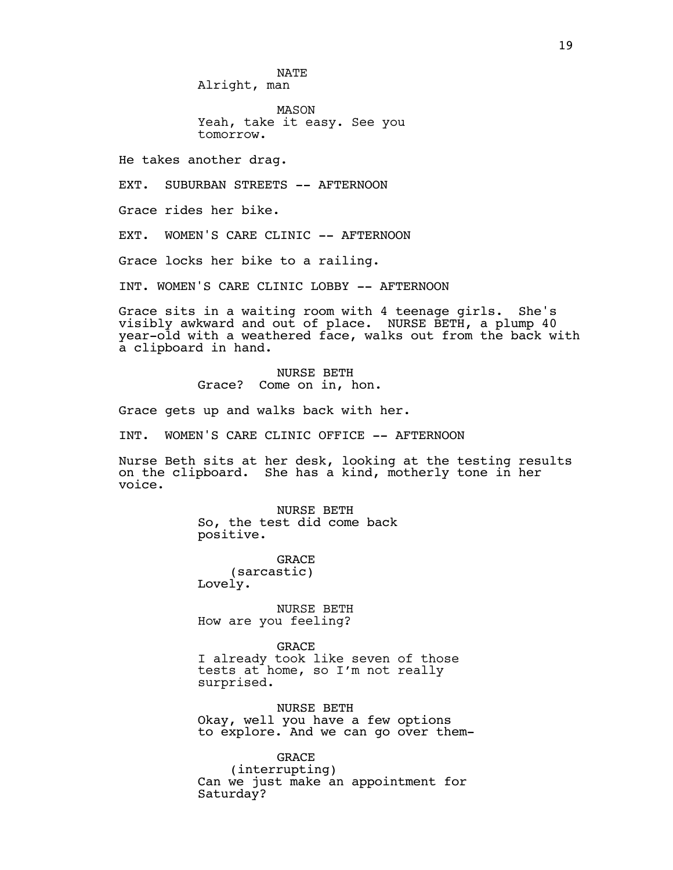NATE

Alright, man

MASON Yeah, take it easy. See you tomorrow.

He takes another drag.

EXT. SUBURBAN STREETS -- AFTERNOON

Grace rides her bike.

EXT. WOMEN'S CARE CLINIC -- AFTERNOON

Grace locks her bike to a railing.

INT. WOMEN'S CARE CLINIC LOBBY -- AFTERNOON

Grace sits in a waiting room with 4 teenage girls. She's visibly awkward and out of place. NURSE BETH, a plump 40 year-old with a weathered face, walks out from the back with a clipboard in hand.

> NURSE BETH Grace? Come on in, hon.

Grace gets up and walks back with her.

INT. WOMEN'S CARE CLINIC OFFICE -- AFTERNOON

Nurse Beth sits at her desk, looking at the testing results on the clipboard. She has a kind, motherly tone in her voice.

> NURSE BETH So, the test did come back positive.

GRACE (sarcastic) Lovely.

NURSE BETH How are you feeling?

GRACE I already took like seven of those tests at home, so I'm not really surprised.

NURSE BETH Okay, well you have a few options to explore. And we can go over them-

GRACE (interrupting) Can we just make an appointment for Saturday?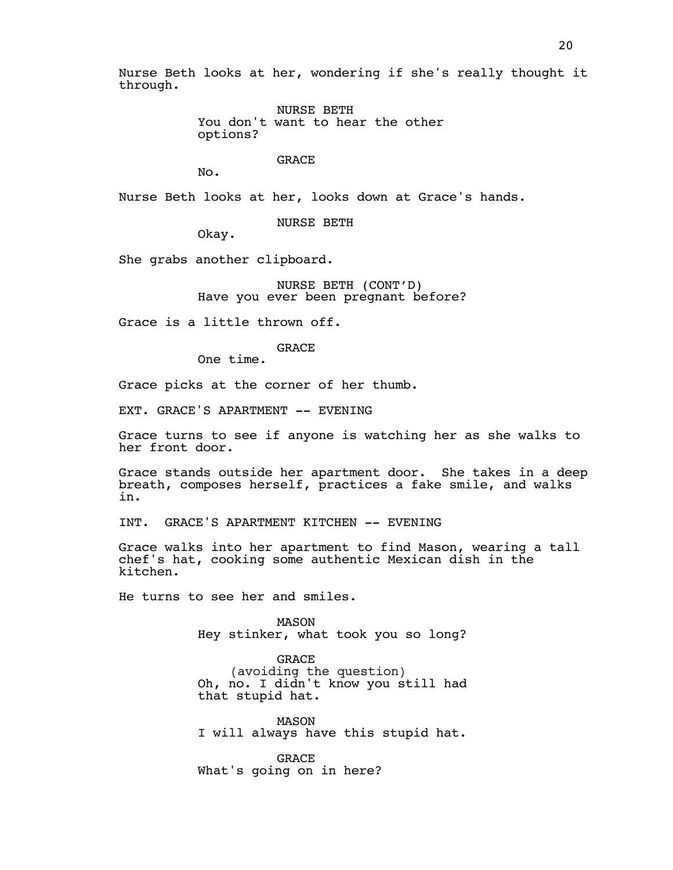Nurse Beth looks at her, wondering if she's really thought it through.

> NURSE BETH You don't want to hear the other options?

> > GRACE

No.

Nurse Beth looks at her, looks down at Grace's hands.

NURSE BETH

Okay.

She grabs another clipboard.

NURSE BETH (CONT'D) Have you ever been pregnant before?

Grace is a little thrown off.

GRACE

One time.

Grace picks at the corner of her thumb.

EXT. GRACE'S APARTMENT -- EVENING

Grace turns to see if anyone is watching her as she walks to her front door.

Grace stands outside her apartment door. She takes in a deep breath, composes herself, practices a fake smile, and walks in.

INT. GRACE'S APARTMENT KITCHEN -- EVENING

Grace walks into her apartment to find Mason, wearing a tall chef's hat, cooking some authentic Mexican dish in the kitchen.

He turns to see her and smiles.

MASON Hey stinker, what took you so long?

GRACE (avoiding the question) Oh, no. I didn't know you still had that stupid hat.

MASON I will always have this stupid hat.

**GRACE** What's going on in here?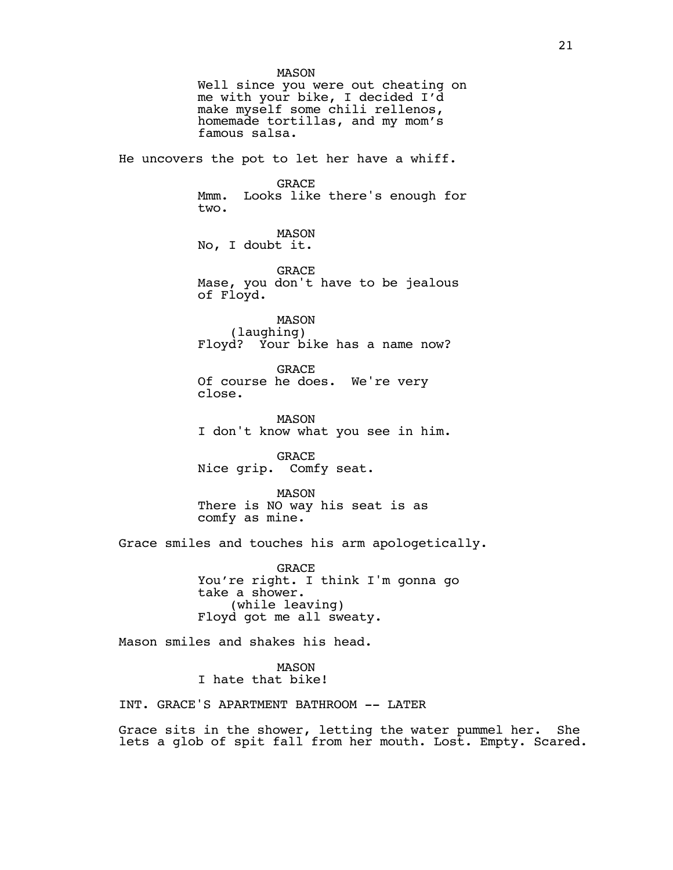#### MASON

Well since you were out cheating on me with your bike, I decided I'd make myself some chili rellenos, homemade tortillas, and my mom's famous salsa.

He uncovers the pot to let her have a whiff.

**GRACE** Mmm. Looks like there's enough for two.

MASON

No, I doubt it.

GRACE Mase, you don't have to be jealous of Floyd.

MASON (laughing) Floyd? Your bike has a name now?

GRACE Of course he does. We're very close.

MASON I don't know what you see in him.

GRACE Nice grip. Comfy seat.

MASON There is NO way his seat is as comfy as mine.

Grace smiles and touches his arm apologetically.

GRACE You're right. I think I'm gonna go take a shower. (while leaving) Floyd got me all sweaty.

Mason smiles and shakes his head.

MASON I hate that bike!

INT. GRACE'S APARTMENT BATHROOM -- LATER

Grace sits in the shower, letting the water pummel her. She lets a glob of spit fall from her mouth. Lost. Empty. Scared.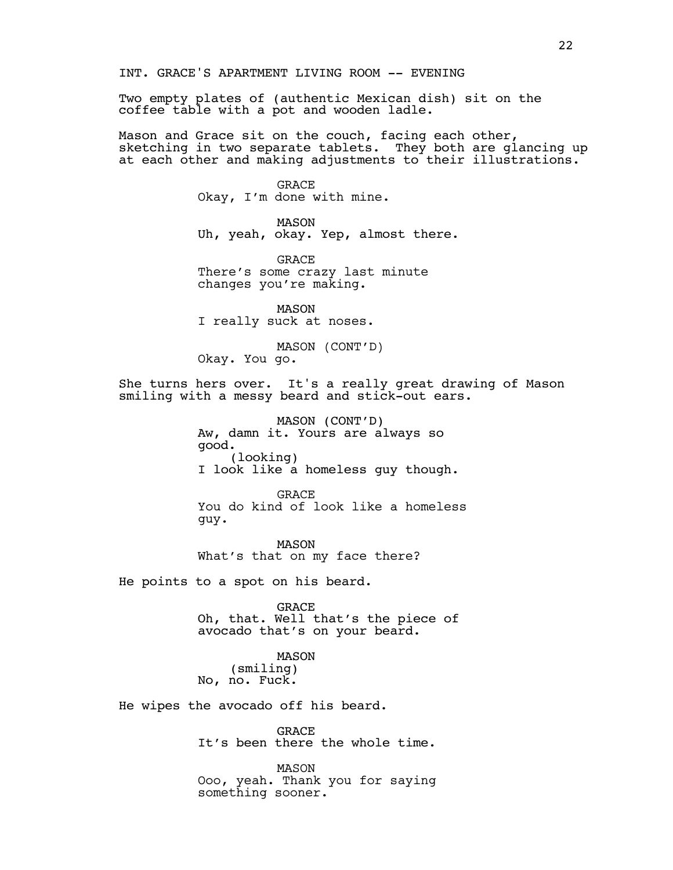INT. GRACE'S APARTMENT LIVING ROOM -- EVENING

Two empty plates of (authentic Mexican dish) sit on the coffee table with a pot and wooden ladle.

Mason and Grace sit on the couch, facing each other, sketching in two separate tablets. They both are glancing up at each other and making adjustments to their illustrations.

> GRACE Okay, I'm done with mine.

MASON Uh, yeah, okay. Yep, almost there.

GRACE There's some crazy last minute changes you're making.

MASON I really suck at noses.

MASON (CONT'D) Okay. You go.

She turns hers over. It's a really great drawing of Mason smiling with a messy beard and stick-out ears.

> MASON (CONT'D) Aw, damn it. Yours are always so good. (looking) I look like a homeless guy though.

GRACE You do kind of look like a homeless guy.

MASON What's that on my face there?

He points to a spot on his beard.

**GRACE** Oh, that. Well that's the piece of avocado that's on your beard.

MASON (smiling) No, no. Fuck.

He wipes the avocado off his beard.

GRACE It's been there the whole time.

MASON Ooo, yeah. Thank you for saying something sooner.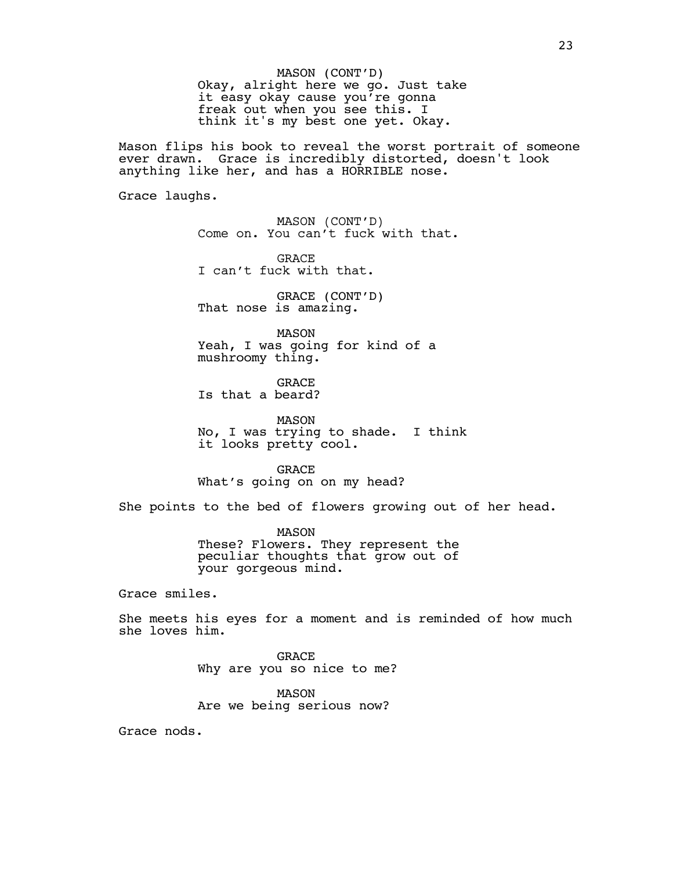MASON (CONT'D) Okay, alright here we go. Just take it easy okay cause you're gonna freak out when you see this. I think it's my best one yet. Okay.

Mason flips his book to reveal the worst portrait of someone ever drawn. Grace is incredibly distorted, doesn't look anything like her, and has a HORRIBLE nose.

Grace laughs.

MASON (CONT'D) Come on. You can't fuck with that.

GRACE I can't fuck with that.

GRACE (CONT'D) That nose is amazing.

MASON Yeah, I was going for kind of a mushroomy thing.

GRACE Is that a beard?

MASON No, I was trying to shade. I think it looks pretty cool.

GRACE What's going on on my head?

She points to the bed of flowers growing out of her head.

MASON These? Flowers. They represent the peculiar thoughts that grow out of your gorgeous mind.

Grace smiles.

She meets his eyes for a moment and is reminded of how much she loves him.

> **GRACE** Why are you so nice to me?

MASON Are we being serious now?

Grace nods.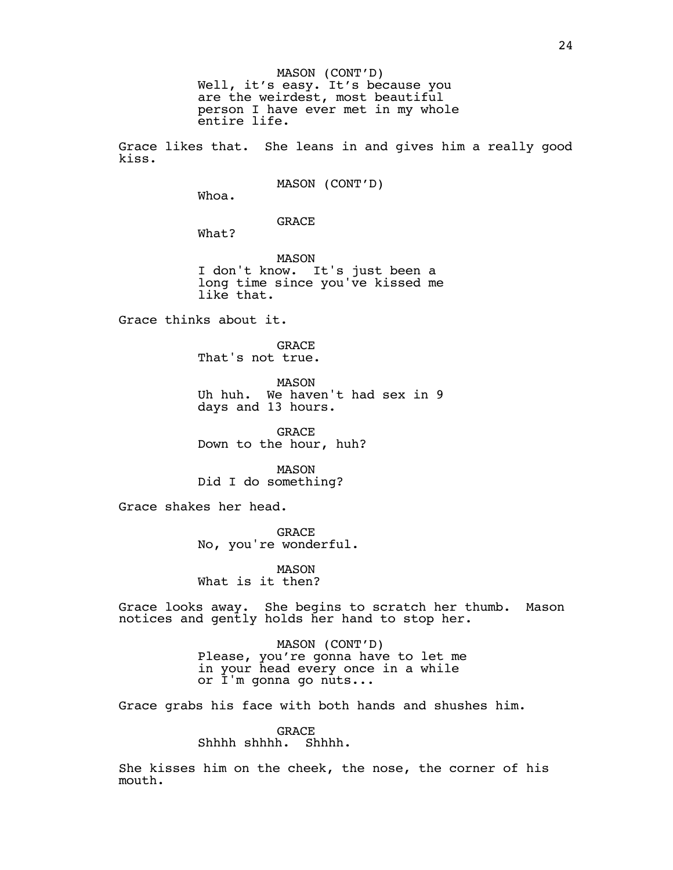MASON (CONT'D) Well, it's easy. It's because you are the weirdest, most beautiful person I have ever met in my whole entire life.

Grace likes that. She leans in and gives him a really good kiss.

MASON (CONT'D)

Whoa.

GRACE

What?

MASON I don't know. It's just been a long time since you've kissed me like that.

Grace thinks about it.

GRACE That's not true.

MASON Uh huh. We haven't had sex in 9 days and 13 hours.

GRACE Down to the hour, huh?

MASON Did I do something?

Grace shakes her head.

GRACE No, you're wonderful.

MASON What is it then?

Grace looks away. She begins to scratch her thumb. Mason notices and gently holds her hand to stop her.

> MASON (CONT'D) Please, you're gonna have to let me in your head every once in a while or I'm gonna go nuts...

Grace grabs his face with both hands and shushes him.

### GRACE

Shhhh shhhh. Shhhh.

She kisses him on the cheek, the nose, the corner of his mouth.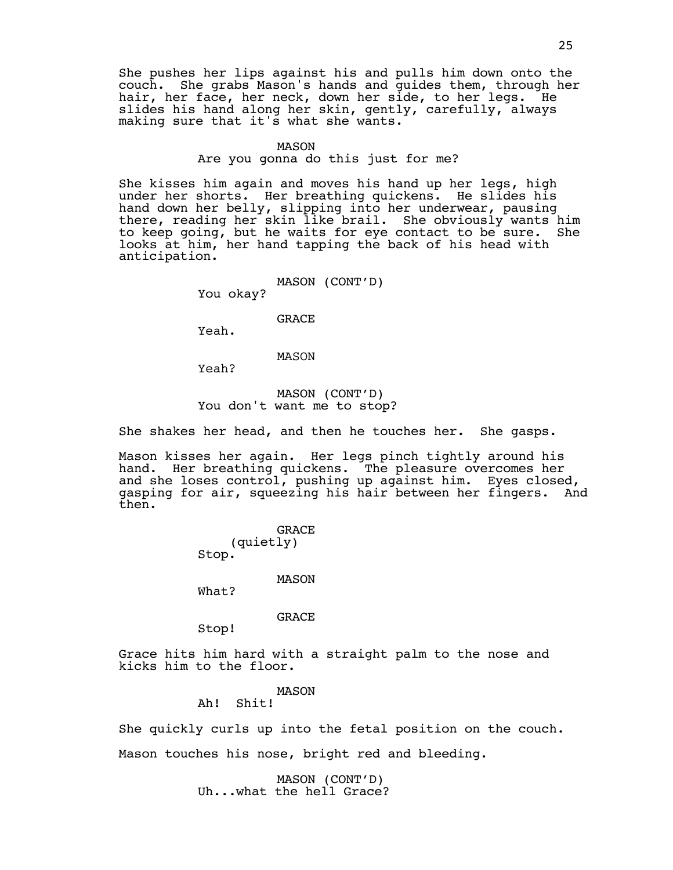She pushes her lips against his and pulls him down onto the couch. She grabs Mason's hands and guides them, through her hair, her face, her neck, down her side, to her legs. He slides his hand along her skin, gently, carefully, always making sure that it's what she wants.

#### MASON

## Are you gonna do this just for me?

She kisses him again and moves his hand up her legs, high under her shorts. Her breathing quickens. He slides his hand down her belly, slipping into her underwear, pausing there, reading her skin like brail. She obviously wants him to keep going, but he waits for eye contact to be sure. She looks at him, her hand tapping the back of his head with anticipation.

MASON (CONT'D)

You okay?

#### GRACE

Yeah.

### MASON

Yeah?

MASON (CONT'D) You don't want me to stop?

She shakes her head, and then he touches her. She gasps.

Mason kisses her again. Her legs pinch tightly around his hand. Her breathing quickens. The pleasure overcomes her and she loses control, pushing up against him. Eyes closed, gasping for air, squeezing his hair between her fingers. And then.

> GRACE (quietly) Stop.

> > MASON

What?

GRACE

Stop!

Grace hits him hard with a straight palm to the nose and kicks him to the floor.

MASON

Ah! Shit!

She quickly curls up into the fetal position on the couch. Mason touches his nose, bright red and bleeding.

> MASON (CONT'D) Uh...what the hell Grace?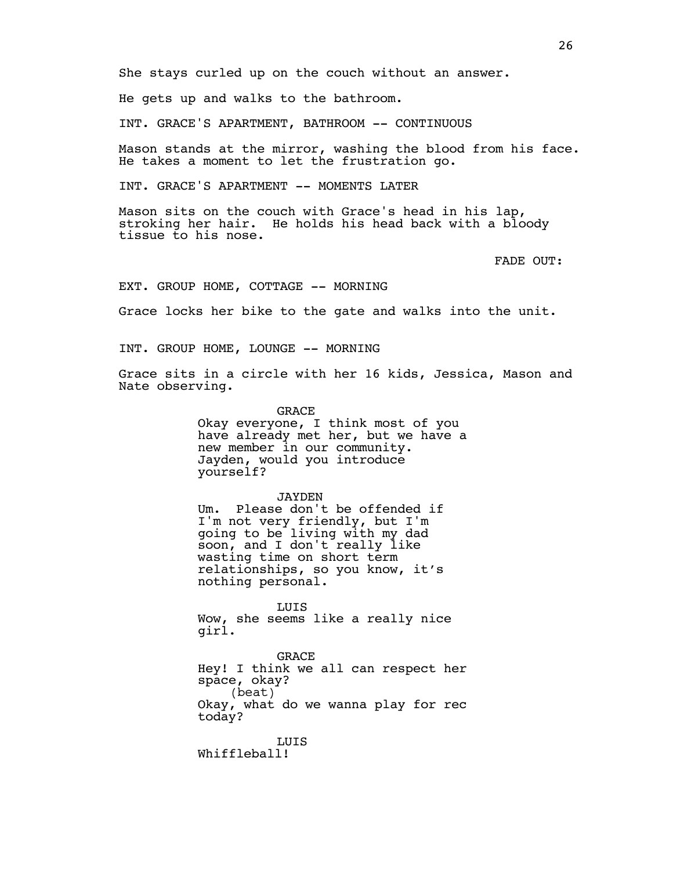She stays curled up on the couch without an answer.

He gets up and walks to the bathroom.

INT. GRACE'S APARTMENT, BATHROOM -- CONTINUOUS

Mason stands at the mirror, washing the blood from his face. He takes a moment to let the frustration go.

INT. GRACE'S APARTMENT -- MOMENTS LATER

Mason sits on the couch with Grace's head in his lap, stroking her hair. He holds his head back with a bloody tissue to his nose.

FADE OUT:

EXT. GROUP HOME, COTTAGE -- MORNING

Grace locks her bike to the gate and walks into the unit.

INT. GROUP HOME, LOUNGE -- MORNING

Grace sits in a circle with her 16 kids, Jessica, Mason and Nate observing.

> GRACE Okay everyone, I think most of you have already met her, but we have a new member in our community. Jayden, would you introduce yourself?

> > JAYDEN

Um. Please don't be offended if I'm not very friendly, but I'm going to be living with my dad soon, and I don't really like wasting time on short term relationships, so you know, it's nothing personal.

**LUTS** Wow, she seems like a really nice girl.

GRACE Hey! I think we all can respect her space, okay? (beat) Okay, what do we wanna play for rec today?

LUIS Whiffleball!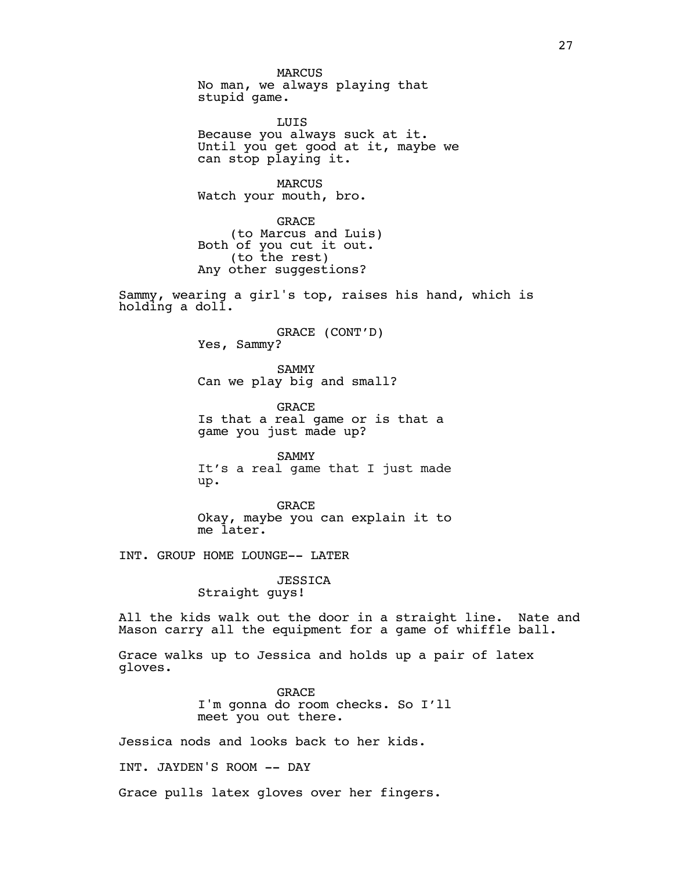MARCUS No man, we always playing that stupid game.

LUIS Because you always suck at it. Until you get good at it, maybe we can stop playing it.

MARCUS Watch your mouth, bro.

GRACE (to Marcus and Luis) Both of you cut it out. (to the rest) Any other suggestions?

Sammy, wearing a girl's top, raises his hand, which is holding a doll.

> GRACE (CONT'D) Yes, Sammy?

SAMMY Can we play big and small?

GRACE Is that a real game or is that a game you just made up?

SAMMY It's a real game that I just made up.

GRACE Okay, maybe you can explain it to me later.

INT. GROUP HOME LOUNGE-- LATER

JESSICA Straight guys!

All the kids walk out the door in a straight line. Nate and Mason carry all the equipment for a game of whiffle ball.

Grace walks up to Jessica and holds up a pair of latex gloves.

> GRACE I'm gonna do room checks. So I'll meet you out there.

Jessica nods and looks back to her kids.

INT. JAYDEN'S ROOM -- DAY

Grace pulls latex gloves over her fingers.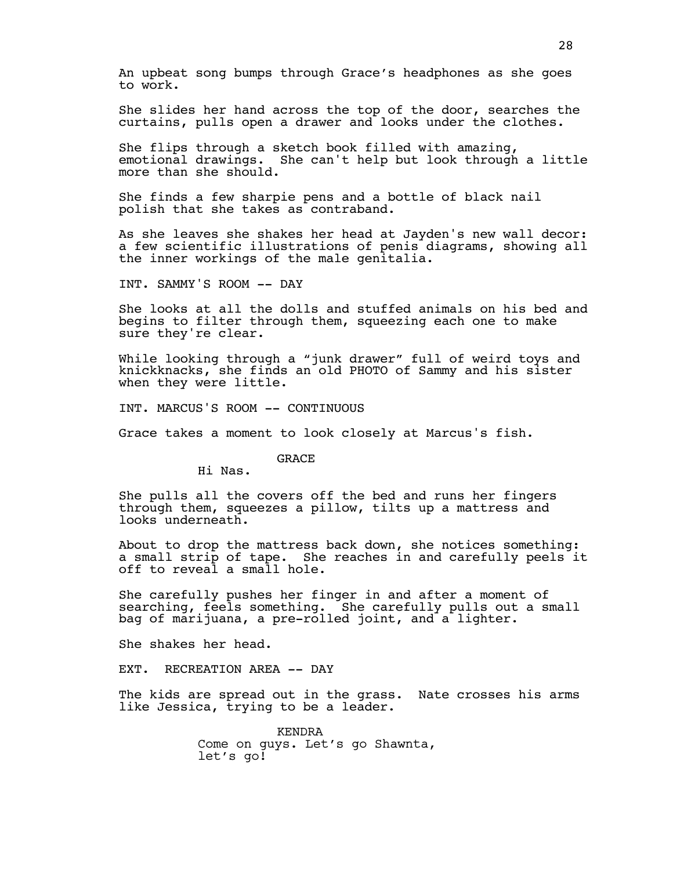An upbeat song bumps through Grace's headphones as she goes to work.

She slides her hand across the top of the door, searches the curtains, pulls open a drawer and looks under the clothes.

She flips through a sketch book filled with amazing, emotional drawings. She can't help but look through a little more than she should.

She finds a few sharpie pens and a bottle of black nail polish that she takes as contraband.

As she leaves she shakes her head at Jayden's new wall decor: a few scientific illustrations of penis diagrams, showing all the inner workings of the male genitalia.

INT. SAMMY'S ROOM -- DAY

She looks at all the dolls and stuffed animals on his bed and begins to filter through them, squeezing each one to make sure they're clear.

While looking through a "junk drawer" full of weird toys and knickknacks, she finds an old PHOTO of Sammy and his sister when they were little.

INT. MARCUS'S ROOM -- CONTINUOUS

Grace takes a moment to look closely at Marcus's fish.

GRACE

Hi Nas.

She pulls all the covers off the bed and runs her fingers through them, squeezes a pillow, tilts up a mattress and looks underneath.

About to drop the mattress back down, she notices something: a small strip of tape. She reaches in and carefully peels it off to reveal a small hole.

She carefully pushes her finger in and after a moment of searching, feels something. She carefully pulls out a small bag of marijuana, a pre-rolled joint, and a lighter.

She shakes her head.

EXT. RECREATION AREA -- DAY

The kids are spread out in the grass. Nate crosses his arms like Jessica, trying to be a leader.

> KENDRA Come on guys. Let's go Shawnta, let's go!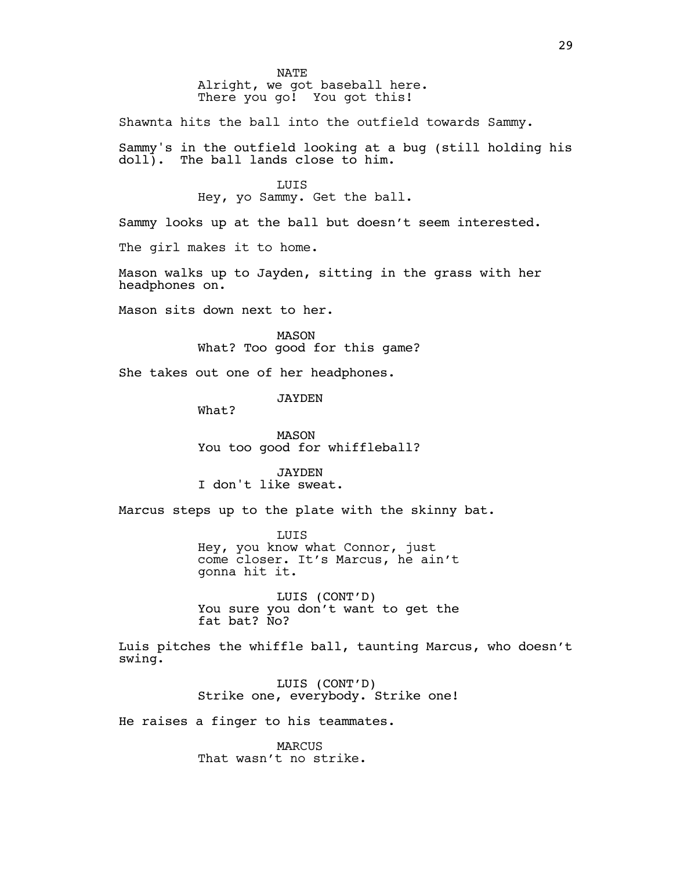NATE Alright, we got baseball here. There you go! You got this!

Shawnta hits the ball into the outfield towards Sammy.

Sammy's in the outfield looking at a bug (still holding his doll). The ball lands close to him.

> LUIS Hey, yo Sammy. Get the ball.

Sammy looks up at the ball but doesn't seem interested.

The girl makes it to home.

Mason walks up to Jayden, sitting in the grass with her headphones on.

Mason sits down next to her.

MASON What? Too good for this game?

She takes out one of her headphones.

JAYDEN

What?

MASON You too good for whiffleball?

JAYDEN I don't like sweat.

Marcus steps up to the plate with the skinny bat.

LUIS Hey, you know what Connor, just come closer. It's Marcus, he ain't gonna hit it.

LUIS (CONT'D) You sure you don't want to get the fat bat? No?

Luis pitches the whiffle ball, taunting Marcus, who doesn't swing.

> LUIS (CONT'D) Strike one, everybody. Strike one!

He raises a finger to his teammates.

MARCUS That wasn't no strike.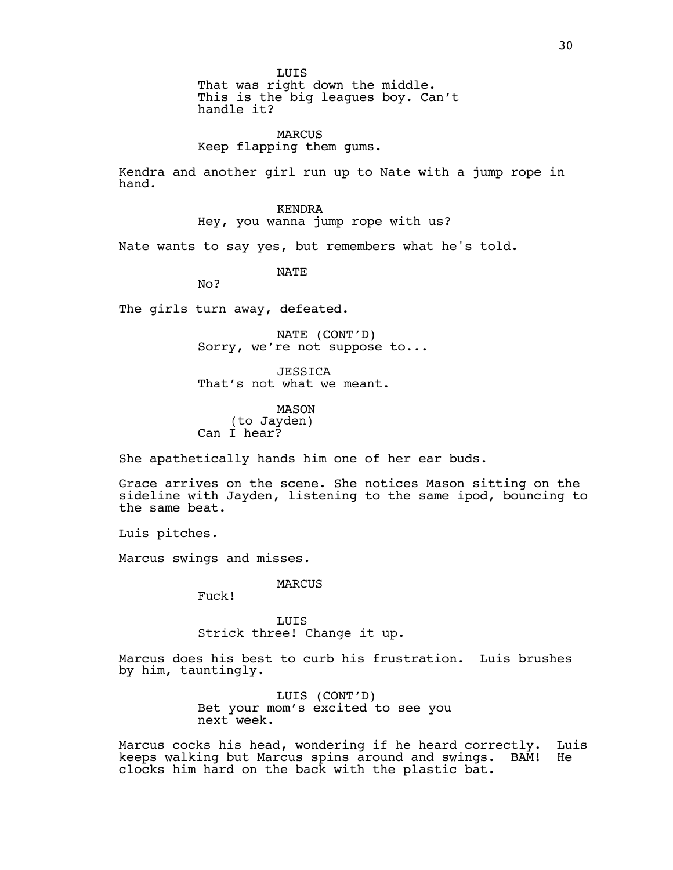LUIS

That was right down the middle. This is the big leagues boy. Can't handle it?

MARCUS Keep flapping them gums.

Kendra and another girl run up to Nate with a jump rope in hand.

> KENDRA Hey, you wanna jump rope with us?

Nate wants to say yes, but remembers what he's told.

NATE

No?

The girls turn away, defeated.

NATE (CONT'D) Sorry, we're not suppose to...

**JESSICA** That's not what we meant.

MASON (to Jayden) Can I hear?

She apathetically hands him one of her ear buds.

Grace arrives on the scene. She notices Mason sitting on the sideline with Jayden, listening to the same ipod, bouncing to the same beat.

Luis pitches.

Marcus swings and misses.

**MARCUS** 

Fuck!

LUIS Strick three! Change it up.

Marcus does his best to curb his frustration. Luis brushes by him, tauntingly.

> LUIS (CONT'D) Bet your mom's excited to see you next week.

Marcus cocks his head, wondering if he heard correctly. Luis<br>keeps walking but Marcus spins around and swings. BAM! He keeps walking but Marcus spins around and swings. BAM! He clocks him hard on the back with the plastic bat.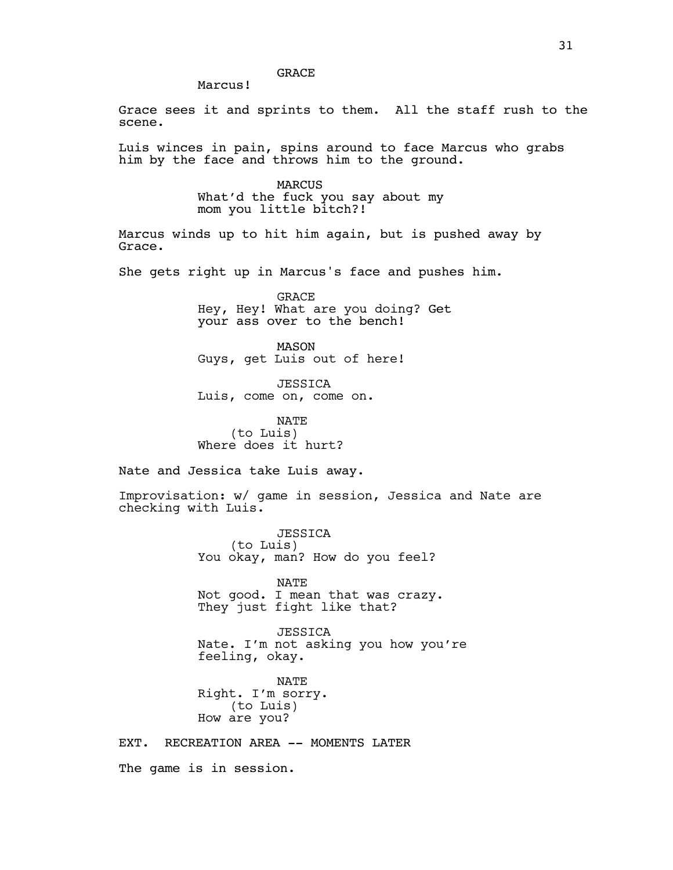Marcus!

Grace sees it and sprints to them. All the staff rush to the scene.

Luis winces in pain, spins around to face Marcus who grabs him by the face and throws him to the ground.

> MARCUS What'd the fuck you say about my mom you little bitch?!

Marcus winds up to hit him again, but is pushed away by Grace.

She gets right up in Marcus's face and pushes him.

GRACE Hey, Hey! What are you doing? Get your ass over to the bench!

MASON Guys, get Luis out of here!

JESSICA Luis, come on, come on.

NATE (to Luis) Where does it hurt?

Nate and Jessica take Luis away.

Improvisation: w/ game in session, Jessica and Nate are checking with Luis.

> JESSICA (to Luis) You okay, man? How do you feel?

NATE Not good. I mean that was crazy. They just fight like that?

JESSICA Nate. I'm not asking you how you're feeling, okay.

NATE Right. I'm sorry. (to Luis) How are you?

EXT. RECREATION AREA -- MOMENTS LATER

The game is in session.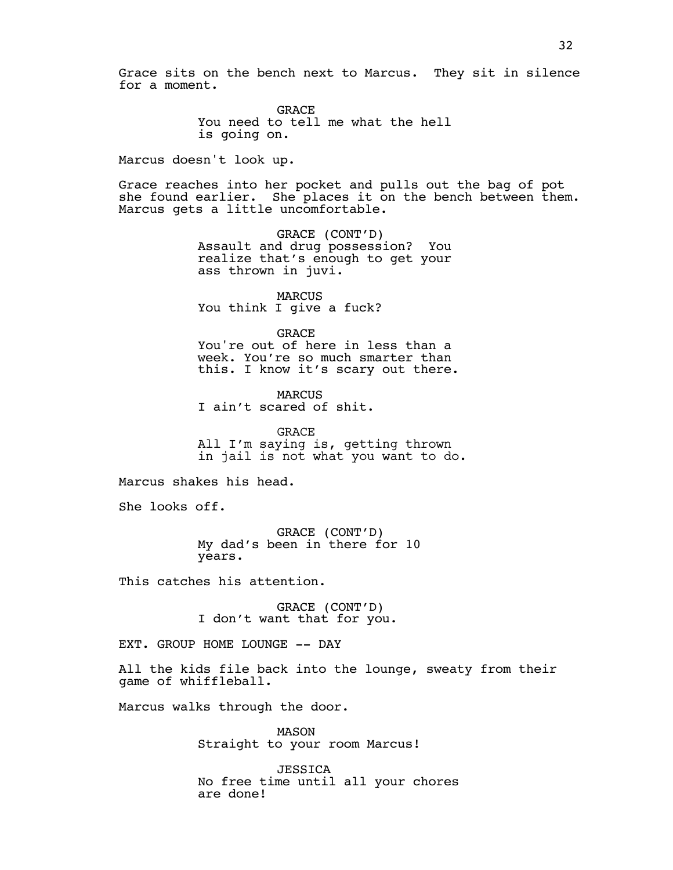Grace sits on the bench next to Marcus. They sit in silence for a moment.

> GRACE You need to tell me what the hell is going on.

Marcus doesn't look up.

Grace reaches into her pocket and pulls out the bag of pot she found earlier. She places it on the bench between them. Marcus gets a little uncomfortable.

> GRACE (CONT'D) Assault and drug possession? You realize that's enough to get your ass thrown in juvi.

MARCUS You think I give a fuck?

GRACE You're out of here in less than a week. You're so much smarter than this. I know it's scary out there.

MARCUS I ain't scared of shit.

GRACE All I'm saying is, getting thrown in jail is not what you want to do.

Marcus shakes his head.

She looks off.

GRACE (CONT'D) My dad's been in there for 10 years.

This catches his attention.

GRACE (CONT'D) I don't want that for you.

EXT. GROUP HOME LOUNGE -- DAY

All the kids file back into the lounge, sweaty from their game of whiffleball.

Marcus walks through the door.

MASON Straight to your room Marcus!

JESSICA No free time until all your chores are done!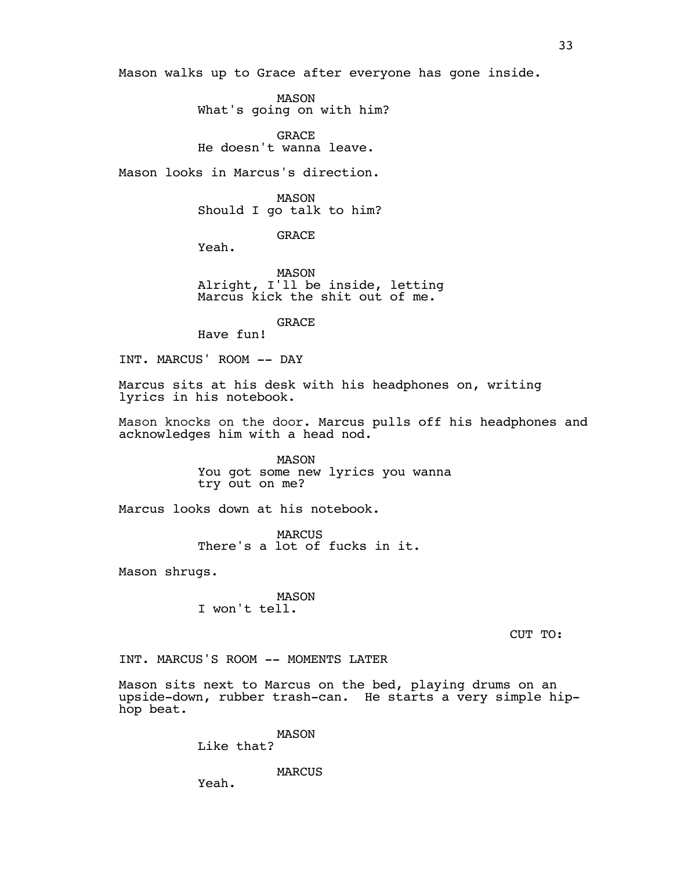Mason walks up to Grace after everyone has gone inside.

MASON What's going on with him?

GRACE He doesn't wanna leave.

Mason looks in Marcus's direction.

MASON Should I go talk to him?

GRACE

MASON Alright, I'll be inside, letting

Marcus kick the shit out of me.

GRACE

Have fun!

INT. MARCUS' ROOM -- DAY

Yeah.

Marcus sits at his desk with his headphones on, writing lyrics in his notebook.

Mason knocks on the door. Marcus pulls off his headphones and acknowledges him with a head nod.

> MASON You got some new lyrics you wanna try out on me?

Marcus looks down at his notebook.

**MARCUS** There's a lot of fucks in it.

Mason shrugs.

MASON I won't tell.

CUT TO:

INT. MARCUS'S ROOM -- MOMENTS LATER

Mason sits next to Marcus on the bed, playing drums on an upside-down, rubber trash-can. He starts a very simple hiphop beat.

> MASON Like that?

> > MARCUS

Yeah.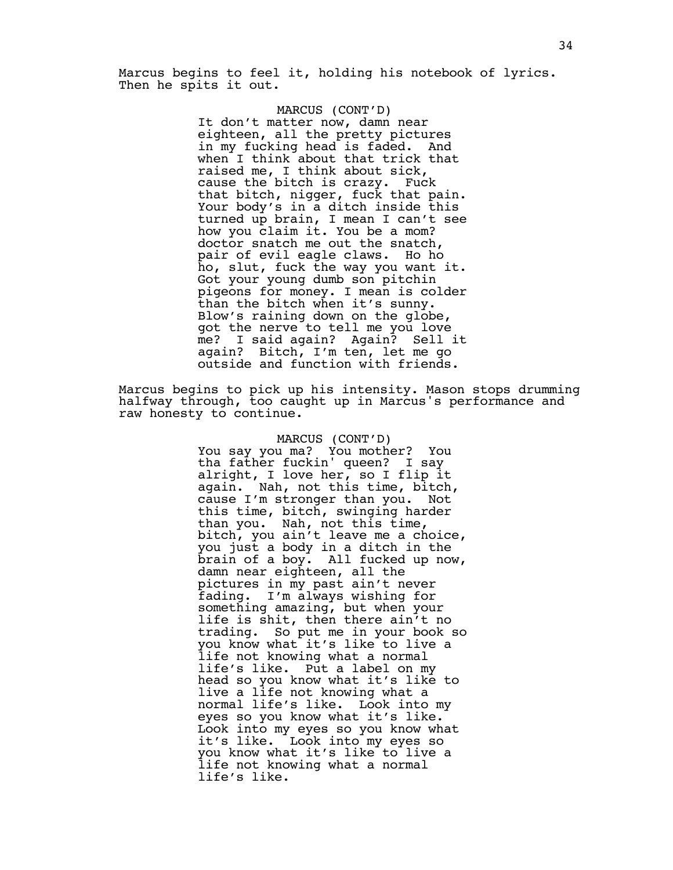Marcus begins to feel it, holding his notebook of lyrics. Then he spits it out.

#### MARCUS (CONT'D)

It don't matter now, damn near eighteen, all the pretty pictures in my fucking head is faded. And when I think about that trick that raised me, I think about sick, cause the bitch is crazy. Fuck that bitch, nigger, fuck that pain. Your body's in a ditch inside this turned up brain, I mean I can't see how you claim it. You be a mom? doctor snatch me out the snatch, pair of evil eagle claws. Ho ho ho, slut, fuck the way you want it. Got your young dumb son pitchin pigeons for money. I mean is colder than the bitch when it's sunny. Blow's raining down on the globe, got the nerve to tell me you love me? I said again? Again? Sell it again? Bitch, I'm ten, let me go outside and function with friends.

Marcus begins to pick up his intensity. Mason stops drumming halfway through, too caught up in Marcus's performance and raw honesty to continue.

> MARCUS (CONT'D) You say you ma? You mother? You tha father fuckin' queen? I say alright, I love her, so I flip it again. Nah, not this time, bitch, cause I'm stronger than you. Not this time, bitch, swinging harder than you. Nah, not this time, bitch, you ain't leave me a choice, you just a body in a ditch in the brain of a boy. All fucked up now, damn near eighteen, all the pictures in my past ain't never fading. I'm always wishing for something amazing, but when your life is shit, then there ain't no trading. So put me in your book so you know what it's like to live a life not knowing what a normal life's like. Put a label on my head so you know what it's like to live a life not knowing what a normal life's like. Look into my eyes so you know what it's like. Look into my eyes so you know what it's like. Look into my eyes so you know what it's like to live a life not knowing what a normal life's like.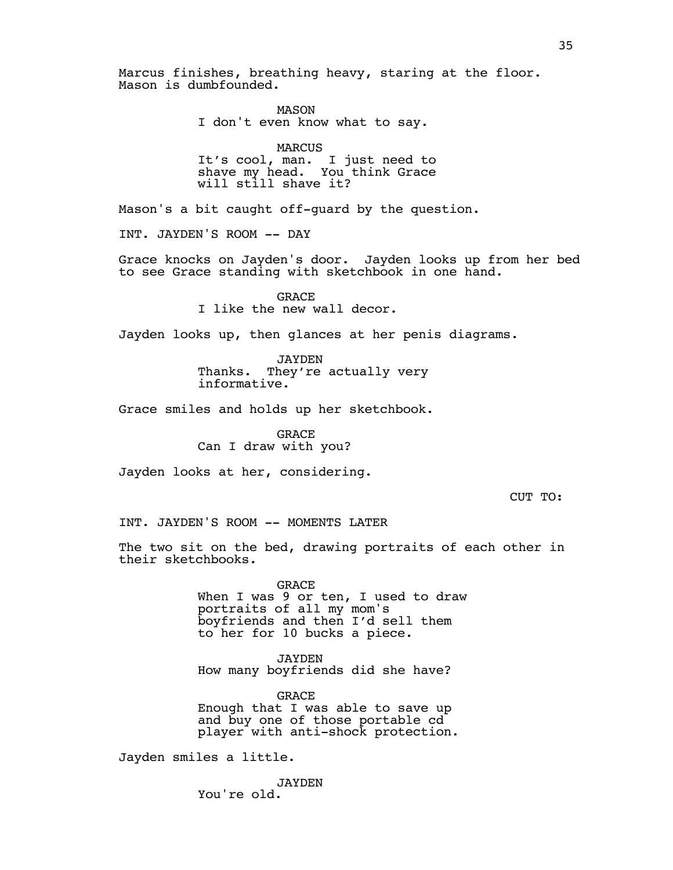Marcus finishes, breathing heavy, staring at the floor. Mason is dumbfounded.

> MASON I don't even know what to say.

MARCUS It's cool, man. I just need to shave my head. You think Grace will still shave it?

Mason's a bit caught off-guard by the question.

INT. JAYDEN'S ROOM -- DAY

Grace knocks on Jayden's door. Jayden looks up from her bed to see Grace standing with sketchbook in one hand.

> **GRACE** I like the new wall decor.

Jayden looks up, then glances at her penis diagrams.

JAYDEN Thanks. They're actually very informative.

Grace smiles and holds up her sketchbook.

GRACE Can I draw with you?

Jayden looks at her, considering.

CUT TO:

INT. JAYDEN'S ROOM -- MOMENTS LATER

The two sit on the bed, drawing portraits of each other in their sketchbooks.

> GRACE When I was 9 or ten, I used to draw portraits of all my mom's boyfriends and then I'd sell them to her for 10 bucks a piece.

JAYDEN How many boyfriends did she have?

GRACE Enough that I was able to save up and buy one of those portable cd player with anti-shock protection.

Jayden smiles a little.

JAYDEN You're old.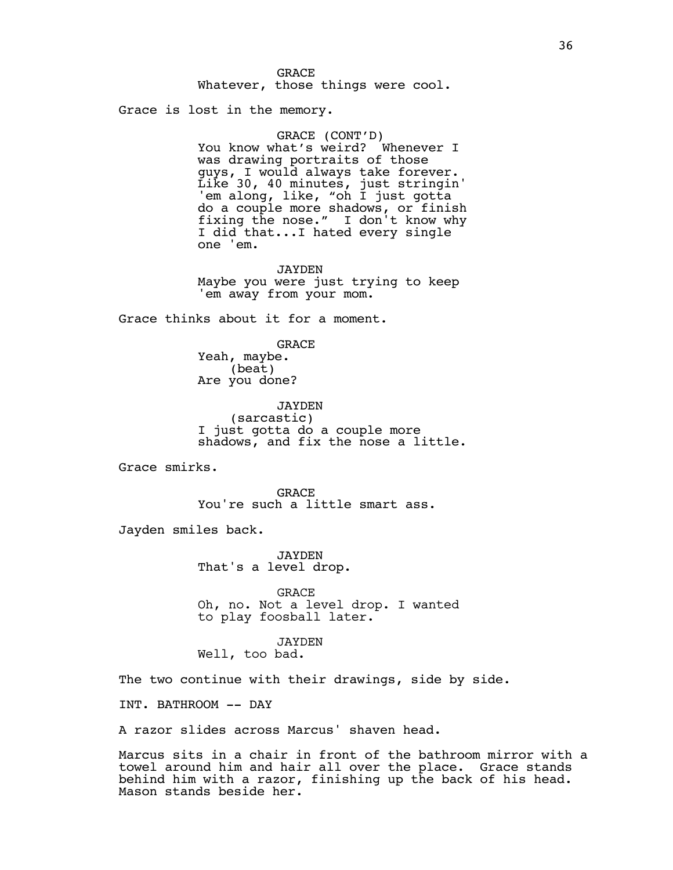# GRACE Whatever, those things were cool.

Grace is lost in the memory.

GRACE (CONT'D) You know what's weird? Whenever I was drawing portraits of those guys, I would always take forever. Like 30, 40 minutes, just stringin' 'em along, like, "oh I just gotta do a couple more shadows, or finish fixing the nose." I don't know why I did that...I hated every single one 'em.

JAYDEN Maybe you were just trying to keep 'em away from your mom.

Grace thinks about it for a moment.

GRACE Yeah, maybe. (beat) Are you done?

JAYDEN (sarcastic) I just gotta do a couple more shadows, and fix the nose a little.

Grace smirks.

GRACE You're such a little smart ass.

Jayden smiles back.

JAYDEN That's a level drop.

GRACE Oh, no. Not a level drop. I wanted to play foosball later.

JAYDEN

Well, too bad.

The two continue with their drawings, side by side.

INT. BATHROOM -- DAY

A razor slides across Marcus' shaven head.

Marcus sits in a chair in front of the bathroom mirror with a towel around him and hair all over the place. Grace stands behind him with a razor, finishing up the back of his head. Mason stands beside her.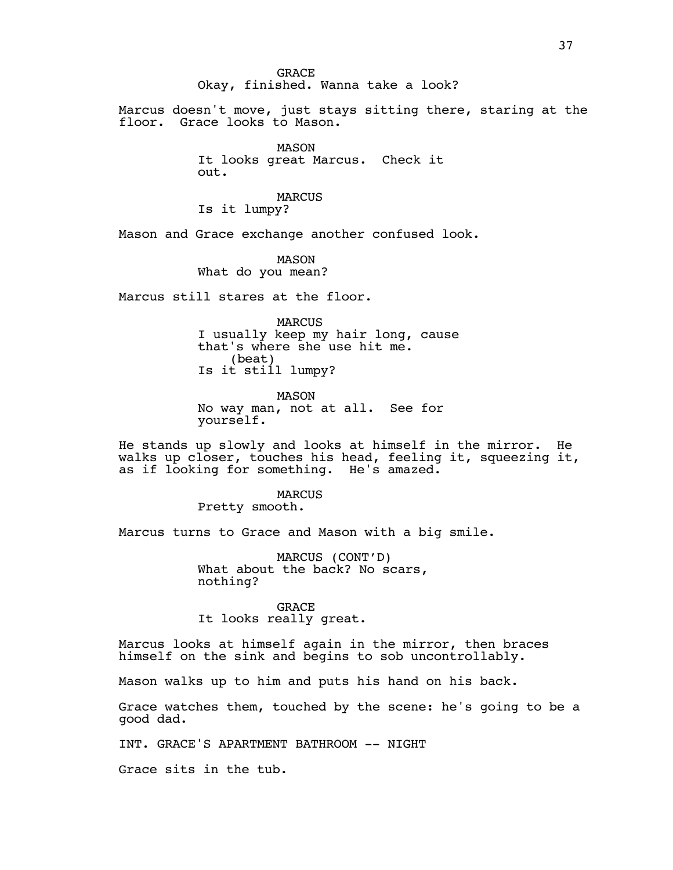Marcus doesn't move, just stays sitting there, staring at the floor. Grace looks to Mason.

> MASON It looks great Marcus. Check it out.

MARCUS Is it lumpy?

Mason and Grace exchange another confused look.

MASON What do you mean?

Marcus still stares at the floor.

MARCUS I usually keep my hair long, cause that's where she use hit me. (beat) Is it still lumpy?

MASON No way man, not at all. See for yourself.

He stands up slowly and looks at himself in the mirror. He walks up closer, touches his head, feeling it, squeezing it, as if looking for something. He's amazed.

#### MARCUS

Pretty smooth.

Marcus turns to Grace and Mason with a big smile.

MARCUS (CONT'D) What about the back? No scars, nothing?

**GRACE** It looks really great.

Marcus looks at himself again in the mirror, then braces himself on the sink and begins to sob uncontrollably.

Mason walks up to him and puts his hand on his back.

Grace watches them, touched by the scene: he's going to be a good dad.

INT. GRACE'S APARTMENT BATHROOM -- NIGHT

Grace sits in the tub.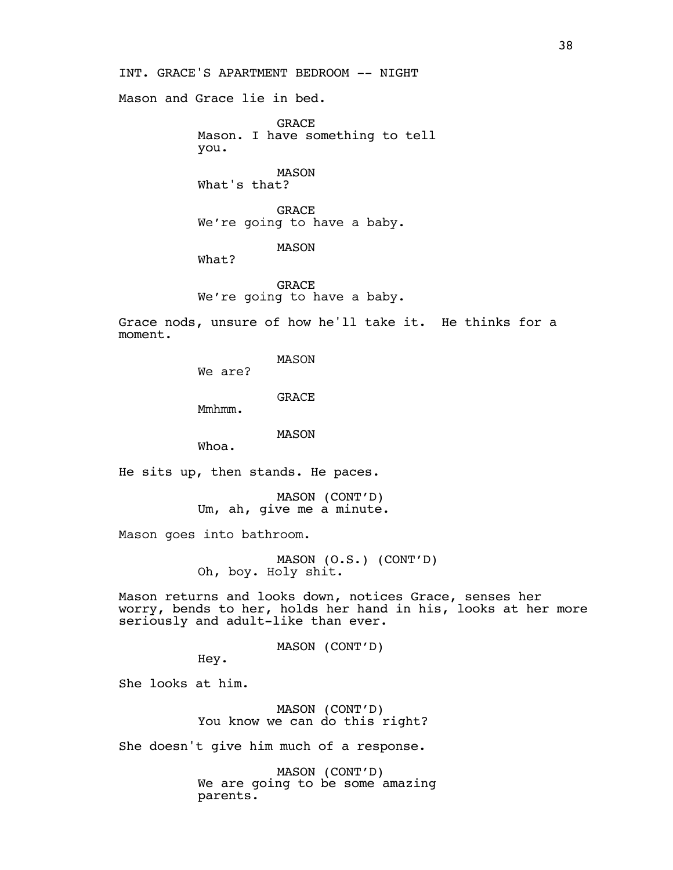INT. GRACE'S APARTMENT BEDROOM -- NIGHT

Mason and Grace lie in bed.

GRACE Mason. I have something to tell you.

MASON What's that?

GRACE We're going to have a baby.

MASON

What?

GRACE We're going to have a baby.

Grace nods, unsure of how he'll take it. He thinks for a moment.

MASON

We are?

GRACE

Mmhmm.

MASON

Whoa.

He sits up, then stands. He paces.

MASON (CONT'D) Um, ah, give me a minute.

Mason goes into bathroom.

MASON (O.S.) (CONT'D) Oh, boy. Holy shit.

Mason returns and looks down, notices Grace, senses her worry, bends to her, holds her hand in his, looks at her more seriously and adult-like than ever.

MASON (CONT'D)

Hey.

She looks at him.

MASON (CONT'D) You know we can do this right?

She doesn't give him much of a response.

MASON (CONT'D) We are going to be some amazing parents.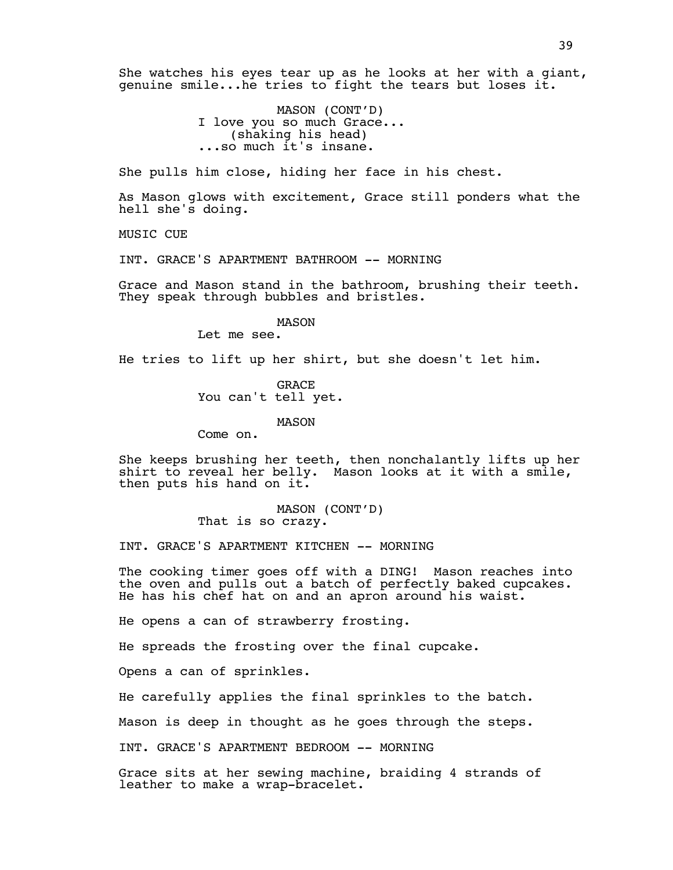She watches his eyes tear up as he looks at her with a giant, genuine smile...he tries to fight the tears but loses it.

> MASON (CONT'D) I love you so much Grace... (shaking his head) ...so much it's insane.

She pulls him close, hiding her face in his chest.

As Mason glows with excitement, Grace still ponders what the hell she's doing.

MUSIC CUE

INT. GRACE'S APARTMENT BATHROOM -- MORNING

Grace and Mason stand in the bathroom, brushing their teeth. They speak through bubbles and bristles.

MASON

Let me see.

He tries to lift up her shirt, but she doesn't let him.

GRACE You can't tell yet.

MASON

Come on.

She keeps brushing her teeth, then nonchalantly lifts up her shirt to reveal her belly. Mason looks at it with a smile, then puts his hand on it.

> MASON (CONT'D) That is so crazy.

INT. GRACE'S APARTMENT KITCHEN -- MORNING

The cooking timer goes off with a DING! Mason reaches into the oven and pulls out a batch of perfectly baked cupcakes. He has his chef hat on and an apron around his waist.

He opens a can of strawberry frosting.

He spreads the frosting over the final cupcake.

Opens a can of sprinkles.

He carefully applies the final sprinkles to the batch.

Mason is deep in thought as he goes through the steps.

INT. GRACE'S APARTMENT BEDROOM -- MORNING

Grace sits at her sewing machine, braiding 4 strands of leather to make a wrap-bracelet.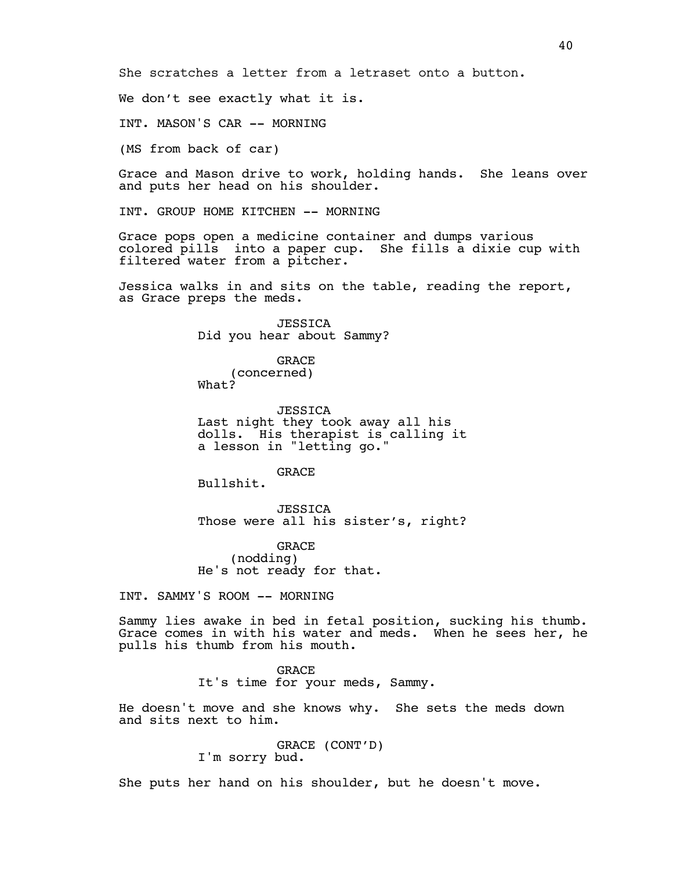She scratches a letter from a letraset onto a button.

We don't see exactly what it is.

INT. MASON'S CAR -- MORNING

(MS from back of car)

Grace and Mason drive to work, holding hands. She leans over and puts her head on his shoulder.

INT. GROUP HOME KITCHEN -- MORNING

Grace pops open a medicine container and dumps various colored pills into a paper cup. She fills a dixie cup with filtered water from a pitcher.

Jessica walks in and sits on the table, reading the report, as Grace preps the meds.

> JESSICA Did you hear about Sammy?

GRACE (concerned) What?

JESSICA Last night they took away all his dolls. His therapist is calling it a lesson in "letting go."

GRACE Bullshit.

JESSICA Those were all his sister's, right?

GRACE (nodding) He's not ready for that.

INT. SAMMY'S ROOM -- MORNING

Sammy lies awake in bed in fetal position, sucking his thumb. Grace comes in with his water and meds. When he sees her, he pulls his thumb from his mouth.

> GRACE It's time for your meds, Sammy.

He doesn't move and she knows why. She sets the meds down and sits next to him.

> GRACE (CONT'D) I'm sorry bud.

She puts her hand on his shoulder, but he doesn't move.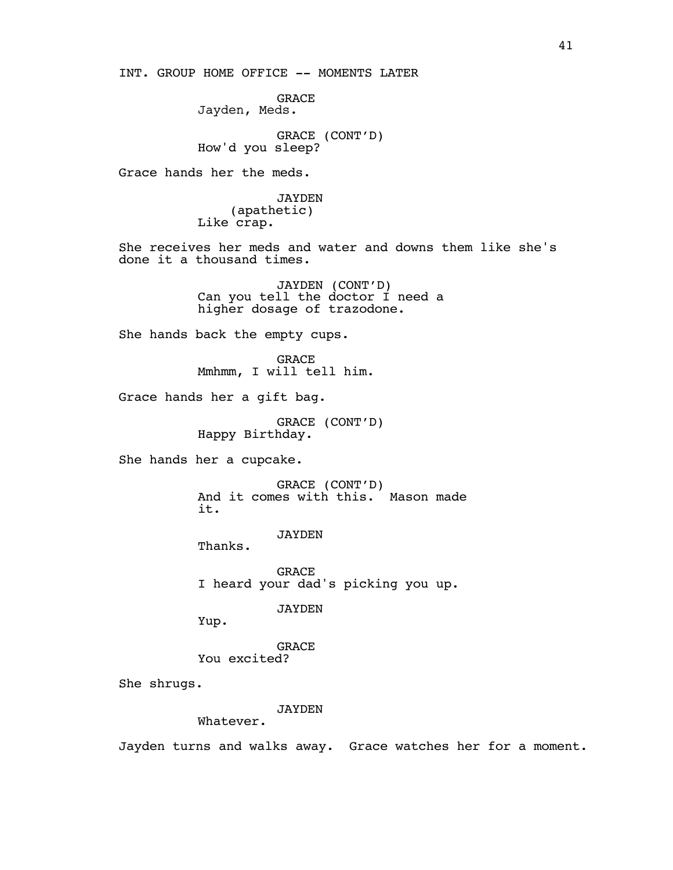INT. GROUP HOME OFFICE -- MOMENTS LATER

GRACE Jayden, Meds.

GRACE (CONT'D) How'd you sleep?

Grace hands her the meds.

JAYDEN (apathetic) Like crap.

She receives her meds and water and downs them like she's done it a thousand times.

> JAYDEN (CONT'D) Can you tell the doctor I need a higher dosage of trazodone.

She hands back the empty cups.

GRACE Mmhmm, I will tell him.

Grace hands her a gift bag.

GRACE (CONT'D) Happy Birthday.

She hands her a cupcake.

GRACE (CONT'D) And it comes with this. Mason made it.

JAYDEN

Thanks.

GRACE I heard your dad's picking you up.

JAYDEN

Yup.

GRACE You excited?

She shrugs.

JAYDEN

Whatever.

Jayden turns and walks away. Grace watches her for a moment.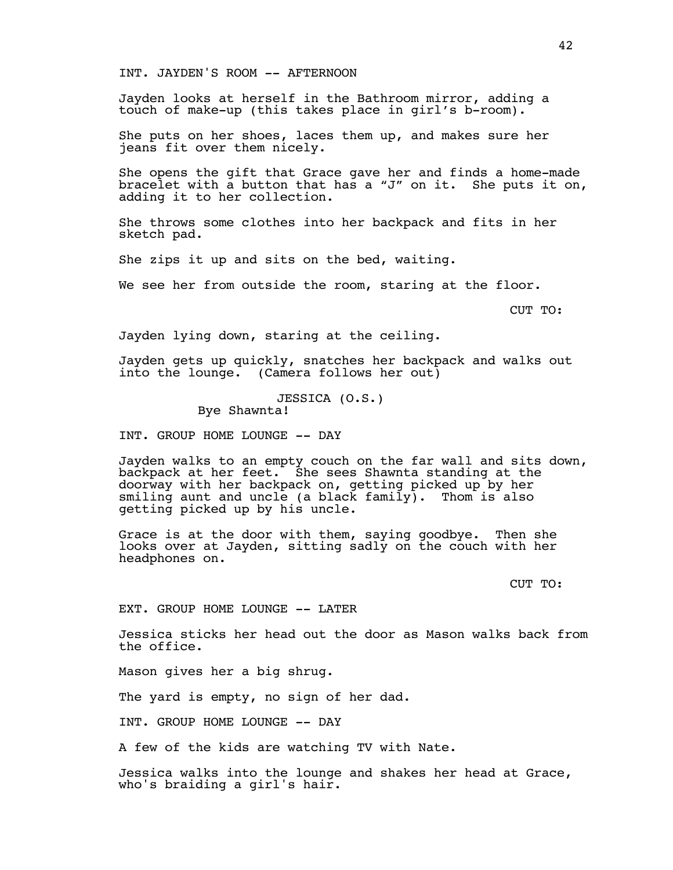INT. JAYDEN'S ROOM -- AFTERNOON

Jayden looks at herself in the Bathroom mirror, adding a touch of make-up (this takes place in girl's b-room).

She puts on her shoes, laces them up, and makes sure her jeans fit over them nicely.

She opens the gift that Grace gave her and finds a home-made bracelet with a button that has a "J" on it. She puts it on, adding it to her collection.

She throws some clothes into her backpack and fits in her sketch pad.

She zips it up and sits on the bed, waiting.

We see her from outside the room, staring at the floor.

CUT TO:

Jayden lying down, staring at the ceiling.

Jayden gets up quickly, snatches her backpack and walks out into the lounge. (Camera follows her out)

# JESSICA (O.S.)

Bye Shawnta!

INT. GROUP HOME LOUNGE -- DAY

Jayden walks to an empty couch on the far wall and sits down, backpack at her feet. She sees Shawnta standing at the doorway with her backpack on, getting picked up by her smiling aunt and uncle (a black family). Thom is also getting picked up by his uncle.

Grace is at the door with them, saying goodbye. Then she looks over at Jayden, sitting sadly on the couch with her headphones on.

CUT TO:

EXT. GROUP HOME LOUNGE -- LATER

Jessica sticks her head out the door as Mason walks back from the office.

Mason gives her a big shrug.

The yard is empty, no sign of her dad.

INT. GROUP HOME LOUNGE -- DAY

A few of the kids are watching TV with Nate.

Jessica walks into the lounge and shakes her head at Grace, who's braiding a girl's hair.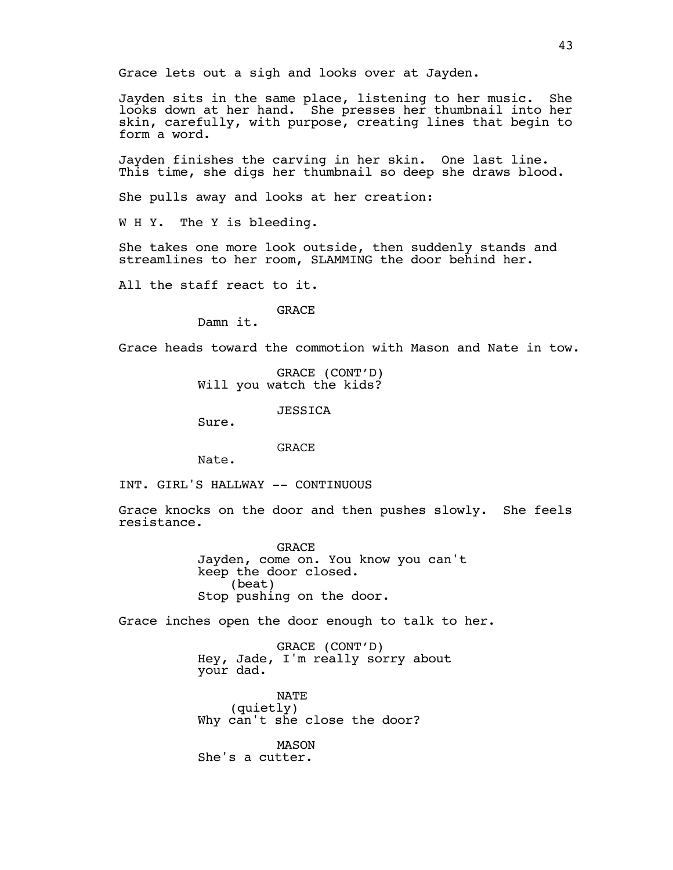Grace lets out a sigh and looks over at Jayden.

Jayden sits in the same place, listening to her music. She looks down at her hand. She presses her thumbnail into her skin, carefully, with purpose, creating lines that begin to form a word.

Jayden finishes the carving in her skin. One last line. This time, she digs her thumbnail so deep she draws blood.

She pulls away and looks at her creation:

W H Y. The Y is bleeding.

She takes one more look outside, then suddenly stands and streamlines to her room, SLAMMING the door behind her.

All the staff react to it.

GRACE

Damn it.

Grace heads toward the commotion with Mason and Nate in tow.

GRACE (CONT'D) Will you watch the kids?

JESSICA

Sure.

## GRACE

Nate.

INT. GIRL'S HALLWAY -- CONTINUOUS

Grace knocks on the door and then pushes slowly. She feels resistance.

> GRACE Jayden, come on. You know you can't keep the door closed. (beat) Stop pushing on the door.

Grace inches open the door enough to talk to her.

GRACE (CONT'D) Hey, Jade, I'm really sorry about your dad.

NATE (quietly) Why can't she close the door?

MASON She's a cutter.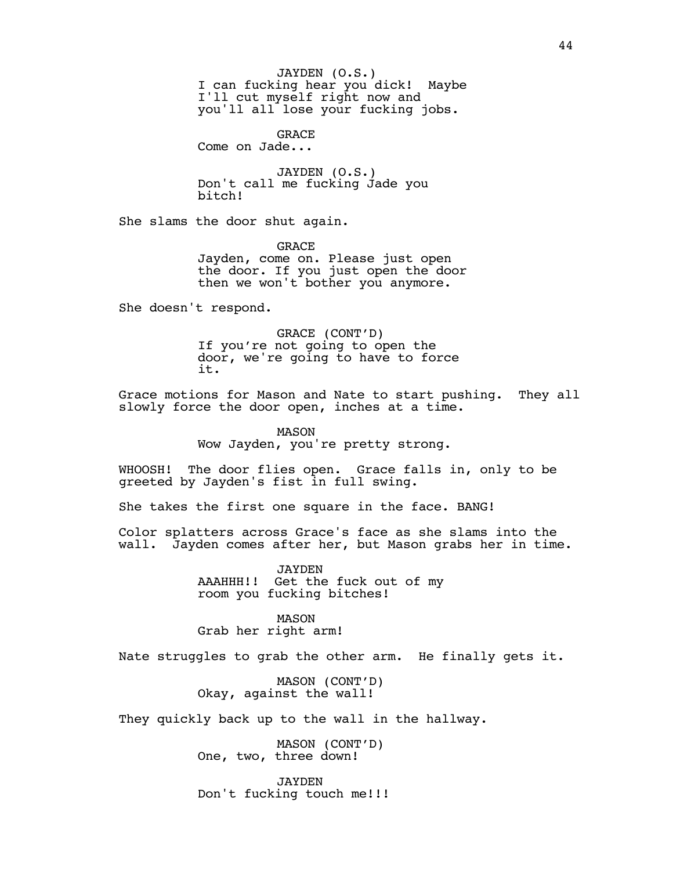## JAYDEN (O.S.)

I can fucking hear you dick! Maybe I'll cut myself right now and you'll all lose your fucking jobs.

GRACE

Come on Jade...

JAYDEN (O.S.) Don't call me fucking Jade you bitch!

She slams the door shut again.

GRACE Jayden, come on. Please just open the door. If you just open the door then we won't bother you anymore.

She doesn't respond.

GRACE (CONT'D) If you're not going to open the door, we're going to have to force it.

Grace motions for Mason and Nate to start pushing. They all slowly force the door open, inches at a time.

> MASON Wow Jayden, you're pretty strong.

WHOOSH! The door flies open. Grace falls in, only to be greeted by Jayden's fist in full swing.

She takes the first one square in the face. BANG!

Color splatters across Grace's face as she slams into the wall. Jayden comes after her, but Mason grabs her in time.

> JAYDEN AAAHHH!! Get the fuck out of my room you fucking bitches!

MASON Grab her right arm!

Nate struggles to grab the other arm. He finally gets it.

MASON (CONT'D) Okay, against the wall!

They quickly back up to the wall in the hallway.

MASON (CONT'D) One, two, three down!

JAYDEN Don't fucking touch me!!!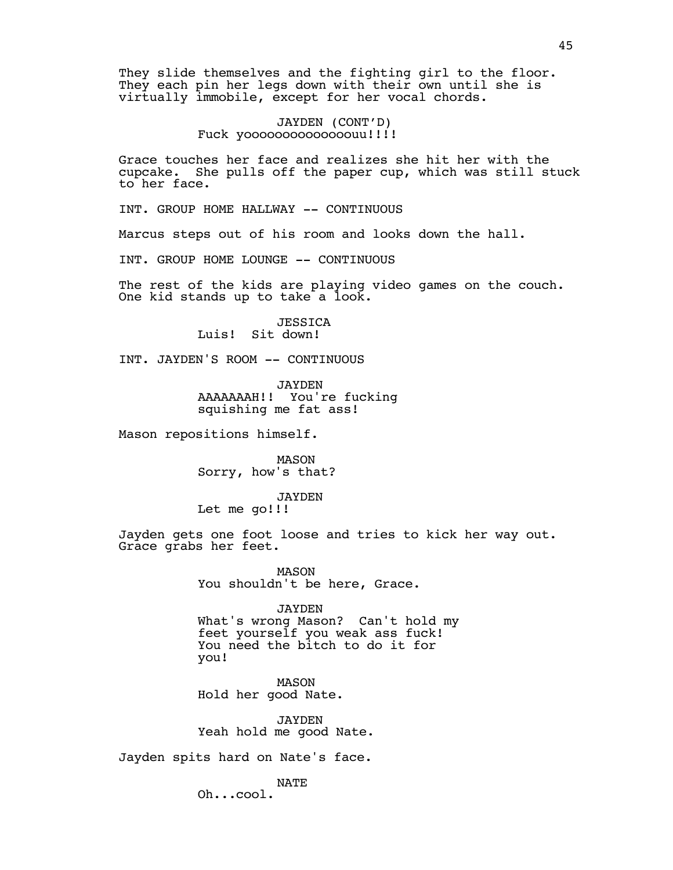They slide themselves and the fighting girl to the floor. They each pin her legs down with their own until she is virtually immobile, except for her vocal chords.

# JAYDEN (CONT'D) Fuck yoooooooooooooouu!!!!

Grace touches her face and realizes she hit her with the cupcake. She pulls off the paper cup, which was still stuck to her face.

INT. GROUP HOME HALLWAY -- CONTINUOUS

Marcus steps out of his room and looks down the hall.

INT. GROUP HOME LOUNGE -- CONTINUOUS

The rest of the kids are playing video games on the couch. One kid stands up to take a look.

> JESSICA Luis! Sit down!

INT. JAYDEN'S ROOM -- CONTINUOUS

JAYDEN AAAAAAAH!! You're fucking squishing me fat ass!

Mason repositions himself.

MASON Sorry, how's that?

JAYDEN

Let me go!!!

Jayden gets one foot loose and tries to kick her way out. Grace grabs her feet.

> MASON You shouldn't be here, Grace.

JAYDEN What's wrong Mason? Can't hold my feet yourself you weak ass fuck! You need the bitch to do it for you!

MASON Hold her good Nate.

JAYDEN Yeah hold me good Nate.

Jayden spits hard on Nate's face.

NATE Oh...cool.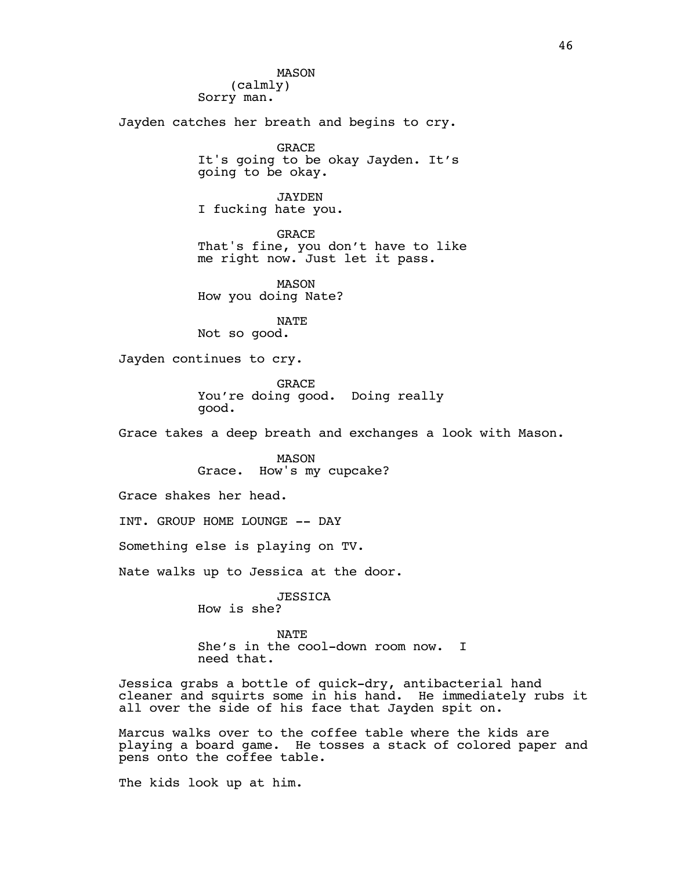MASON (calmly) Sorry man.

Jayden catches her breath and begins to cry.

**GRACE** It's going to be okay Jayden. It's going to be okay.

JAYDEN I fucking hate you.

GRACE That's fine, you don't have to like me right now. Just let it pass.

MASON How you doing Nate?

NATE Not so good.

Jayden continues to cry.

GRACE You're doing good. Doing really good.

Grace takes a deep breath and exchanges a look with Mason.

MASON Grace. How's my cupcake?

Grace shakes her head.

INT. GROUP HOME LOUNGE -- DAY

Something else is playing on TV.

Nate walks up to Jessica at the door.

*JESSICA* How is she?

NATE She's in the cool-down room now. I need that.

Jessica grabs a bottle of quick-dry, antibacterial hand cleaner and squirts some in his hand. He immediately rubs it all over the side of his face that Jayden spit on.

Marcus walks over to the coffee table where the kids are playing a board game. He tosses a stack of colored paper and pens onto the coffee table.

The kids look up at him.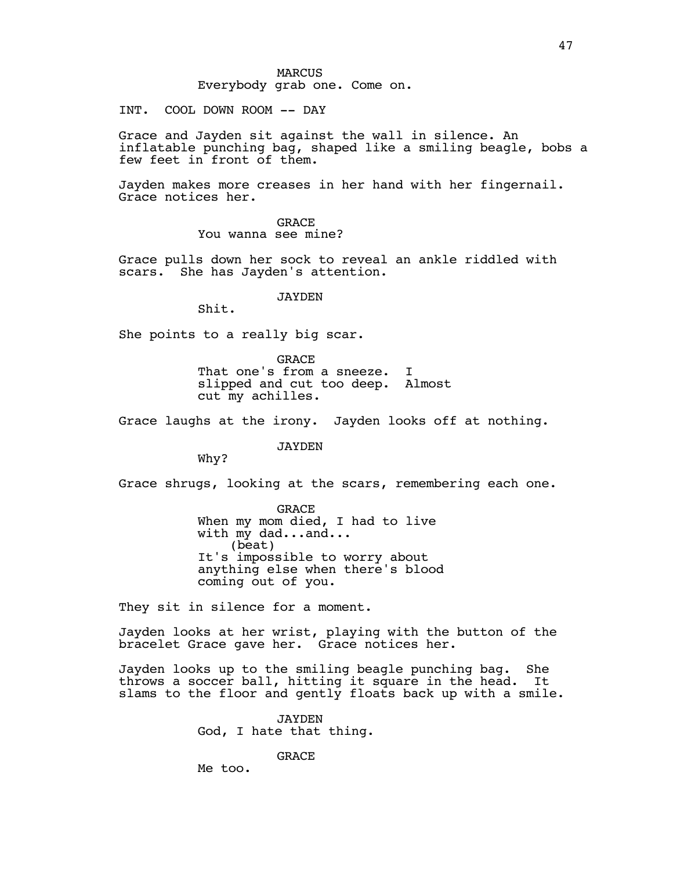# MARCUS Everybody grab one. Come on.

INT. COOL DOWN ROOM -- DAY

Grace and Jayden sit against the wall in silence. An inflatable punching bag, shaped like a smiling beagle, bobs a few feet in front of them.

Jayden makes more creases in her hand with her fingernail. Grace notices her.

> GRACE You wanna see mine?

Grace pulls down her sock to reveal an ankle riddled with scars. She has Jayden's attention.

## JAYDEN

Shit.

Why?

She points to a really big scar.

GRACE That one's from a sneeze. I slipped and cut too deep. Almost cut my achilles.

Grace laughs at the irony. Jayden looks off at nothing.

JAYDEN

Grace shrugs, looking at the scars, remembering each one.

GRACE When my mom died, I had to live with my dad...and... (beat) It's impossible to worry about anything else when there's blood coming out of you.

They sit in silence for a moment.

Jayden looks at her wrist, playing with the button of the bracelet Grace gave her. Grace notices her.

Jayden looks up to the smiling beagle punching bag. She throws a soccer ball, hitting it square in the head. It slams to the floor and gently floats back up with a smile.

> JAYDEN God, I hate that thing.

> > GRACE

Me too.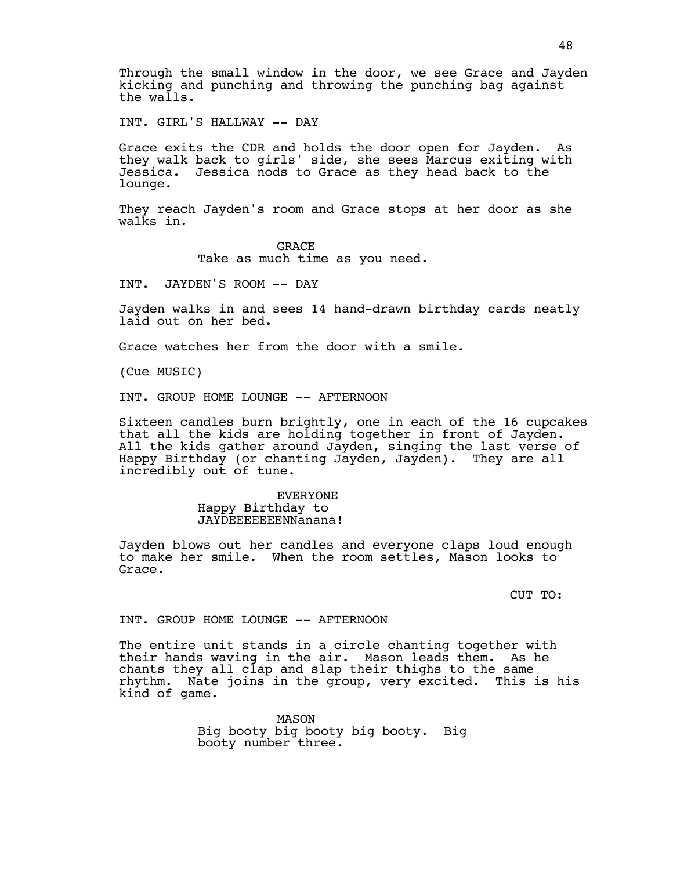Through the small window in the door, we see Grace and Jayden kicking and punching and throwing the punching bag against the walls.

INT. GIRL'S HALLWAY -- DAY

Grace exits the CDR and holds the door open for Jayden. As they walk back to girls' side, she sees Marcus exiting with Jessica. Jessica nods to Grace as they head back to the lounge.

They reach Jayden's room and Grace stops at her door as she walks in.

> GRACE Take as much time as you need.

INT. JAYDEN'S ROOM -- DAY

Jayden walks in and sees 14 hand-drawn birthday cards neatly laid out on her bed.

Grace watches her from the door with a smile.

(Cue MUSIC)

INT. GROUP HOME LOUNGE -- AFTERNOON

Sixteen candles burn brightly, one in each of the 16 cupcakes that all the kids are holding together in front of Jayden. All the kids gather around Jayden, singing the last verse of Happy Birthday (or chanting Jayden, Jayden). They are all incredibly out of tune.

> EVERYONE Happy Birthday to JAYDEEEEEEENNanana!

Jayden blows out her candles and everyone claps loud enough to make her smile. When the room settles, Mason looks to Grace.

CUT TO:

INT. GROUP HOME LOUNGE -- AFTERNOON

The entire unit stands in a circle chanting together with their hands waving in the air. Mason leads them. As he chants they all clap and slap their thighs to the same rhythm. Nate joins in the group, very excited. This is his kind of game.

> MASON Big booty big booty big booty. Big booty number three.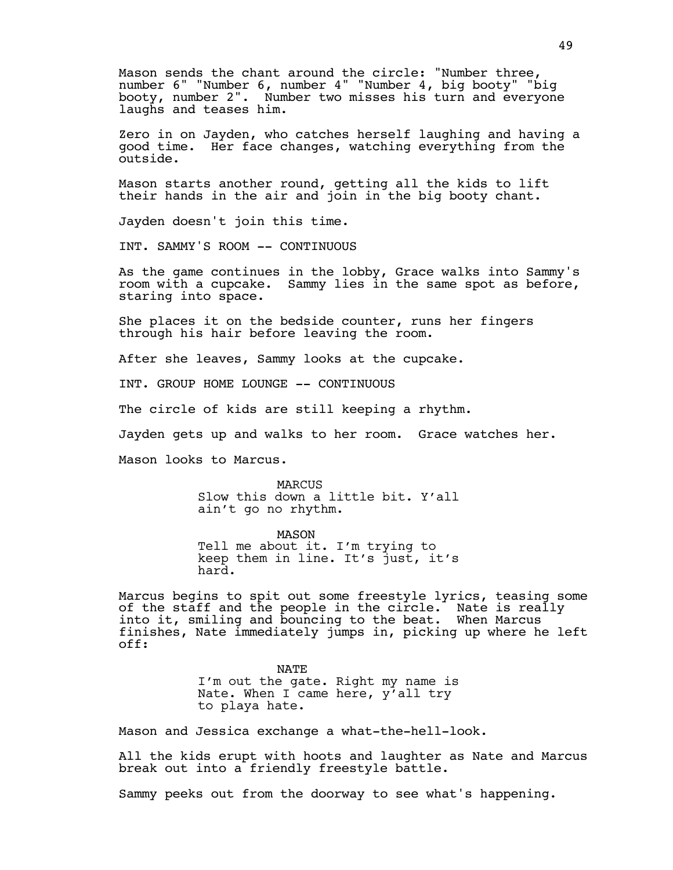Mason sends the chant around the circle: "Number three, number 6" "Number 6, number 4" "Number 4, big booty" "big booty, number 2". Number two misses his turn and everyone laughs and teases him.

Zero in on Jayden, who catches herself laughing and having a good time. Her face changes, watching everything from the outside.

Mason starts another round, getting all the kids to lift their hands in the air and join in the big booty chant.

Jayden doesn't join this time.

INT. SAMMY'S ROOM -- CONTINUOUS

As the game continues in the lobby, Grace walks into Sammy's room with a cupcake. Sammy lies in the same spot as before, staring into space.

She places it on the bedside counter, runs her fingers through his hair before leaving the room.

After she leaves, Sammy looks at the cupcake.

INT. GROUP HOME LOUNGE -- CONTINUOUS

The circle of kids are still keeping a rhythm.

Jayden gets up and walks to her room. Grace watches her.

Mason looks to Marcus.

**MARCUS** Slow this down a little bit. Y'all ain't go no rhythm.

MASON Tell me about it. I'm trying to keep them in line. It's just, it's hard.

Marcus begins to spit out some freestyle lyrics, teasing some of the staff and the people in the circle. Nate is really into it, smiling and bouncing to the beat. When Marcus finishes, Nate immediately jumps in, picking up where he left off:

> NATE I'm out the gate. Right my name is Nate. When I came here, y'all try to playa hate.

Mason and Jessica exchange a what-the-hell-look.

All the kids erupt with hoots and laughter as Nate and Marcus break out into a friendly freestyle battle.

Sammy peeks out from the doorway to see what's happening.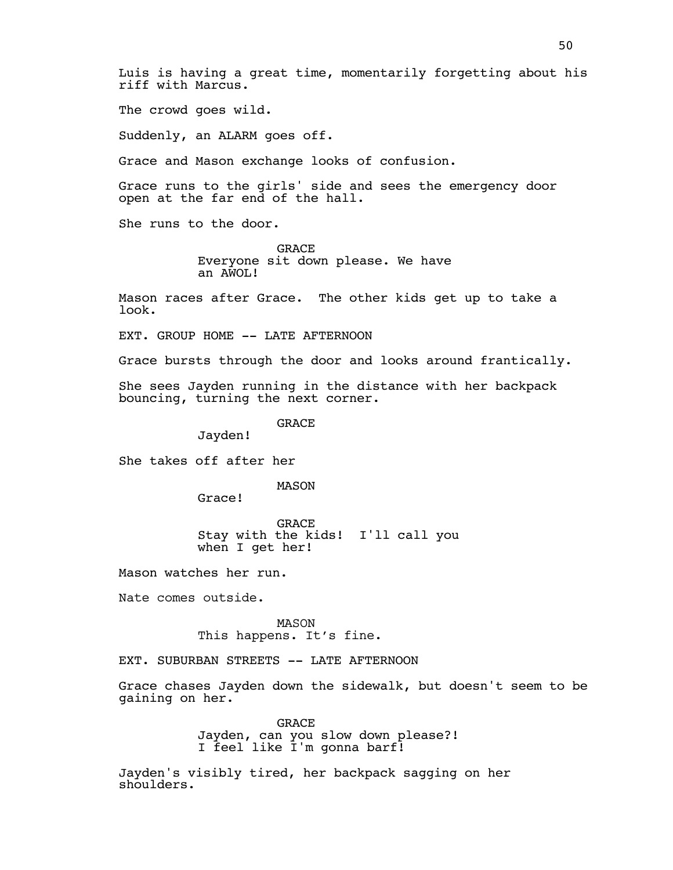Luis is having a great time, momentarily forgetting about his riff with Marcus.

The crowd goes wild.

Suddenly, an ALARM goes off.

Grace and Mason exchange looks of confusion.

Grace runs to the girls' side and sees the emergency door open at the far end of the hall.

She runs to the door.

GRACE Everyone sit down please. We have an AWOL!

Mason races after Grace. The other kids get up to take a look.

EXT. GROUP HOME -- LATE AFTERNOON

Grace bursts through the door and looks around frantically.

She sees Jayden running in the distance with her backpack bouncing, turning the next corner.

GRACE

Jayden!

She takes off after her

MASON

Grace!

GRACE Stay with the kids! I'll call you when I get her!

Mason watches her run.

Nate comes outside.

MASON This happens. It's fine.

EXT. SUBURBAN STREETS -- LATE AFTERNOON

Grace chases Jayden down the sidewalk, but doesn't seem to be gaining on her.

> GRACE Jayden, can you slow down please?! I feel like I'm gonna barf!

Jayden's visibly tired, her backpack sagging on her shoulders.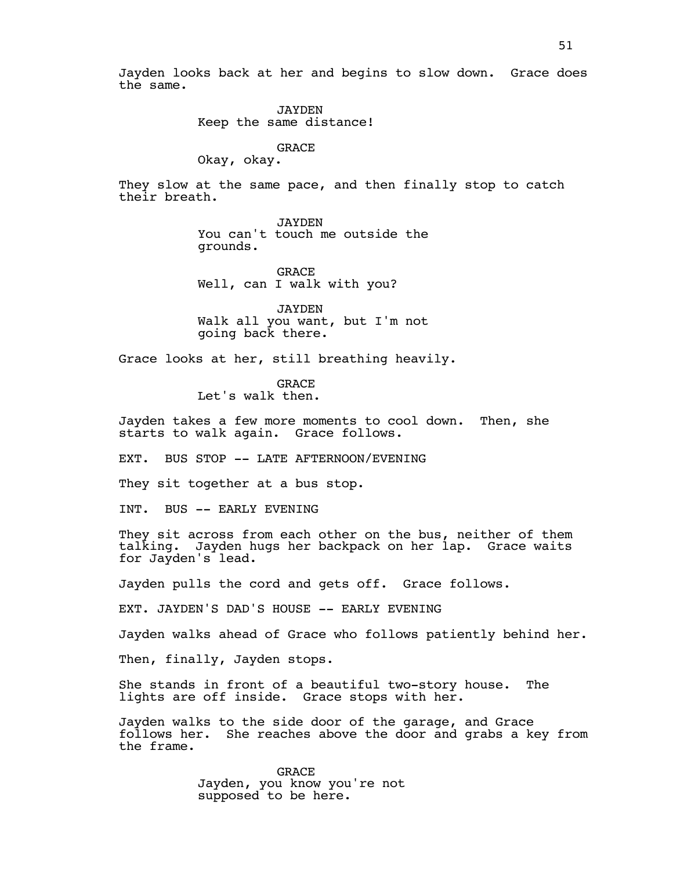Jayden looks back at her and begins to slow down. Grace does the same.

> JAYDEN Keep the same distance!

# GRACE

Okay, okay.

They slow at the same pace, and then finally stop to catch their breath.

> JAYDEN You can't touch me outside the grounds.

GRACE Well, can I walk with you?

JAYDEN Walk all you want, but I'm not going back there.

Grace looks at her, still breathing heavily.

GRACE Let's walk then.

Jayden takes a few more moments to cool down. Then, she starts to walk again. Grace follows.

EXT. BUS STOP -- LATE AFTERNOON/EVENING

They sit together at a bus stop.

INT. BUS -- EARLY EVENING

They sit across from each other on the bus, neither of them talking. Jayden hugs her backpack on her lap. Grace waits for Jayden's lead.

Jayden pulls the cord and gets off. Grace follows.

EXT. JAYDEN'S DAD'S HOUSE -- EARLY EVENING

Jayden walks ahead of Grace who follows patiently behind her.

Then, finally, Jayden stops.

She stands in front of a beautiful two-story house. The lights are off inside. Grace stops with her.

Jayden walks to the side door of the garage, and Grace follows her. She reaches above the door and grabs a key from the frame.

> GRACE Jayden, you know you're not supposed to be here.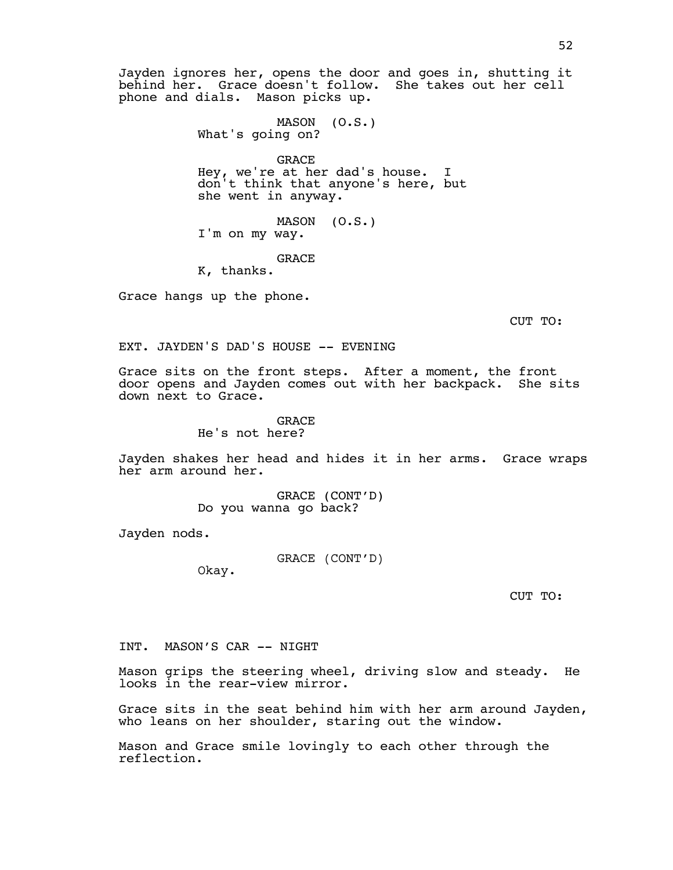Jayden ignores her, opens the door and goes in, shutting it behind her. Grace doesn't follow. She takes out her cell phone and dials. Mason picks up.

> MASON (O.S.) What's going on?

> > GRACE

Hey, we're at her dad's house. I don't think that anyone's here, but she went in anyway.

MASON (O.S.) I'm on my way.

#### GRACE

K, thanks.

Grace hangs up the phone.

CUT TO:

EXT. JAYDEN'S DAD'S HOUSE -- EVENING

Grace sits on the front steps. After a moment, the front door opens and Jayden comes out with her backpack. She sits down next to Grace.

> **GRACE** He's not here?

Jayden shakes her head and hides it in her arms. Grace wraps her arm around her.

> GRACE (CONT'D) Do you wanna go back?

Jayden nods.

GRACE (CONT'D)

Okay.

CUT TO:

INT. MASON'S CAR -- NIGHT

Mason grips the steering wheel, driving slow and steady. He looks in the rear-view mirror.

Grace sits in the seat behind him with her arm around Jayden, who leans on her shoulder, staring out the window.

Mason and Grace smile lovingly to each other through the reflection.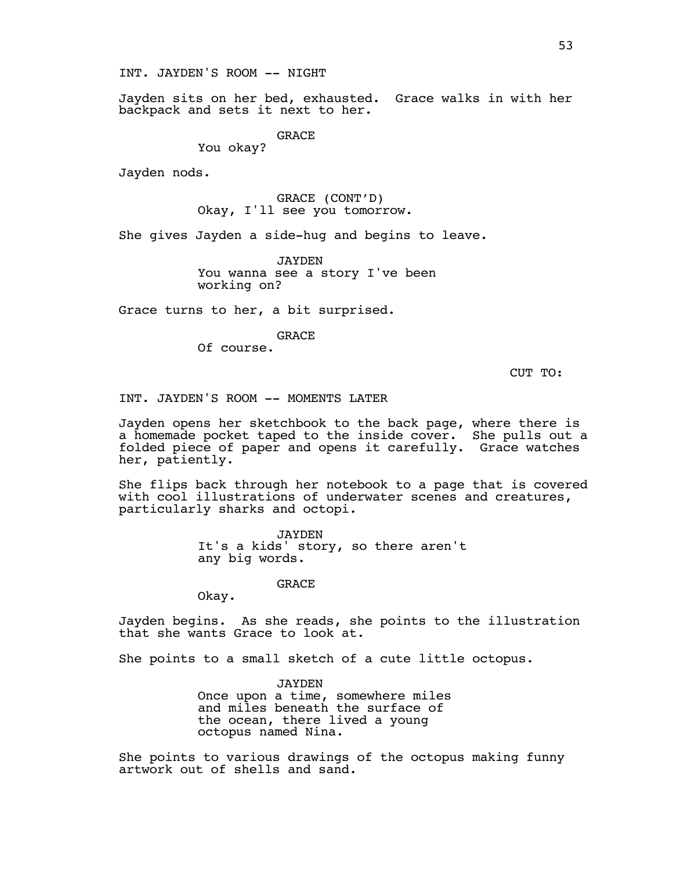INT. JAYDEN'S ROOM -- NIGHT

Jayden sits on her bed, exhausted. Grace walks in with her backpack and sets it next to her.

GRACE

You okay?

Jayden nods.

GRACE (CONT'D) Okay, I'll see you tomorrow.

She gives Jayden a side-hug and begins to leave.

JAYDEN You wanna see a story I've been working on?

Grace turns to her, a bit surprised.

GRACE

Of course.

CUT TO:

INT. JAYDEN'S ROOM -- MOMENTS LATER

Jayden opens her sketchbook to the back page, where there is a homemade pocket taped to the inside cover. She pulls out a folded piece of paper and opens it carefully. Grace watches her, patiently.

She flips back through her notebook to a page that is covered with cool illustrations of underwater scenes and creatures, particularly sharks and octopi.

> JAYDEN It's a kids' story, so there aren't any big words.

> > **GRACE**

Okay.

Jayden begins. As she reads, she points to the illustration that she wants Grace to look at.

She points to a small sketch of a cute little octopus.

JAYDEN Once upon a time, somewhere miles and miles beneath the surface of the ocean, there lived a young octopus named Nina.

She points to various drawings of the octopus making funny artwork out of shells and sand.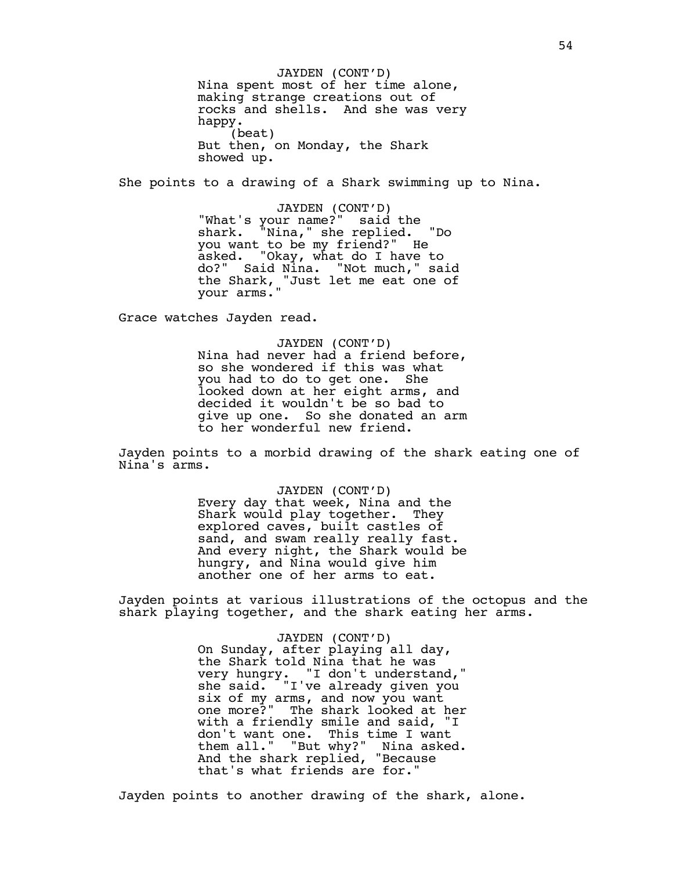JAYDEN (CONT'D) Nina spent most of her time alone, making strange creations out of rocks and shells. And she was very happy. (beat) But then, on Monday, the Shark showed up.

She points to a drawing of a Shark swimming up to Nina.

JAYDEN (CONT'D) "What's your name?" said the "Nina," she replied. you want to be my friend?" He asked. "Okay, what do I have to do?" Said Nina. "Not much," said the Shark, "Just let me eat one of your arms."

Grace watches Jayden read.

JAYDEN (CONT'D) Nina had never had a friend before, so she wondered if this was what you had to do to get one. She looked down at her eight arms, and decided it wouldn't be so bad to give up one. So she donated an arm to her wonderful new friend.

Jayden points to a morbid drawing of the shark eating one of Nina's arms.

> JAYDEN (CONT'D) Every day that week, Nina and the Shark would play together. They explored caves, built castles of sand, and swam really really fast. And every night, the Shark would be hungry, and Nina would give him another one of her arms to eat.

Jayden points at various illustrations of the octopus and the shark playing together, and the shark eating her arms.

> JAYDEN (CONT'D) On Sunday, after playing all day, the Shark told Nina that he was very hungry. "I don't understand," she said. "I've already given you six of my arms, and now you want one more?" The shark looked at her with a friendly smile and said, "I don't want one. This time I want them all." "But why?" Nina asked. And the shark replied, "Because that's what friends are for."

Jayden points to another drawing of the shark, alone.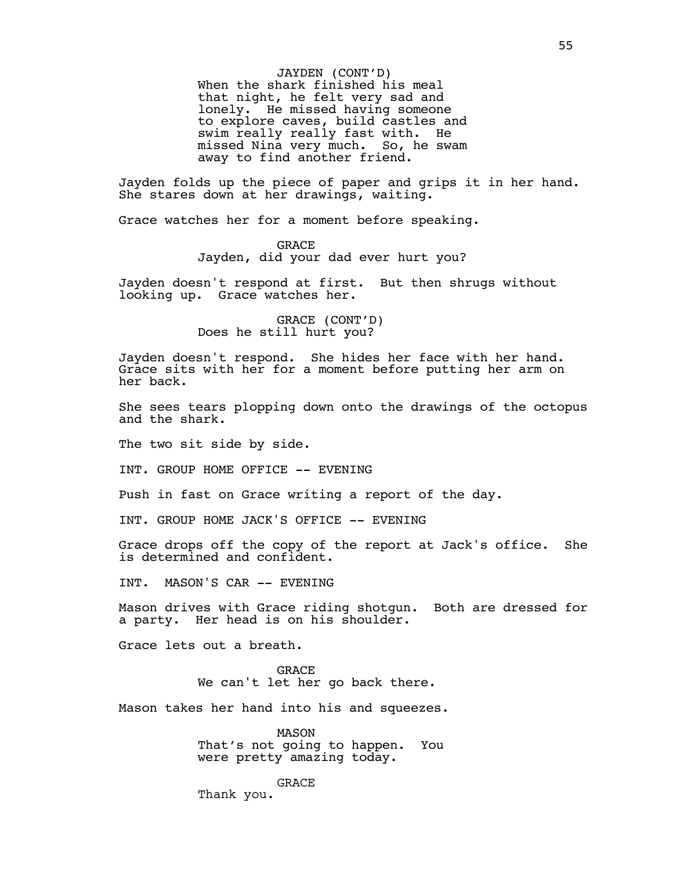### JAYDEN (CONT'D)

When the shark finished his meal that night, he felt very sad and lonely. He missed having someone to explore caves, build castles and swim really really fast with. He missed Nina very much. So, he swam away to find another friend.

Jayden folds up the piece of paper and grips it in her hand. She stares down at her drawings, waiting.

Grace watches her for a moment before speaking.

GRACE Jayden, did your dad ever hurt you?

Jayden doesn't respond at first. But then shrugs without looking up. Grace watches her.

> GRACE (CONT'D) Does he still hurt you?

Jayden doesn't respond. She hides her face with her hand. Grace sits with her for a moment before putting her arm on her back.

She sees tears plopping down onto the drawings of the octopus and the shark.

The two sit side by side.

INT. GROUP HOME OFFICE -- EVENING

Push in fast on Grace writing a report of the day.

INT. GROUP HOME JACK'S OFFICE -- EVENING

Grace drops off the copy of the report at Jack's office. She is determined and confident.

INT. MASON'S CAR -- EVENING

Mason drives with Grace riding shotgun. Both are dressed for a party. Her head is on his shoulder.

Grace lets out a breath.

GRACE We can't let her go back there.

Mason takes her hand into his and squeezes.

MASON That's not going to happen. You were pretty amazing today.

GRACE Thank you.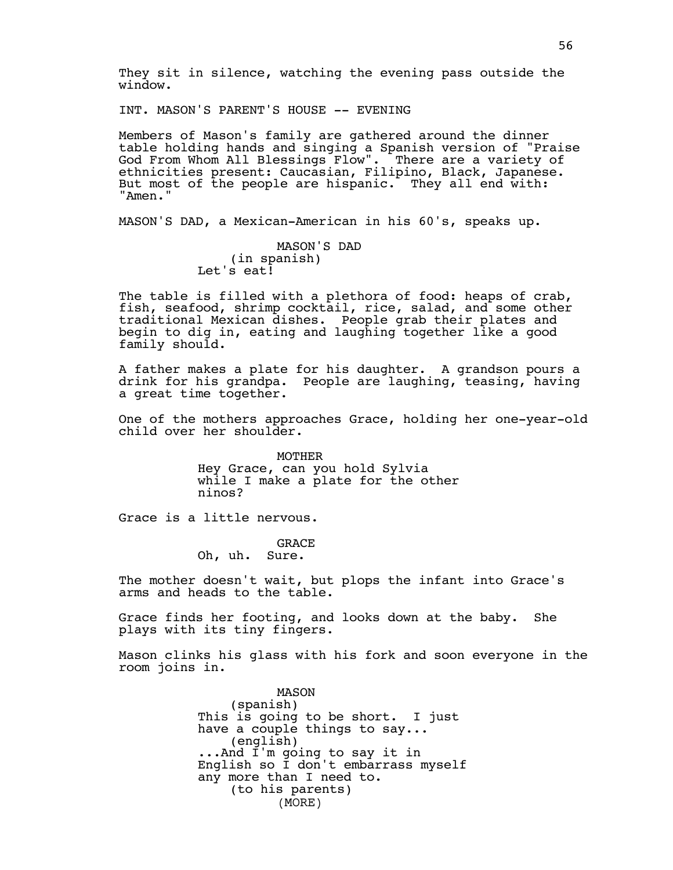They sit in silence, watching the evening pass outside the window.

INT. MASON'S PARENT'S HOUSE -- EVENING

Members of Mason's family are gathered around the dinner table holding hands and singing a Spanish version of "Praise God From Whom All Blessings Flow". There are a variety of ethnicities present: Caucasian, Filipino, Black, Japanese. But most of the people are hispanic. They all end with: "Amen."

MASON'S DAD, a Mexican-American in his 60's, speaks up.

MASON'S DAD (in spanish) Let's eat!

The table is filled with a plethora of food: heaps of crab, fish, seafood, shrimp cocktail, rice, salad, and some other traditional Mexican dishes. People grab their plates and begin to dig in, eating and laughing together like a good family should.

A father makes a plate for his daughter. A grandson pours a drink for his grandpa. People are laughing, teasing, having a great time together.

One of the mothers approaches Grace, holding her one-year-old child over her shoulder.

> MOTHER Hey Grace, can you hold Sylvia while I make a plate for the other ninos?

Grace is a little nervous.

GRACE

Oh, uh. Sure.

The mother doesn't wait, but plops the infant into Grace's arms and heads to the table.

Grace finds her footing, and looks down at the baby. She plays with its tiny fingers.

Mason clinks his glass with his fork and soon everyone in the room joins in.

> MASON (spanish) This is going to be short. I just have a couple things to say... (english) ...And I'm going to say it in English so I don't embarrass myself any more than I need to. (to his parents) (MORE)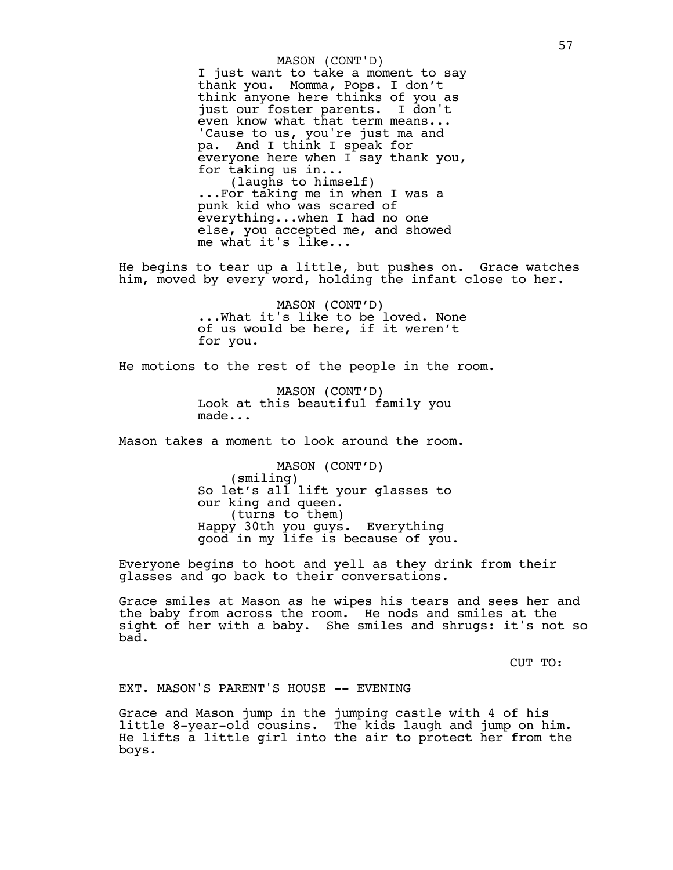I just want to take a moment to say thank you. Momma, Pops. I don't think anyone here thinks of you as just our foster parents. I don't even know what that term means... 'Cause to us, you're just ma and pa. And I think I speak for everyone here when I say thank you, for taking us in... (laughs to himself) MASON (CONT'D)

...For taking me in when I was a punk kid who was scared of everything...when I had no one else, you accepted me, and showed me what it's like...

He begins to tear up a little, but pushes on. Grace watches him, moved by every word, holding the infant close to her.

> MASON (CONT'D) ...What it's like to be loved. None of us would be here, if it weren't for you.

He motions to the rest of the people in the room.

MASON (CONT'D) Look at this beautiful family you made...

Mason takes a moment to look around the room.

MASON (CONT'D) (smiling) So let's all lift your glasses to our king and queen. (turns to them) Happy 30th you guys. Everything good in my life is because of you.

Everyone begins to hoot and yell as they drink from their glasses and go back to their conversations.

Grace smiles at Mason as he wipes his tears and sees her and the baby from across the room. He nods and smiles at the sight of her with a baby. She smiles and shrugs: it's not so bad.

CUT TO:

EXT. MASON'S PARENT'S HOUSE -- EVENING

Grace and Mason jump in the jumping castle with 4 of his little 8-year-old cousins. The kids laugh and jump on him. He lifts a little girl into the air to protect her from the boys.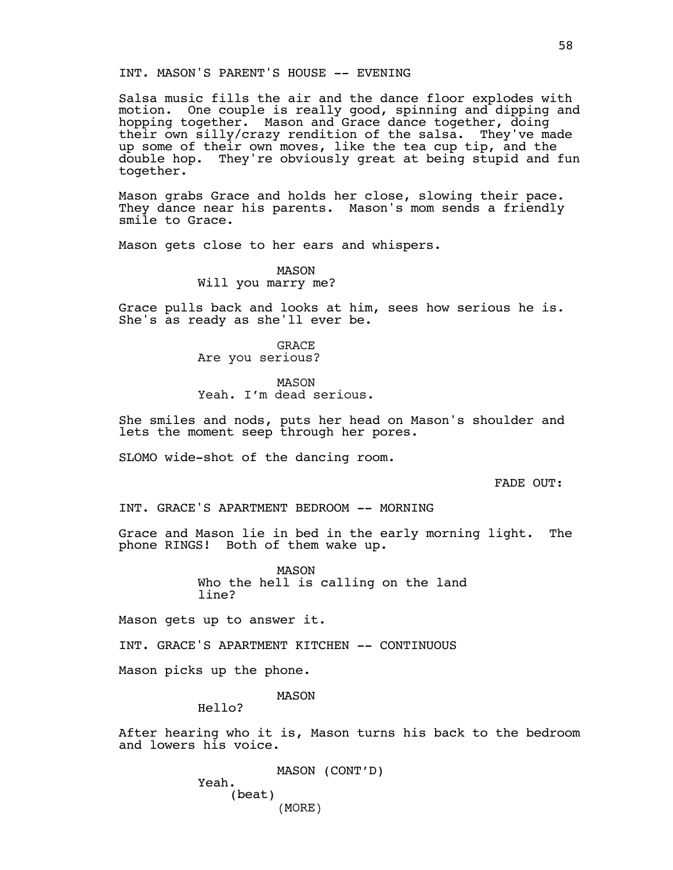## INT. MASON'S PARENT'S HOUSE -- EVENING

Salsa music fills the air and the dance floor explodes with motion. One couple is really good, spinning and dipping and hopping together. Mason and Grace dance together, doing their own silly/crazy rendition of the salsa. They've made up some of their own moves, like the tea cup tip, and the double hop. They're obviously great at being stupid and fun together.

Mason grabs Grace and holds her close, slowing their pace. They dance near his parents. Mason's mom sends a friendly smile to Grace.

Mason gets close to her ears and whispers.

MASON Will you marry me?

Grace pulls back and looks at him, sees how serious he is. She's as ready as she'll ever be.

> GRACE Are you serious?

MASON Yeah. I'm dead serious.

She smiles and nods, puts her head on Mason's shoulder and lets the moment seep through her pores.

SLOMO wide-shot of the dancing room.

FADE OUT:

INT. GRACE'S APARTMENT BEDROOM -- MORNING

Grace and Mason lie in bed in the early morning light. The phone RINGS! Both of them wake up.

> MASON Who the hell is calling on the land line?

Mason gets up to answer it.

INT. GRACE'S APARTMENT KITCHEN -- CONTINUOUS

Mason picks up the phone.

MASON

Hello?

After hearing who it is, Mason turns his back to the bedroom and lowers his voice.

> MASON (CONT'D) Yeah. (beat) (MORE)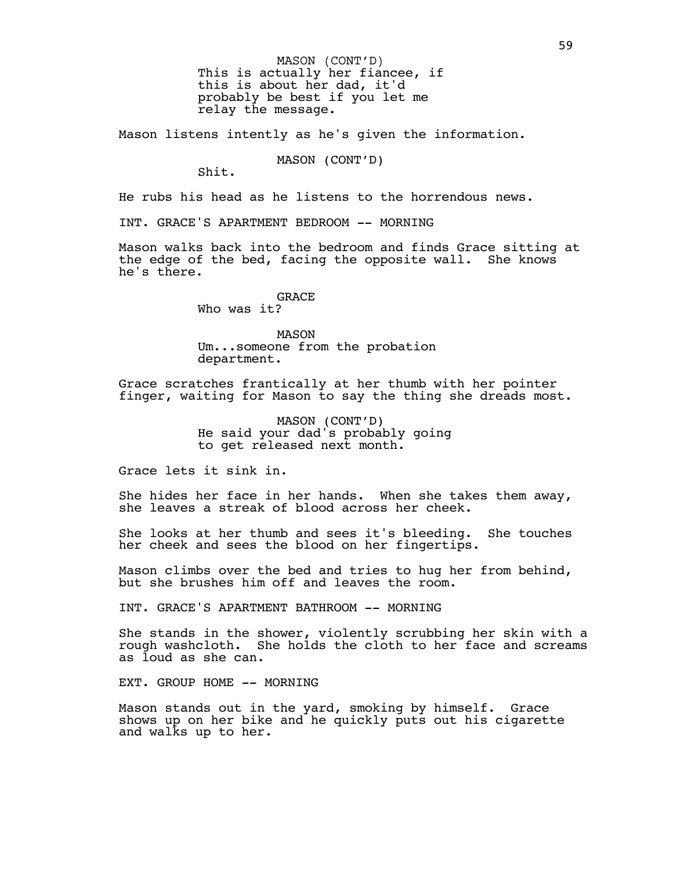This is actually her fiancee, if this is about her dad, it'd probably be best if you let me relay the message. MASON (CONT'D)

Mason listens intently as he's given the information.

MASON (CONT'D)

Shit.

He rubs his head as he listens to the horrendous news.

INT. GRACE'S APARTMENT BEDROOM -- MORNING

Mason walks back into the bedroom and finds Grace sitting at the edge of the bed, facing the opposite wall. She knows he's there.

#### GRACE Who was it?

MASON Um...someone from the probation department.

Grace scratches frantically at her thumb with her pointer finger, waiting for Mason to say the thing she dreads most.

> MASON (CONT'D) He said your dad's probably going to get released next month.

Grace lets it sink in.

She hides her face in her hands. When she takes them away, she leaves a streak of blood across her cheek.

She looks at her thumb and sees it's bleeding. She touches her cheek and sees the blood on her fingertips.

Mason climbs over the bed and tries to hug her from behind, but she brushes him off and leaves the room.

INT. GRACE'S APARTMENT BATHROOM -- MORNING

She stands in the shower, violently scrubbing her skin with a rough washcloth. She holds the cloth to her face and screams as loud as she can.

EXT. GROUP HOME -- MORNING

Mason stands out in the yard, smoking by himself. Grace shows up on her bike and he quickly puts out his cigarette and walks up to her.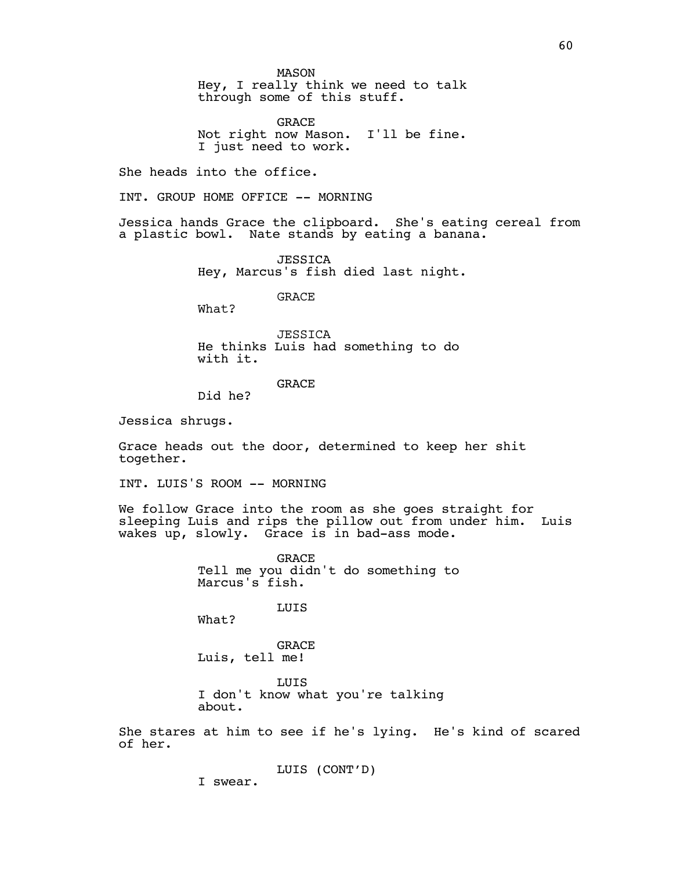MASON Hey, I really think we need to talk through some of this stuff.

GRACE Not right now Mason. I'll be fine. I just need to work.

She heads into the office.

INT. GROUP HOME OFFICE -- MORNING

Jessica hands Grace the clipboard. She's eating cereal from a plastic bowl. Nate stands by eating a banana.

> JESSICA Hey, Marcus's fish died last night.

> > GRACE

What?

JESSICA He thinks Luis had something to do with it.

GRACE

Jessica shrugs.

Grace heads out the door, determined to keep her shit together.

INT. LUIS'S ROOM -- MORNING

Did he?

We follow Grace into the room as she goes straight for sleeping Luis and rips the pillow out from under him. Luis wakes up, slowly. Grace is in bad-ass mode.

> GRACE Tell me you didn't do something to Marcus's fish.

> > LUIS

What?

GRACE Luis, tell me!

LUIS I don't know what you're talking about.

She stares at him to see if he's lying. He's kind of scared of her.

LUIS (CONT'D)

I swear.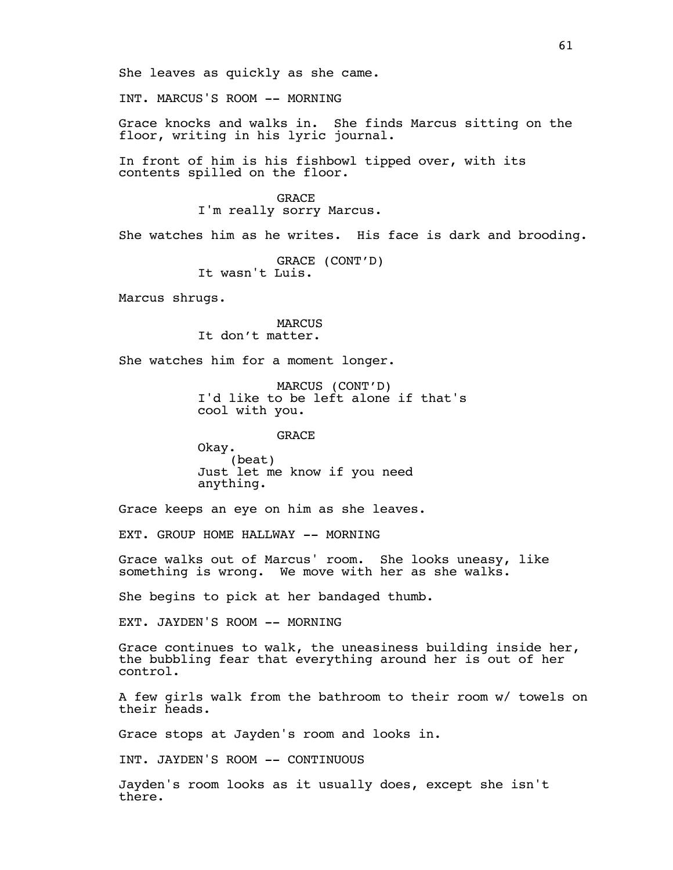She leaves as quickly as she came.

INT. MARCUS'S ROOM -- MORNING

Grace knocks and walks in. She finds Marcus sitting on the floor, writing in his lyric journal.

In front of him is his fishbowl tipped over, with its contents spilled on the floor.

> GRACE I'm really sorry Marcus.

She watches him as he writes. His face is dark and brooding.

GRACE (CONT'D) It wasn't Luis.

Marcus shrugs.

MARCUS It don't matter.

She watches him for a moment longer.

MARCUS (CONT'D) I'd like to be left alone if that's cool with you.

GRACE

Okay. (beat) Just let me know if you need anything.

Grace keeps an eye on him as she leaves.

EXT. GROUP HOME HALLWAY -- MORNING

Grace walks out of Marcus' room. She looks uneasy, like something is wrong. We move with her as she walks.

She begins to pick at her bandaged thumb.

EXT. JAYDEN'S ROOM -- MORNING

Grace continues to walk, the uneasiness building inside her, the bubbling fear that everything around her is out of her control.

A few girls walk from the bathroom to their room w/ towels on their heads.

Grace stops at Jayden's room and looks in.

INT. JAYDEN'S ROOM -- CONTINUOUS

Jayden's room looks as it usually does, except she isn't there.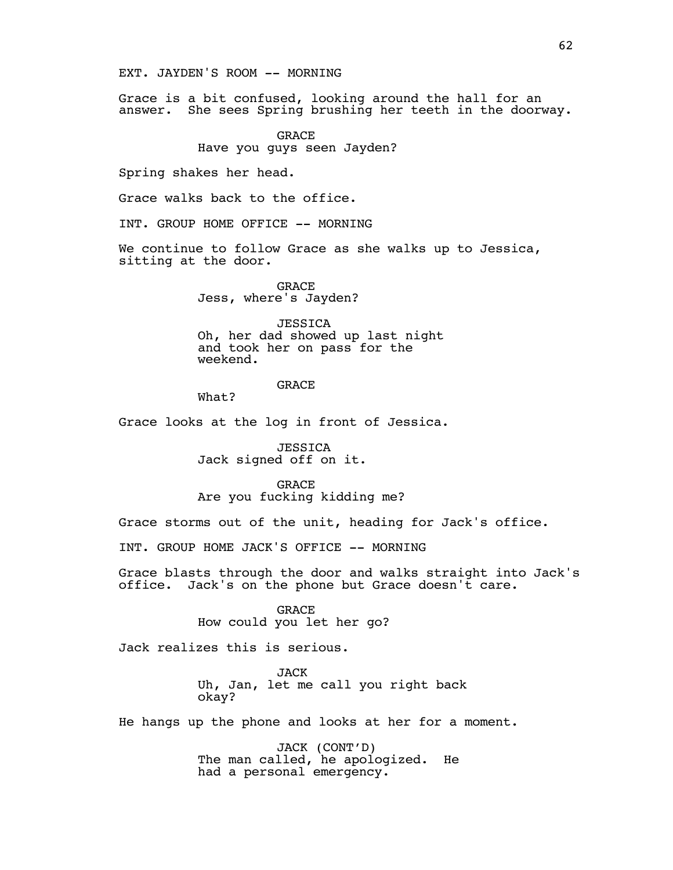EXT. JAYDEN'S ROOM -- MORNING

Grace is a bit confused, looking around the hall for an answer. She sees Spring brushing her teeth in the doorway.

> GRACE Have you guys seen Jayden?

Spring shakes her head.

Grace walks back to the office.

INT. GROUP HOME OFFICE -- MORNING

We continue to follow Grace as she walks up to Jessica, sitting at the door.

> GRACE Jess, where's Jayden?

*JESSICA* Oh, her dad showed up last night and took her on pass for the weekend.

#### GRACE

What?

Grace looks at the log in front of Jessica.

*JESSICA* Jack signed off on it.

GRACE Are you fucking kidding me?

Grace storms out of the unit, heading for Jack's office.

INT. GROUP HOME JACK'S OFFICE -- MORNING

Grace blasts through the door and walks straight into Jack's office. Jack's on the phone but Grace doesn't care.

> GRACE How could you let her go?

Jack realizes this is serious.

JACK Uh, Jan, let me call you right back okay?

He hangs up the phone and looks at her for a moment.

JACK (CONT'D) The man called, he apologized. He had a personal emergency.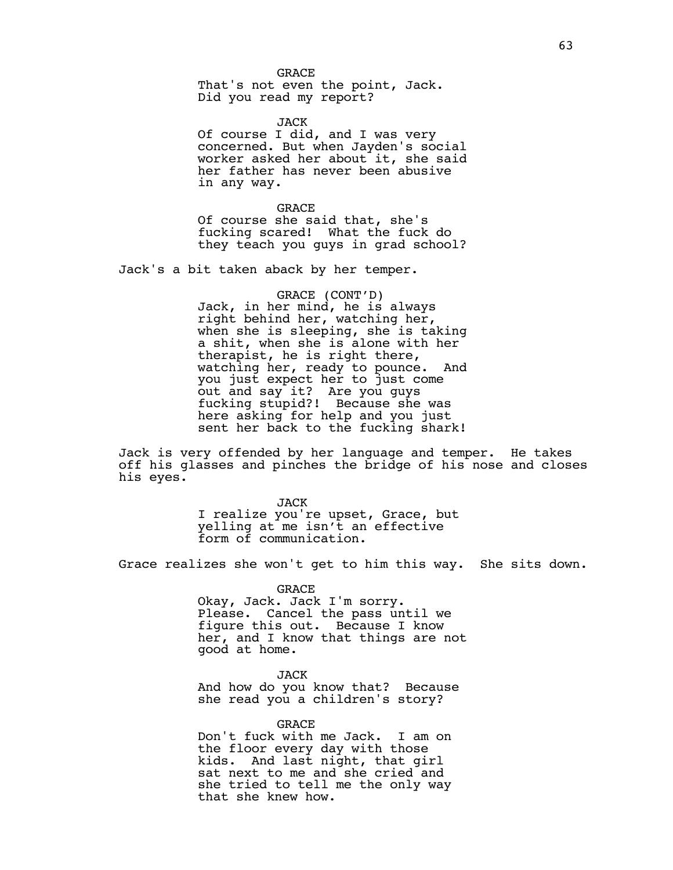GRACE

That's not even the point, Jack. Did you read my report?

JACK

Of course I did, and I was very concerned. But when Jayden's social worker asked her about it, she said her father has never been abusive in any way.

GRACE Of course she said that, she's fucking scared! What the fuck do they teach you guys in grad school?

Jack's a bit taken aback by her temper.

GRACE (CONT'D) Jack, in her mind, he is always right behind her, watching her, when she is sleeping, she is taking a shit, when she is alone with her therapist, he is right there, watching her, ready to pounce. And you just expect her to just come out and say it? Are you guys fucking stupid?! Because she was here asking for help and you just sent her back to the fucking shark!

Jack is very offended by her language and temper. He takes off his glasses and pinches the bridge of his nose and closes his eyes.

> JACK I realize you're upset, Grace, but yelling at me isn't an effective form of communication.

Grace realizes she won't get to him this way. She sits down.

GRACE Okay, Jack. Jack I'm sorry. Please. Cancel the pass until we figure this out. Because I know her, and I know that things are not good at home.

JACK And how do you know that? Because she read you a children's story?

GRACE

Don't fuck with me Jack. I am on the floor every day with those<br>kids. And last night, that gi And last night, that girl sat next to me and she cried and she tried to tell me the only way that she knew how.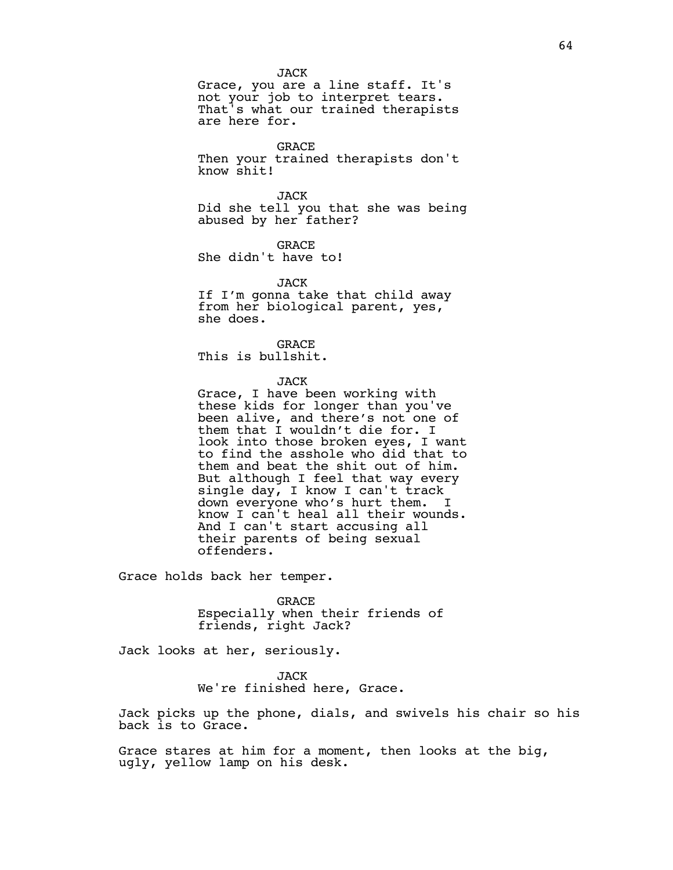JACK

Grace, you are a line staff. It's not your job to interpret tears. That's what our trained therapists are here for.

GRACE

Then your trained therapists don't know shit!

JACK Did she tell you that she was being abused by her father?

GRACE She didn't have to!

JACK If I'm gonna take that child away from her biological parent, yes, she does.

GRACE This is bullshit.

JACK

Grace, I have been working with these kids for longer than you've been alive, and there's not one of them that I wouldn't die for. I look into those broken eyes, I want to find the asshole who did that to them and beat the shit out of him. But although I feel that way every single day, I know I can't track down everyone who's hurt them. I know I can't heal all their wounds. And I can't start accusing all their parents of being sexual offenders.

Grace holds back her temper.

GRACE Especially when their friends of friends, right Jack?

Jack looks at her, seriously.

JACK We're finished here, Grace.

Jack picks up the phone, dials, and swivels his chair so his back is to Grace.

Grace stares at him for a moment, then looks at the big, ugly, yellow lamp on his desk.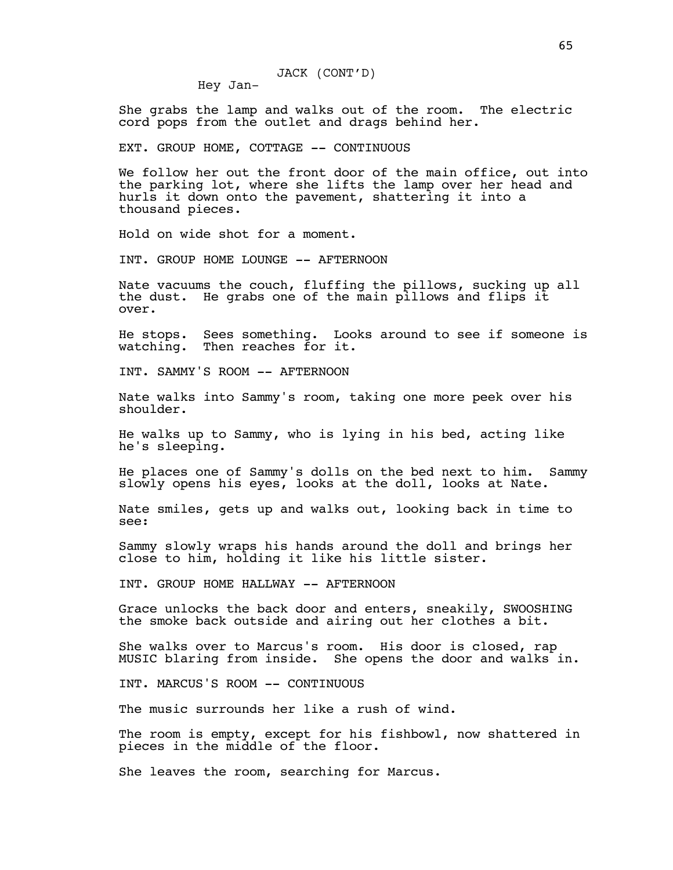# JACK (CONT'D)

Hey Jan-

She grabs the lamp and walks out of the room. The electric cord pops from the outlet and drags behind her.

EXT. GROUP HOME, COTTAGE -- CONTINUOUS

We follow her out the front door of the main office, out into the parking lot, where she lifts the lamp over her head and hurls it down onto the pavement, shattering it into a thousand pieces.

Hold on wide shot for a moment.

INT. GROUP HOME LOUNGE -- AFTERNOON

Nate vacuums the couch, fluffing the pillows, sucking up all the dust. He grabs one of the main pillows and flips it over.

He stops. Sees something. Looks around to see if someone is watching. Then reaches for it. Then reaches for it.

INT. SAMMY'S ROOM -- AFTERNOON

Nate walks into Sammy's room, taking one more peek over his shoulder.

He walks up to Sammy, who is lying in his bed, acting like he's sleeping.

He places one of Sammy's dolls on the bed next to him. Sammy slowly opens his eyes, looks at the doll, looks at Nate.

Nate smiles, gets up and walks out, looking back in time to see:

Sammy slowly wraps his hands around the doll and brings her close to him, holding it like his little sister.

INT. GROUP HOME HALLWAY -- AFTERNOON

Grace unlocks the back door and enters, sneakily, SWOOSHING the smoke back outside and airing out her clothes a bit.

She walks over to Marcus's room. His door is closed, rap MUSIC blaring from inside. She opens the door and walks in.

INT. MARCUS'S ROOM -- CONTINUOUS

The music surrounds her like a rush of wind.

The room is empty, except for his fishbowl, now shattered in pieces in the middle of the floor.

She leaves the room, searching for Marcus.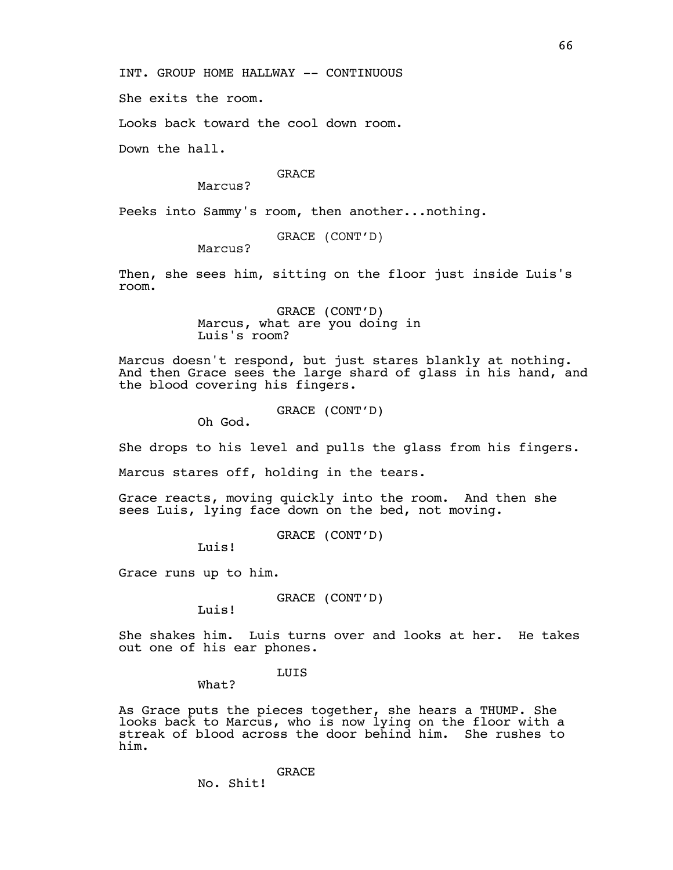INT. GROUP HOME HALLWAY -- CONTINUOUS

She exits the room.

Looks back toward the cool down room.

Down the hall.

#### GRACE

Marcus?

Peeks into Sammy's room, then another...nothing.

GRACE (CONT'D)

Marcus?

Then, she sees him, sitting on the floor just inside Luis's room.

> GRACE (CONT'D) Marcus, what are you doing in Luis's room?

Marcus doesn't respond, but just stares blankly at nothing. And then Grace sees the large shard of glass in his hand, and the blood covering his fingers.

# GRACE (CONT'D)

Oh God.

She drops to his level and pulls the glass from his fingers.

Marcus stares off, holding in the tears.

Grace reacts, moving quickly into the room. And then she sees Luis, lying face down on the bed, not moving.

GRACE (CONT'D)

Luis!

Grace runs up to him.

GRACE (CONT'D)

Luis!

She shakes him. Luis turns over and looks at her. He takes out one of his ear phones.

LUIS

What?

As Grace puts the pieces together, she hears a THUMP. She looks back to Marcus, who is now lying on the floor with a streak of blood across the door behind him. She rushes to him.

GRACE

No. Shit!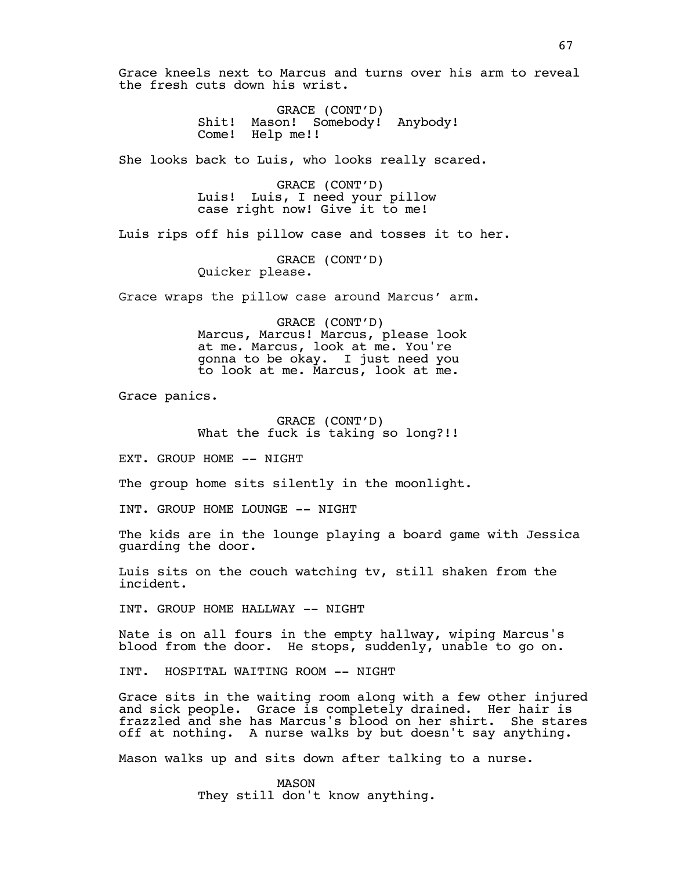Grace kneels next to Marcus and turns over his arm to reveal the fresh cuts down his wrist.

> GRACE (CONT'D) Shit! Mason! Somebody! Anybody! Help me!!

She looks back to Luis, who looks really scared.

GRACE (CONT'D) Luis! Luis, I need your pillow case right now! Give it to me!

Luis rips off his pillow case and tosses it to her.

GRACE (CONT'D) Quicker please.

Grace wraps the pillow case around Marcus' arm.

GRACE (CONT'D) Marcus, Marcus! Marcus, please look at me. Marcus, look at me. You're gonna to be okay. I just need you to look at me. Marcus, look at me.

Grace panics.

GRACE (CONT'D) What the fuck is taking so long?!!

EXT. GROUP HOME -- NIGHT

The group home sits silently in the moonlight.

INT. GROUP HOME LOUNGE -- NIGHT

The kids are in the lounge playing a board game with Jessica guarding the door.

Luis sits on the couch watching tv, still shaken from the incident.

INT. GROUP HOME HALLWAY -- NIGHT

Nate is on all fours in the empty hallway, wiping Marcus's blood from the door. He stops, suddenly, unable to go on.

INT. HOSPITAL WAITING ROOM -- NIGHT

Grace sits in the waiting room along with a few other injured and sick people. Grace is completely drained. Her hair is frazzled and she has Marcus's blood on her shirt. She stares off at nothing. A nurse walks by but doesn't say anything.

Mason walks up and sits down after talking to a nurse.

MASON They still don't know anything.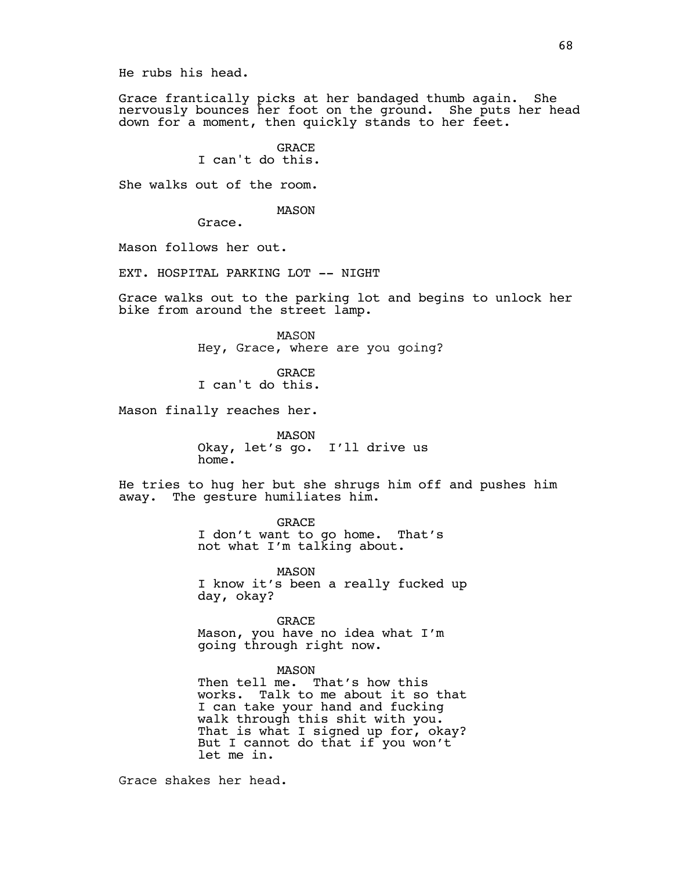He rubs his head.

Grace frantically picks at her bandaged thumb again. She nervously bounces her foot on the ground. She puts her head down for a moment, then quickly stands to her feet.

## **GRACE**

I can't do this.

She walks out of the room.

MASON

Grace.

Mason follows her out.

EXT. HOSPITAL PARKING LOT -- NIGHT

Grace walks out to the parking lot and begins to unlock her bike from around the street lamp.

> MASON Hey, Grace, where are you going?

> > GRACE

I can't do this.

Mason finally reaches her.

MASON Okay, let's go. I'll drive us home.

He tries to hug her but she shrugs him off and pushes him away. The gesture humiliates him.

> GRACE I don't want to go home. That's not what I'm talking about.

MASON I know it's been a really fucked up day, okay?

GRACE Mason, you have no idea what I'm going through right now.

MASON Then tell me. That's how this works. Talk to me about it so that I can take your hand and fucking walk through this shit with you. That is what I signed up for, okay? But I cannot do that if you won't let me in.

Grace shakes her head.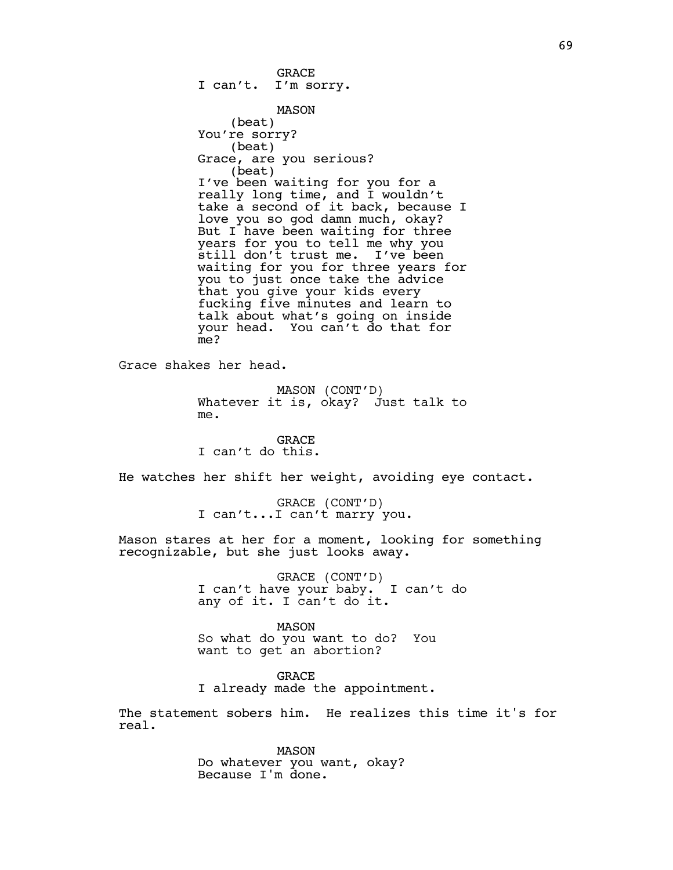GRACE I can't. I'm sorry. MASON (beat) You're sorry? (beat) Grace, are you serious? (beat) I've been waiting for you for a really long time, and I wouldn't take a second of it back, because I love you so god damn much, okay? But I have been waiting for three years for you to tell me why you still don't trust me. I've been waiting for you for three years for you to just once take the advice that you give your kids every fucking five minutes and learn to talk about what's going on inside your head. You can't do that for me?

Grace shakes her head.

MASON (CONT'D) Whatever it is, okay? Just talk to me.

# GRACE

I can't do this.

He watches her shift her weight, avoiding eye contact.

GRACE (CONT'D) I can't...I can't marry you.

Mason stares at her for a moment, looking for something recognizable, but she just looks away.

> GRACE (CONT'D) I can't have your baby. I can't do any of it. I can't do it.

MASON So what do you want to do? You want to get an abortion?

GRACE I already made the appointment.

The statement sobers him. He realizes this time it's for real.

> MASON Do whatever you want, okay? Because I'm done.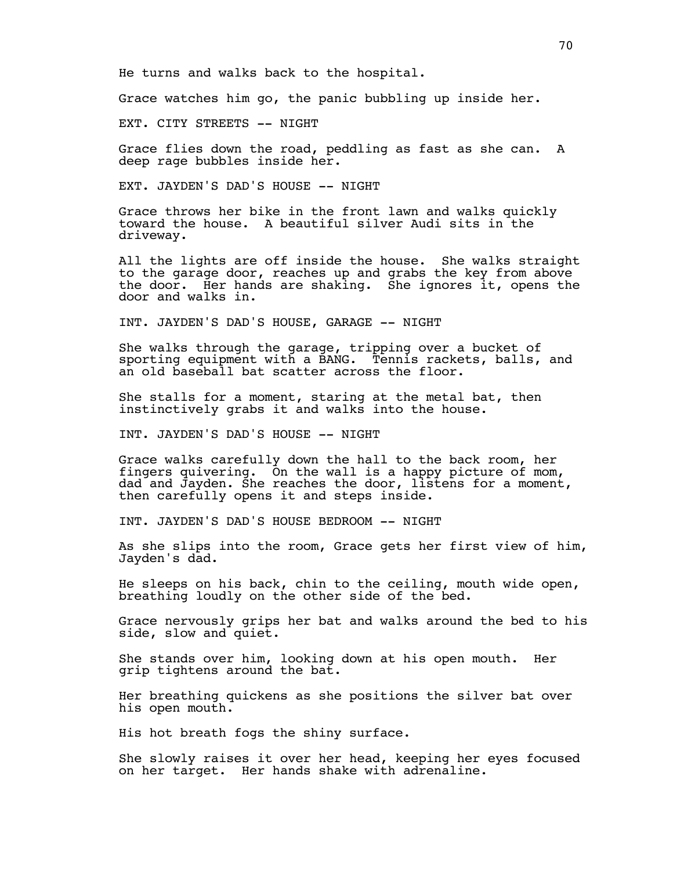He turns and walks back to the hospital.

Grace watches him go, the panic bubbling up inside her.

EXT. CITY STREETS -- NIGHT

Grace flies down the road, peddling as fast as she can. A deep rage bubbles inside her.

EXT. JAYDEN'S DAD'S HOUSE -- NIGHT

Grace throws her bike in the front lawn and walks quickly toward the house. A beautiful silver Audi sits in the driveway.

All the lights are off inside the house. She walks straight to the garage door, reaches up and grabs the key from above the door. Her hands are shaking. She ignores it, opens the door and walks in.

INT. JAYDEN'S DAD'S HOUSE, GARAGE -- NIGHT

She walks through the garage, tripping over a bucket of sporting equipment with a BANG. Tennis rackets, balls, and an old baseball bat scatter across the floor.

She stalls for a moment, staring at the metal bat, then instinctively grabs it and walks into the house.

INT. JAYDEN'S DAD'S HOUSE -- NIGHT

Grace walks carefully down the hall to the back room, her fingers quivering. On the wall is a happy picture of mom, dad and Jayden. She reaches the door, listens for a moment, then carefully opens it and steps inside.

INT. JAYDEN'S DAD'S HOUSE BEDROOM -- NIGHT

As she slips into the room, Grace gets her first view of him, Jayden's dad.

He sleeps on his back, chin to the ceiling, mouth wide open, breathing loudly on the other side of the bed.

Grace nervously grips her bat and walks around the bed to his side, slow and quiet.

She stands over him, looking down at his open mouth. Her grip tightens around the bat.

Her breathing quickens as she positions the silver bat over his open mouth.

His hot breath fogs the shiny surface.

She slowly raises it over her head, keeping her eyes focused on her target. Her hands shake with adrenaline.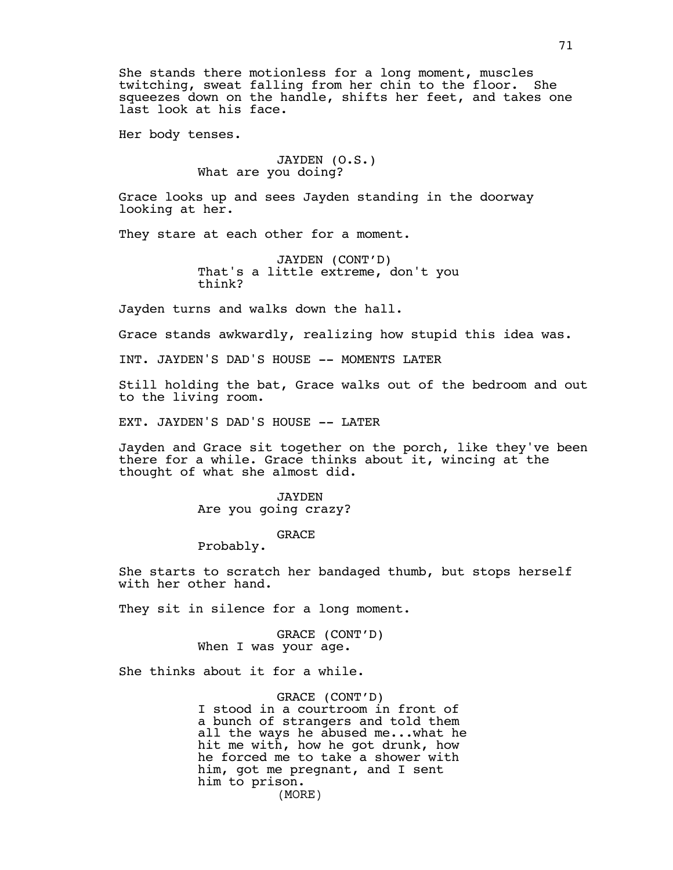She stands there motionless for a long moment, muscles twitching, sweat falling from her chin to the floor. She squeezes down on the handle, shifts her feet, and takes one last look at his face.

Her body tenses.

#### JAYDEN (O.S.) What are you doing?

Grace looks up and sees Jayden standing in the doorway looking at her.

They stare at each other for a moment.

JAYDEN (CONT'D) That's a little extreme, don't you think?

Jayden turns and walks down the hall.

Grace stands awkwardly, realizing how stupid this idea was.

INT. JAYDEN'S DAD'S HOUSE -- MOMENTS LATER

Still holding the bat, Grace walks out of the bedroom and out to the living room.

EXT. JAYDEN'S DAD'S HOUSE -- LATER

Jayden and Grace sit together on the porch, like they've been there for a while. Grace thinks about it, wincing at the thought of what she almost did.

> JAYDEN Are you going crazy?

> > **GRACE**

Probably.

She starts to scratch her bandaged thumb, but stops herself with her other hand.

They sit in silence for a long moment.

GRACE (CONT'D) When I was your age.

She thinks about it for a while.

GRACE (CONT'D) I stood in a courtroom in front of a bunch of strangers and told them all the ways he abused me...what he hit me with, how he got drunk, how he forced me to take a shower with him, got me pregnant, and I sent him to prison. (MORE)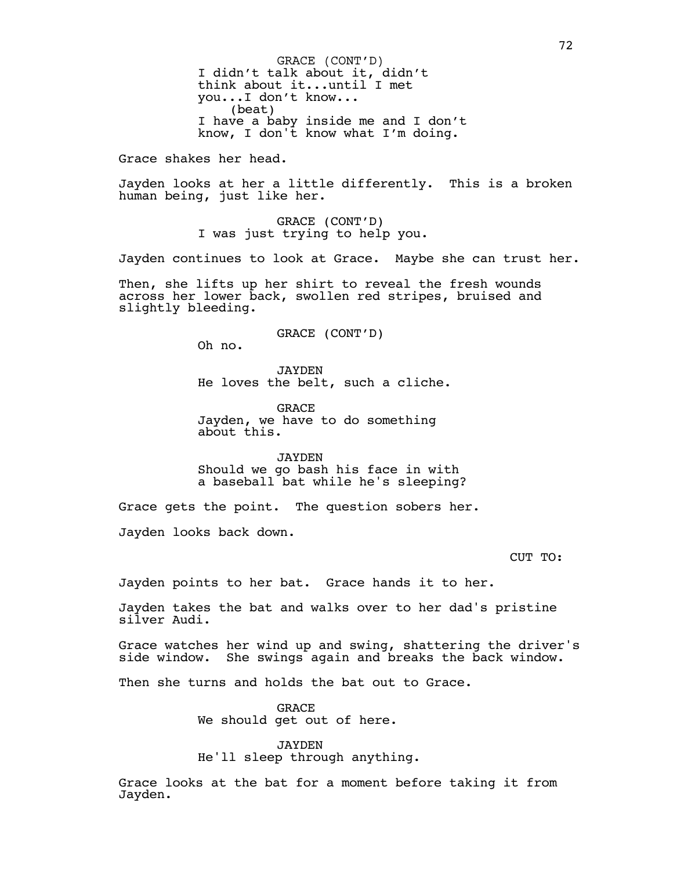I didn't talk about it, didn't think about it...until I met you...I don't know... (beat) I have a baby inside me and I don't know, I don't know what I'm doing. GRACE (CONT'D)

Grace shakes her head.

Jayden looks at her a little differently. This is a broken human being, just like her.

> GRACE (CONT'D) I was just trying to help you.

Jayden continues to look at Grace. Maybe she can trust her.

Then, she lifts up her shirt to reveal the fresh wounds across her lower back, swollen red stripes, bruised and slightly bleeding.

GRACE (CONT'D)

Oh no.

JAYDEN He loves the belt, such a cliche.

GRACE Jayden, we have to do something about this.

JAYDEN Should we go bash his face in with a baseball bat while he's sleeping?

Grace gets the point. The question sobers her.

Jayden looks back down.

CUT TO:

Jayden points to her bat. Grace hands it to her.

Jayden takes the bat and walks over to her dad's pristine silver Audi.

Grace watches her wind up and swing, shattering the driver's side window. She swings again and breaks the back window.

Then she turns and holds the bat out to Grace.

GRACE We should get out of here.

JAYDEN He'll sleep through anything.

Grace looks at the bat for a moment before taking it from Jayden.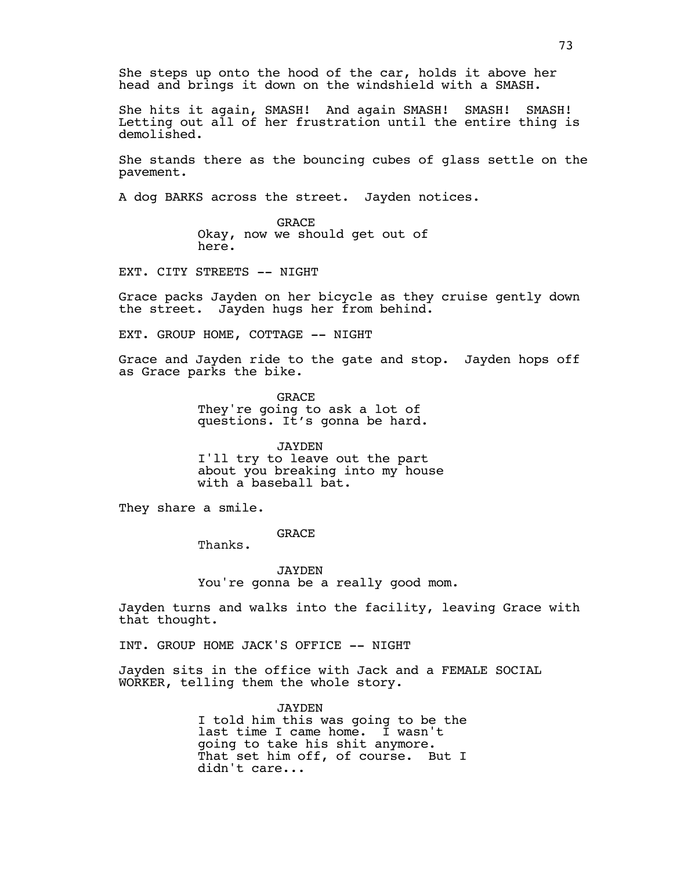She steps up onto the hood of the car, holds it above her head and brings it down on the windshield with a SMASH.

She hits it again, SMASH! And again SMASH! SMASH! SMASH! Letting out all of her frustration until the entire thing is demolished.

She stands there as the bouncing cubes of glass settle on the pavement.

A dog BARKS across the street. Jayden notices.

GRACE Okay, now we should get out of here.

EXT. CITY STREETS -- NIGHT

Grace packs Jayden on her bicycle as they cruise gently down the street. Jayden hugs her from behind.

EXT. GROUP HOME, COTTAGE -- NIGHT

Grace and Jayden ride to the gate and stop. Jayden hops off as Grace parks the bike.

> GRACE They're going to ask a lot of questions. It's gonna be hard.

JAYDEN I'll try to leave out the part about you breaking into my house with a baseball bat.

They share a smile.

GRACE

Thanks.

JAYDEN You're gonna be a really good mom.

Jayden turns and walks into the facility, leaving Grace with that thought.

INT. GROUP HOME JACK'S OFFICE -- NIGHT

Jayden sits in the office with Jack and a FEMALE SOCIAL WORKER, telling them the whole story.

> JAYDEN I told him this was going to be the last time I came home. I wasn't going to take his shit anymore. That set him off, of course. But I didn't care...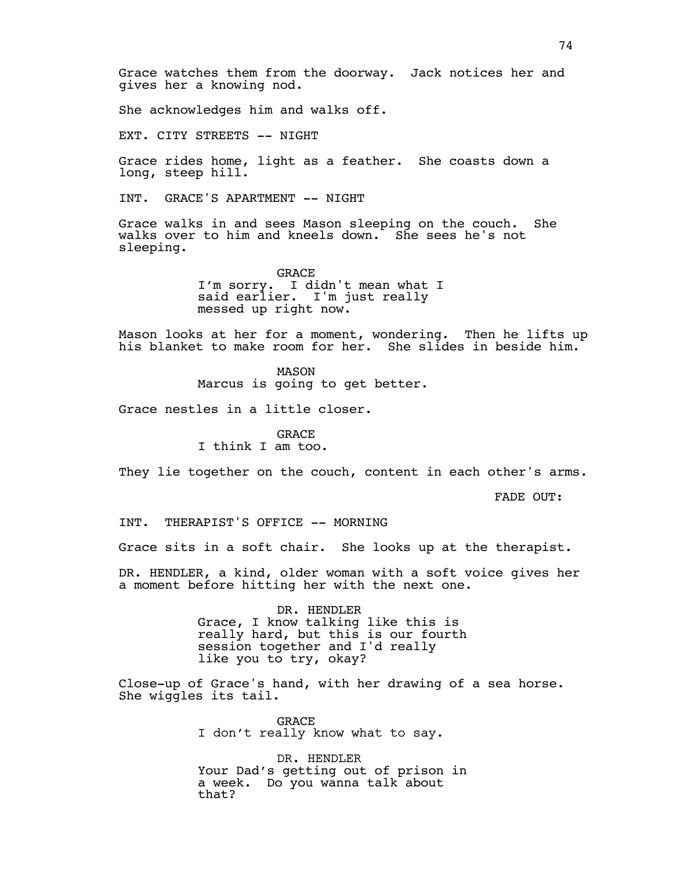Grace watches them from the doorway. Jack notices her and gives her a knowing nod.

She acknowledges him and walks off.

EXT. CITY STREETS -- NIGHT

Grace rides home, light as a feather. She coasts down a long, steep hill.

INT. GRACE'S APARTMENT -- NIGHT

Grace walks in and sees Mason sleeping on the couch. She walks over to him and kneels down. She sees he's not sleeping.

> GRACE I'm sorry. I didn't mean what I said earlier. I'm just really messed up right now.

Mason looks at her for a moment, wondering. Then he lifts up his blanket to make room for her. She slides in beside him.

> MASON Marcus is going to get better.

Grace nestles in a little closer.

**GRACE** I think I am too.

They lie together on the couch, content in each other's arms.

FADE OUT:

INT. THERAPIST'S OFFICE -- MORNING

Grace sits in a soft chair. She looks up at the therapist.

DR. HENDLER, a kind, older woman with a soft voice gives her a moment before hitting her with the next one.

> DR. HENDLER Grace, I know talking like this is really hard, but this is our fourth session together and I'd really like you to try, okay?

Close-up of Grace's hand, with her drawing of a sea horse. She wiggles its tail.

> GRACE I don't really know what to say.

DR. HENDLER Your Dad's getting out of prison in a week. Do you wanna talk about that?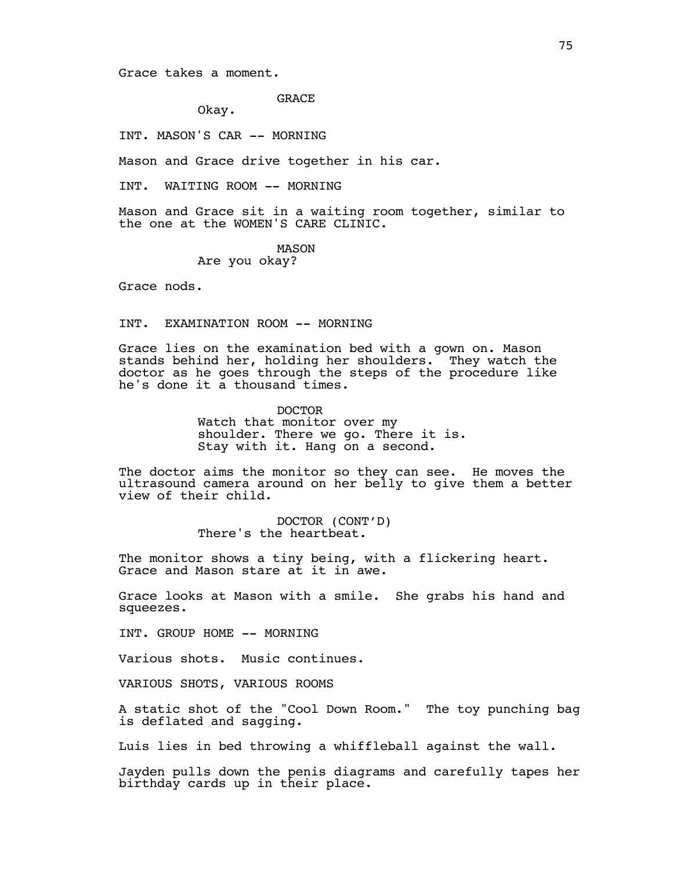Grace takes a moment.

GRACE

Okay.

INT. MASON'S CAR -- MORNING

Mason and Grace drive together in his car.

INT. WAITING ROOM -- MORNING

Mason and Grace sit in a waiting room together, similar to the one at the WOMEN'S CARE CLINIC.

## MASON

Are you okay?

Grace nods.

INT. EXAMINATION ROOM -- MORNING

Grace lies on the examination bed with a gown on. Mason stands behind her, holding her shoulders. They watch the doctor as he goes through the steps of the procedure like he's done it a thousand times.

> DOCTOR Watch that monitor over my shoulder. There we go. There it is. Stay with it. Hang on a second.

The doctor aims the monitor so they can see. He moves the ultrasound camera around on her belly to give them a better view of their child.

> DOCTOR (CONT'D) There's the heartbeat.

The monitor shows a tiny being, with a flickering heart. Grace and Mason stare at it in awe.

Grace looks at Mason with a smile. She grabs his hand and squeezes.

INT. GROUP HOME -- MORNING

Various shots. Music continues.

VARIOUS SHOTS, VARIOUS ROOMS

A static shot of the "Cool Down Room." The toy punching bag is deflated and sagging.

Luis lies in bed throwing a whiffleball against the wall.

Jayden pulls down the penis diagrams and carefully tapes her birthday cards up in their place.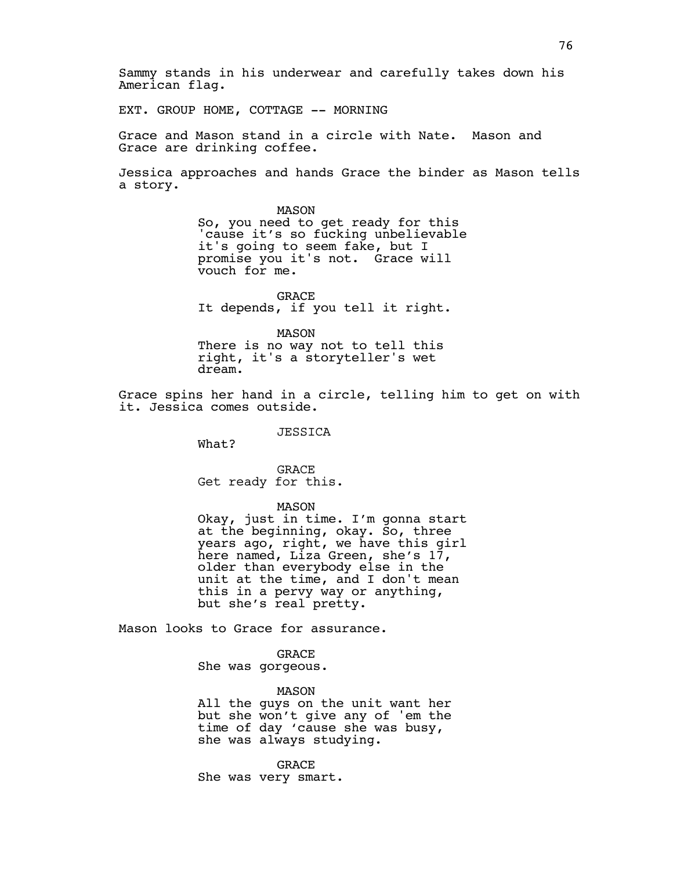Sammy stands in his underwear and carefully takes down his American flag.

EXT. GROUP HOME, COTTAGE -- MORNING

Grace and Mason stand in a circle with Nate. Mason and Grace are drinking coffee.

Jessica approaches and hands Grace the binder as Mason tells a story.

> MASON So, you need to get ready for this 'cause it's so fucking unbelievable it's going to seem fake, but I promise you it's not. Grace will vouch for me.

GRACE It depends, if you tell it right.

MASON There is no way not to tell this right, it's a storyteller's wet dream.

Grace spins her hand in a circle, telling him to get on with it. Jessica comes outside.

**JESSICA** 

What?

GRACE Get ready for this.

MASON

Okay, just in time. I'm gonna start at the beginning, okay. So, three years ago, right, we have this girl here named, Liza Green, she's 17, older than everybody else in the unit at the time, and I don't mean this in a pervy way or anything, but she's real pretty.

Mason looks to Grace for assurance.

GRACE She was gorgeous.

MASON All the guys on the unit want her but she won't give any of 'em the time of day 'cause she was busy, she was always studying.

GRACE She was very smart.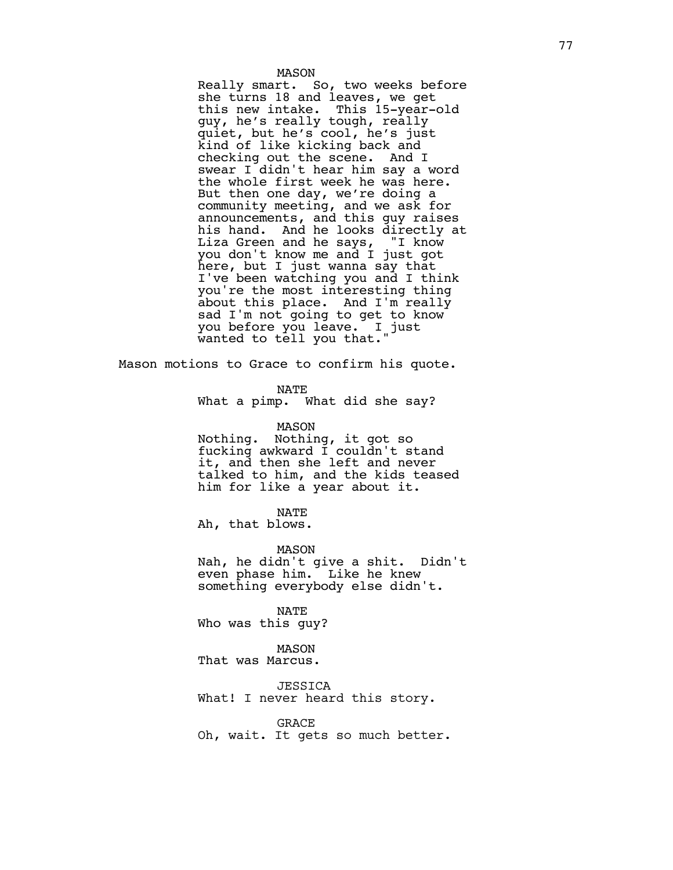MASON Really smart. So, two weeks before she turns 18 and leaves, we get this new intake. This 15-year-old guy, he's really tough, really quiet, but he's cool, he's just kind of like kicking back and checking out the scene. And I swear I didn't hear him say a word the whole first week he was here. But then one day, we're doing a community meeting, and we ask for announcements, and this guy raises his hand. And he looks directly at Liza Green and he says, "I know you don't know me and I just got here, but I just wanna say that I've been watching you and I think you're the most interesting thing about this place. And I'm really sad I'm not going to get to know you before you leave. I just wanted to tell you that."

Mason motions to Grace to confirm his quote.

NATE What a pimp. What did she say?

MASON Nothing. Nothing, it got so fucking awkward I couldn't stand it, and then she left and never talked to him, and the kids teased him for like a year about it.

NATE

Ah, that blows.

MASON Nah, he didn't give a shit. Didn't even phase him. Like he knew

something everybody else didn't.

NATE Who was this guy?

MASON

That was Marcus.

JESSICA What! I never heard this story.

GRACE

Oh, wait. It gets so much better.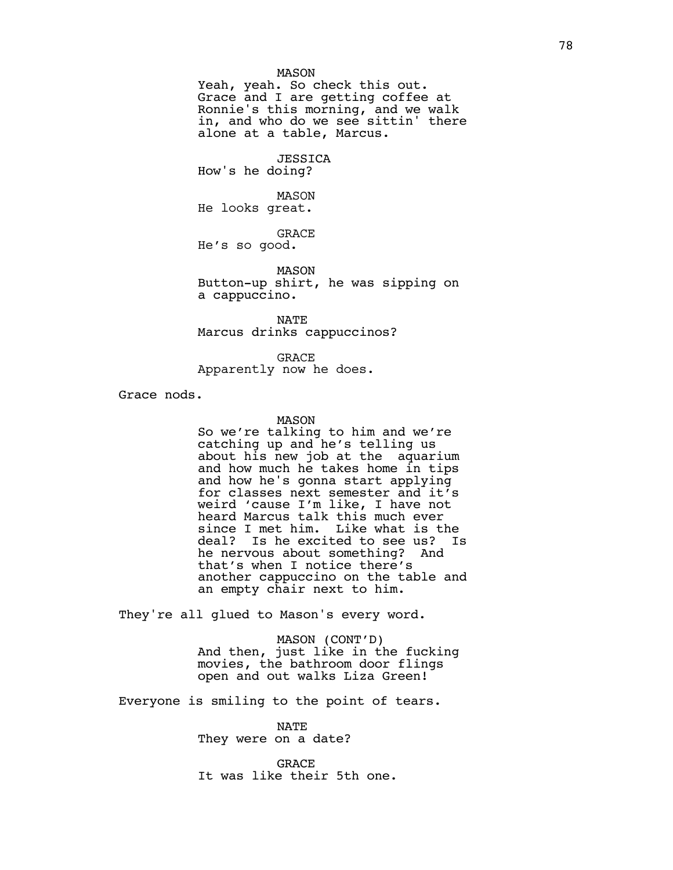MASON

Yeah, yeah. So check this out. Grace and I are getting coffee at Ronnie's this morning, and we walk in, and who do we see sittin' there alone at a table, Marcus.

JESSICA How's he doing?

MASON He looks great.

GRACE He's so good.

MASON Button-up shirt, he was sipping on a cappuccino.

NATE Marcus drinks cappuccinos?

GRACE

Apparently now he does.

Grace nods.

## MASON

So we're talking to him and we're catching up and he's telling us about his new job at the aquarium and how much he takes home in tips and how he's gonna start applying for classes next semester and it's weird 'cause I'm like, I have not heard Marcus talk this much ever since I met him. Like what is the<br>deal? Is he excited to see us? Is Is he excited to see us? Is he nervous about something? And that's when I notice there's another cappuccino on the table and an empty chair next to him.

They're all glued to Mason's every word.

MASON (CONT'D) And then, just like in the fucking movies, the bathroom door flings open and out walks Liza Green!

Everyone is smiling to the point of tears.

NATE They were on a date?

**GRACE** It was like their 5th one.